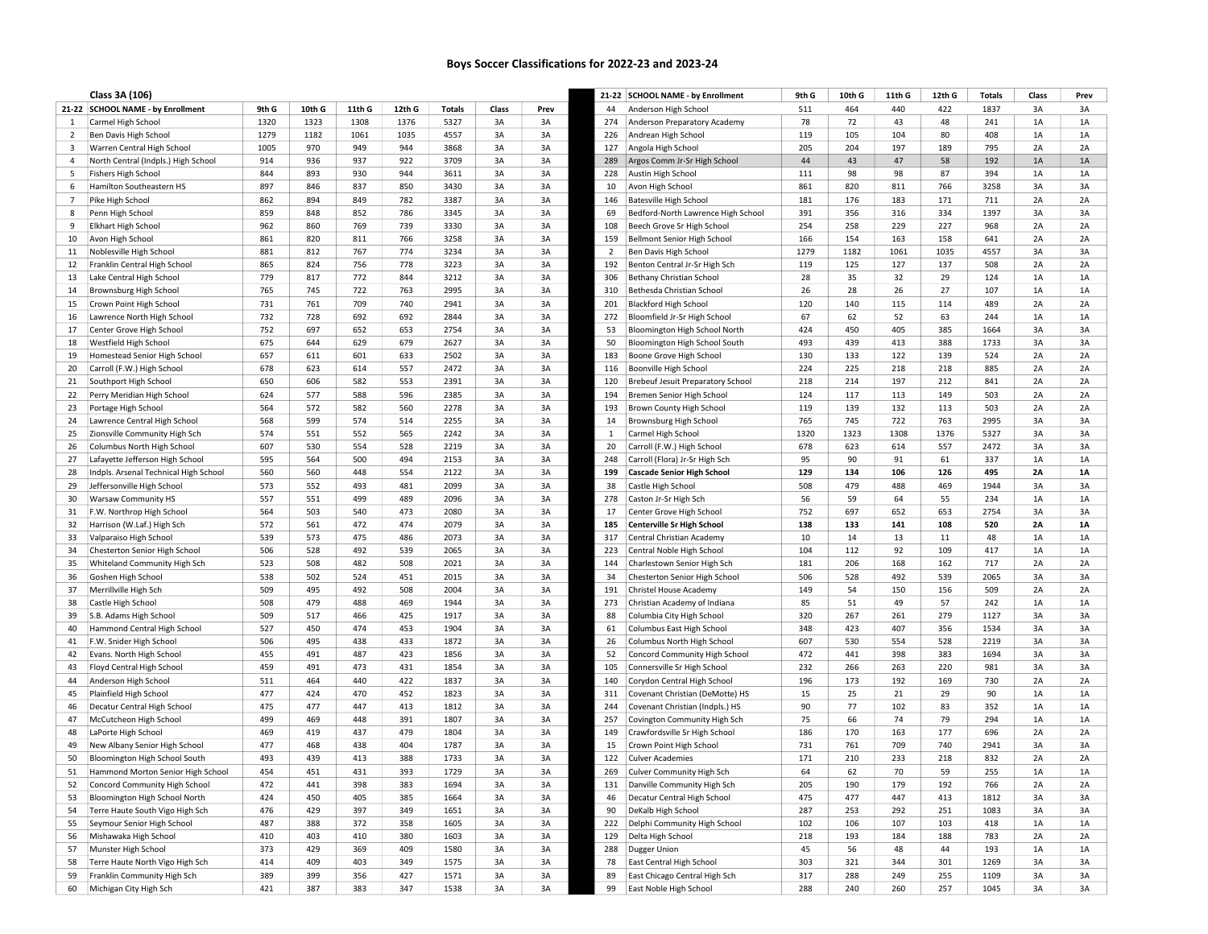## Boys Soccer Classifications for 2022-23 and 2023-24

|                | Class 3A (106)                        |       |        |        |        |               |          |          |     | 21-22 SCHOOL NAME - by Enrollment  | 9th G      | 10th G | 11th G | 12th G     | <b>Totals</b> | Class | Prev      |
|----------------|---------------------------------------|-------|--------|--------|--------|---------------|----------|----------|-----|------------------------------------|------------|--------|--------|------------|---------------|-------|-----------|
|                | 21-22 SCHOOL NAME - by Enrollment     | 9th G | 10th G | 11th G | 12th G | <b>Totals</b> | Class    | Prev     | 44  | Anderson High School               | 511        | 464    | 440    | 422        | 1837          | 3A    | 3A        |
| -1             | Carmel High School                    | 1320  | 1323   | 1308   | 1376   | 5327          | 3A       | 3A       | 274 | Anderson Preparatory Academy       | 78         | 72     | 43     | 48         | 241           | 1A    | 1A        |
| $\overline{2}$ | Ben Davis High School                 | 1279  | 1182   | 1061   | 1035   | 4557          | 3A       | 3A       | 226 | Andrean High School                | 119        | 105    | 104    | 80         | 408           | 1A    | 1A        |
| 3              | Warren Central High School            | 1005  | 970    | 949    | 944    | 3868          | 3A       | 3A       | 127 | Angola High School                 | 205        | 204    | 197    | 189        | 795           | 2A    | 2A        |
| $\overline{4}$ | North Central (Indpls.) High School   | 914   | 936    | 937    | 922    | 3709          | 3A       | 3A       | 289 | Argos Comm Jr-Sr High School       | 44         | 43     | 47     | 58         | 192           | 1A    | 1A        |
| 5              | <b>Fishers High School</b>            | 844   | 893    | 930    | 944    | 3611          | 3A       | 3A       | 228 | Austin High School                 | 111        | 98     | 98     | 87         | 394           | 1A    | 1A        |
| 6              | Hamilton Southeastern HS              | 897   | 846    | 837    | 850    | 3430          | 3A       | 3A       | 10  | Avon High School                   | 861        | 820    | 811    | 766        | 3258          | 3A    | 3A        |
| $\overline{7}$ | Pike High School                      | 862   | 894    | 849    | 782    | 3387          | 3A       | 3A       | 146 | <b>Batesville High School</b>      | 181        | 176    | 183    | 171        | 711           | 2A    | 2A        |
| 8              | Penn High School                      | 859   | 848    | 852    | 786    | 3345          | 3A       | 3A       | 69  | Bedford-North Lawrence High School | 391        | 356    | 316    | 334        | 1397          | 3A    | 3A        |
| 9              | Elkhart High School                   | 962   | 860    | 769    | 739    | 3330          | 3A       | 3A       | 108 | Beech Grove Sr High School         | 254        | 258    | 229    | 227        | 968           | 2A    | 2A        |
| 10             | Avon High School                      | 861   | 820    | 811    | 766    | 3258          | 3A       | 3A       | 159 | Bellmont Senior High School        | 166        | 154    | 163    | 158        | 641           | 2A    | 2A        |
| 11             | Noblesville High School               | 881   | 812    | 767    | 774    | 3234          | 3A       | 3A       | 2   | Ben Davis High School              | 1279       | 1182   | 1061   | 1035       | 4557          | 3A    | 3A        |
| 12             | Franklin Central High School          | 865   | 824    | 756    | 778    | 3223          | 3A       | 3A       | 192 | Benton Central Jr-Sr High Sch      | 119        | 125    | 127    | 137        | 508           | 2A    | 2A        |
| 13             | Lake Central High School              | 779   | 817    | 772    | 844    | 3212          | 3A       | 3A       | 306 | <b>Bethany Christian School</b>    | 28         | 35     | 32     | 29         | 124           | 1A    | 1A        |
| 14             | Brownsburg High School                | 765   | 745    | 722    | 763    | 2995          | 3A       | 3A       | 310 | Bethesda Christian School          | 26         | 28     | 26     | 27         | 107           | 1A    | 1A        |
| 15             | Crown Point High School               | 731   | 761    | 709    | 740    | 2941          | 3A       | 3A       | 201 | <b>Blackford High School</b>       | 120        | 140    | 115    | 114        | 489           | 2A    | 2A        |
| 16             | Lawrence North High School            | 732   | 728    | 692    | 692    | 2844          | 3A       | 3A       | 272 | Bloomfield Jr-Sr High School       | 67         | 62     | 52     | 63         | 244           | 1A    | 1A        |
| 17             | Center Grove High School              | 752   | 697    | 652    | 653    | 2754          | 3A       | 3A       | 53  | Bloomington High School North      | 424        | 450    | 405    | 385        | 1664          | 3A    | 3A        |
| 18             | Westfield High School                 | 675   | 644    | 629    | 679    | 2627          | 3A       | 3A       | 50  | Bloomington High School South      | 493        | 439    | 413    | 388        | 1733          | 3A    | 3A        |
|                |                                       | 657   | 611    |        | 633    | 2502          |          | 3A       | 183 |                                    |            | 133    | 122    |            | 524           | 2A    |           |
| 19             | Homestead Senior High School          | 678   | 623    | 601    | 557    | 2472          | 3A<br>3A |          |     | Boone Grove High School            | 130<br>224 | 225    | 218    | 139<br>218 |               | 2A    | 2A<br>2A  |
| 20             | Carroll (F.W.) High School            |       |        | 614    |        |               |          | 3A       | 116 | Boonville High School              |            |        |        |            | 885           |       |           |
| 21             | Southport High School                 | 650   | 606    | 582    | 553    | 2391          | 3A       | 3A       | 120 | Brebeuf Jesuit Preparatory School  | 218        | 214    | 197    | 212        | 841           | 2A    | 2A        |
| 22             | Perry Meridian High School            | 624   | 577    | 588    | 596    | 2385          | 3A       | 3A       | 194 | Bremen Senior High School          | 124        | 117    | 113    | 149        | 503           | 2A    | 2A        |
| 23             | Portage High School                   | 564   | 572    | 582    | 560    | 2278          | 3A       | 3A       | 193 | Brown County High School           | 119        | 139    | 132    | 113        | 503           | 2A    | 2A        |
| 24             | Lawrence Central High School          | 568   | 599    | 574    | 514    | 2255          | 3A       | 3A       | 14  | Brownsburg High School             | 765        | 745    | 722    | 763        | 2995          | 3A    | 3A        |
| 25             | Zionsville Community High Sch         | 574   | 551    | 552    | 565    | 2242          | 3A       | 3A       | 1   | Carmel High School                 | 1320       | 1323   | 1308   | 1376       | 5327          | 3A    | 3A        |
| 26             | Columbus North High School            | 607   | 530    | 554    | 528    | 2219          | 3A       | 3A       | 20  | Carroll (F.W.) High School         | 678        | 623    | 614    | 557        | 2472          | 3A    | 3A        |
| 27             | Lafayette Jefferson High School       | 595   | 564    | 500    | 494    | 2153          | 3A       | 3A       | 248 | Carroll (Flora) Jr-Sr High Sch     | 95         | 90     | 91     | 61         | 337           | 1A    | 1A        |
| 28             | Indpls. Arsenal Technical High School | 560   | 560    | 448    | 554    | 2122          | 3A       | 3A       | 199 | <b>Cascade Senior High School</b>  | 129        | 134    | 106    | 126        | 495           | 2A    | <b>1A</b> |
| 29             | Jeffersonville High School            | 573   | 552    | 493    | 481    | 2099          | 3A       | 3A       | 38  | Castle High School                 | 508        | 479    | 488    | 469        | 1944          | 3A    | 3A        |
| 30             | Warsaw Community HS                   | 557   | 551    | 499    | 489    | 2096          | 3A       | 3A       | 278 | Caston Jr-Sr High Sch              | 56         | 59     | 64     | 55         | 234           | 1A    | 1A        |
| 31             | F.W. Northrop High School             | 564   | 503    | 540    | 473    | 2080          | 3A       | 3A       | 17  | Center Grove High School           | 752        | 697    | 652    | 653        | 2754          | 3A    | 3A        |
| 32             | Harrison (W.Laf.) High Sch            | 572   | 561    | 472    | 474    | 2079          | 3A       | 3A       | 185 | <b>Centerville Sr High School</b>  | 138        | 133    | 141    | 108        | 520           | 2A    | <b>1A</b> |
| 33             | Valparaiso High School                | 539   | 573    | 475    | 486    | 2073          | 3A       | 3A       | 317 | Central Christian Academy          | 10         | 14     | 13     | 11         | 48            | 1A    | $1A$      |
| 34             | Chesterton Senior High School         | 506   | 528    | 492    | 539    | 2065          | 3A       | 3A       | 223 | Central Noble High School          | 104        | 112    | 92     | 109        | 417           | 1A    | 1A        |
| 35             | Whiteland Community High Sch          | 523   | 508    | 482    | 508    | 2021          | 3A       | 3A       | 144 | Charlestown Senior High Sch        | 181        | 206    | 168    | 162        | 717           | 2A    | 2A        |
| 36             | Goshen High School                    | 538   | 502    | 524    | 451    | 2015          | 3A       | 3A       | 34  | Chesterton Senior High School      | 506        | 528    | 492    | 539        | 2065          | 3A    | 3A        |
| 37             | Merrillville High Sch                 | 509   | 495    | 492    | 508    | 2004          | 3A       | 3A       | 191 | Christel House Academy             | 149        | 54     | 150    | 156        | 509           | 2A    | 2A        |
| 38             | Castle High School                    | 508   | 479    | 488    | 469    | 1944          | 3A       | 3A       | 273 | Christian Academy of Indiana       | 85         | 51     | 49     | 57         | 242           | 1A    | 1A        |
| 39             | S.B. Adams High School                | 509   | 517    | 466    | 425    | 1917          | 3A       | 3A       | 88  | Columbia City High School          | 320        | 267    | 261    | 279        | 1127          | 3A    | 3A        |
| 40             | Hammond Central High School           | 527   | 450    | 474    | 453    | 1904          | 3A       | 3A       | 61  | Columbus East High School          | 348        | 423    | 407    | 356        | 1534          | 3A    | 3A        |
| 41             | F.W. Snider High School               | 506   | 495    | 438    | 433    | 1872          | 3A       | 3A       | 26  | Columbus North High School         | 607        | 530    | 554    | 528        | 2219          | 3A    | 3A        |
| 42             | Evans. North High School              | 455   | 491    | 487    | 423    | 1856          | 3A       | 3A       | 52  | Concord Community High School      | 472        | 441    | 398    | 383        | 1694          | 3A    | 3A        |
| 43             | Floyd Central High School             | 459   | 491    | 473    | 431    | 1854          | 3A       | 3A       | 105 | Connersville Sr High School        | 232        | 266    | 263    | 220        | 981           | 3A    | 3A        |
| 44             | Anderson High School                  | 511   | 464    | 440    | 422    | 1837          | 3A       | 3A       | 140 | Corydon Central High School        | 196        | 173    | 192    | 169        | 730           | 2A    | 2A        |
| 45             | Plainfield High School                | 477   | 424    | 470    | 452    | 1823          | 3A       | 3A       | 311 | Covenant Christian (DeMotte) HS    | 15         | 25     | 21     | 29         | 90            | 1A    | 1A        |
| 46             | Decatur Central High School           | 475   | 477    | 447    | 413    | 1812          | 3A       | 3A       | 244 | Covenant Christian (Indpls.) HS    | 90         | 77     | 102    | 83         | 352           | 1A    | 1A        |
| 47             | McCutcheon High School                | 499   | 469    | 448    | 391    | 1807          | 3A       | 3A       | 257 | Covington Community High Sch       | 75         | 66     | 74     | 79         | 294           | 1A    | 1A        |
| 48             | LaPorte High School                   | 469   | 419    | 437    | 479    | 1804          | 3A       | 3A       | 149 | Crawfordsville Sr High School      | 186        | 170    | 163    | 177        | 696           | 2A    | 2A        |
| 49             | New Albany Senior High School         | 477   | 468    | 438    | 404    | 1787          | 3A       | 3A       | 15  | Crown Point High School            | 731        | 761    | 709    | 740        | 2941          | 3A    | 3A        |
| 50             | Bloomington High School South         | 493   | 439    | 413    | 388    | 1733          | 3A       | 3A       | 122 | <b>Culver Academies</b>            | 171        | 210    | 233    | 218        | 832           | 2A    | 2A        |
| 51             | Hammond Morton Senior High School     | 454   | 451    | 431    | 393    | 1729          | 3A       |          | 269 | Culver Community High Sch          | 64         | 62     | 70     | 59         | 255           | 1A    | 1A        |
| 52             | Concord Community High School         | 472   | 441    | 398    | 383    | 1694          | 3A       | 3A<br>3A |     | 131 Danville Community High Sch    | 205        | 190    | 179    | 192        | 766           | 2A    | 2A        |
|                |                                       | 424   | 450    | 405    | 385    | 1664          | 3A       | 3A       | 46  |                                    | 475        | 477    | 447    | 413        | 1812          | 3A    |           |
| 53             | Bloomington High School North         |       |        |        |        |               |          |          |     | Decatur Central High School        |            |        |        |            |               |       | 3A        |
| 54             | Terre Haute South Vigo High Sch       | 476   | 429    | 397    | 349    | 1651          | 3A       | 3A       | 90  | DeKalb High School                 | 287        | 253    | 292    | 251        | 1083          | 3A    | 3A        |
| 55             | Seymour Senior High School            | 487   | 388    | 372    | 358    | 1605          | 3A       | 3A       | 222 | Delphi Community High School       | 102        | 106    | 107    | 103        | 418           | 1A    | 1A        |
| 56             | Mishawaka High School                 | 410   | 403    | 410    | 380    | 1603          | 3A       | 3A       | 129 | Delta High School                  | 218        | 193    | 184    | 188        | 783           | 2A    | 2A        |
| 57             | Munster High School                   | 373   | 429    | 369    | 409    | 1580          | 3A       | 3A       | 288 | Dugger Union                       | 45         | 56     | 48     | 44         | 193           | 1A    | 1A        |
| 58             | Terre Haute North Vigo High Sch       | 414   | 409    | 403    | 349    | 1575          | 3A       | 3A       | 78  | East Central High School           | 303        | 321    | 344    | 301        | 1269          | 3A    | 3A        |
| 59             | Franklin Community High Sch           | 389   | 399    | 356    | 427    | 1571          | 3A       | 3A       | 89  | East Chicago Central High Sch      | 317        | 288    | 249    | 255        | 1109          | 3A    | 3A        |
| 60             | Michigan City High Sch                | 421   | 387    | 383    | 347    | 1538          | 3A       | 3A       | 99  | East Noble High School             | 288        | 240    | 260    | 257        | 1045          | 3A    | 3A        |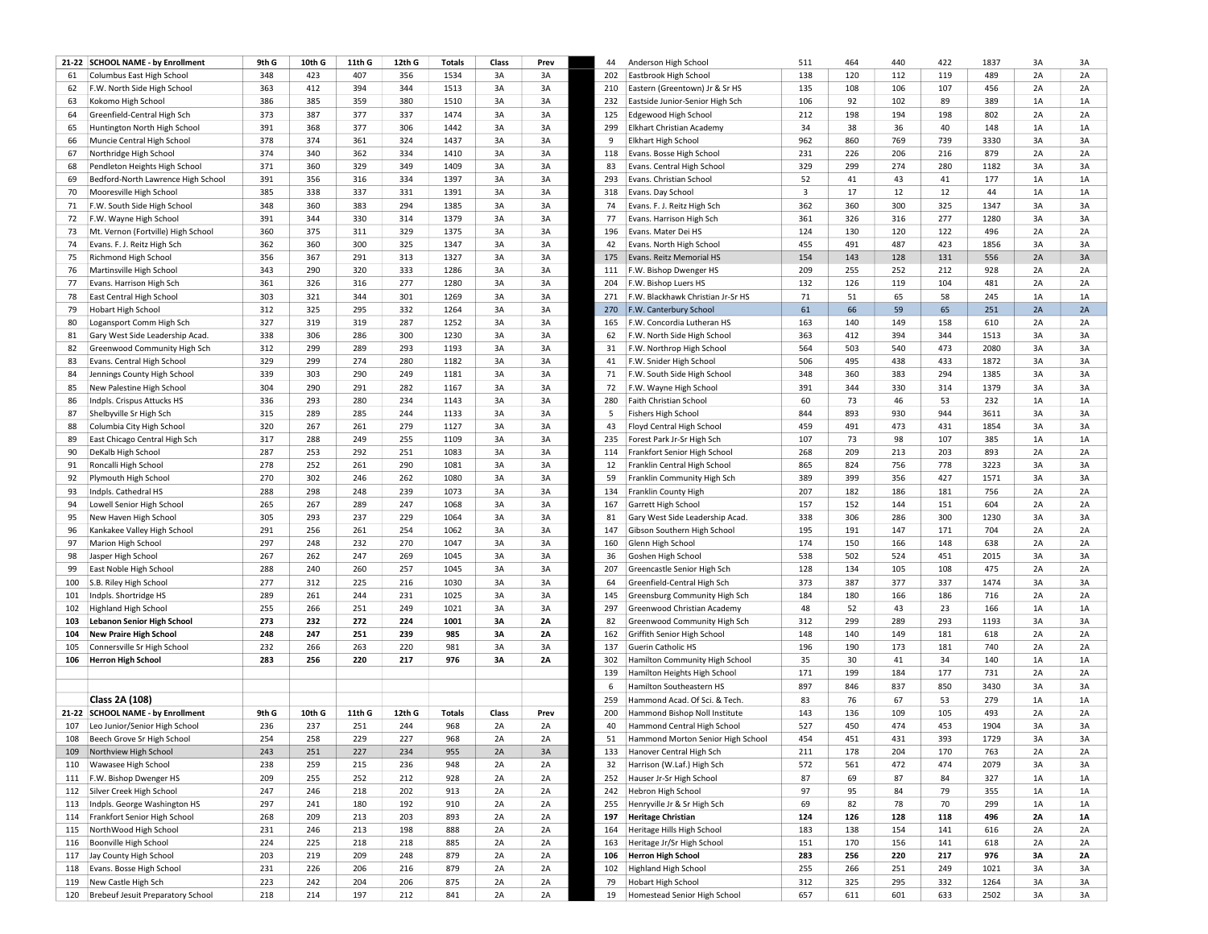|     | 21-22 SCHOOL NAME - by Enrollment     | 9th G | 10th G     | 11th G | 12th G | <b>Totals</b> | Class | Prev      | 44  | Anderson High School                               | 511            | 464 | 440 | 422    | 1837         | 3A        | 3A        |
|-----|---------------------------------------|-------|------------|--------|--------|---------------|-------|-----------|-----|----------------------------------------------------|----------------|-----|-----|--------|--------------|-----------|-----------|
| 61  | Columbus East High School             | 348   | 423        | 407    | 356    | 1534          | 3A    | 3A        | 202 | Eastbrook High School                              | 138            | 120 | 112 | 119    | 489          | 2A        | 2A        |
| 62  | F.W. North Side High School           | 363   | 412        | 394    | 344    | 1513          | 3A    | 3A        | 210 | Eastern (Greentown) Jr & Sr HS                     | 135            | 108 | 106 | 107    | 456          | 2A        | 2A        |
| 63  | Kokomo High School                    | 386   | 385        | 359    | 380    | 1510          | 3A    | 3A        | 232 | Eastside Junior-Senior High Sch                    | 106            | 92  | 102 | 89     | 389          | 1A        | 1A        |
| 64  | Greenfield-Central High Sch           | 373   | 387        | 377    | 337    | 1474          | 3A    | 3A        | 125 | Edgewood High School                               | 212            | 198 | 194 | 198    | 802          | 2A        | 2A        |
| 65  | Huntington North High School          | 391   | 368        | 377    | 306    | 1442          | 3A    | 3A        | 299 | Elkhart Christian Academy                          | 34             | 38  | 36  | 40     | 148          | 1A        | 1A        |
| 66  | Muncie Central High School            | 378   | 374        | 361    | 324    | 1437          | 3A    | 3A        | 9   | Elkhart High School                                | 962            | 860 | 769 | 739    | 3330         | 3A        | 3A        |
| 67  | Northridge High School                | 374   | 340        | 362    | 334    | 1410          | 3A    | 3A        | 118 | Evans. Bosse High School                           | 231            | 226 | 206 | 216    | 879          | 2A        | 2A        |
| 68  | Pendleton Heights High School         | 371   | 360        | 329    | 349    | 1409          | 3A    | 3A        | 83  | Evans. Central High School                         | 329            | 299 | 274 | 280    | 1182         | 3A        | 3A        |
| 69  | Bedford-North Lawrence High School    | 391   | 356        | 316    | 334    | 1397          | 3A    | 3A        | 293 | Evans. Christian School                            | 52             | 41  | 43  | 41     | 177          | 1A        | 1A        |
| 70  | Mooresville High School               | 385   | 338        | 337    | 331    | 1391          | 3A    | 3A        | 318 | Evans. Day School                                  | $\overline{3}$ | 17  | 12  | 12     | 44           | 1A        | 1A        |
| 71  | F.W. South Side High School           | 348   | 360        | 383    | 294    | 1385          | 3A    | 3A        | 74  | Evans. F. J. Reitz High Sch                        | 362            | 360 | 300 | 325    | 1347         | 3A        | 3A        |
| 72  | F.W. Wayne High School                | 391   | 344        | 330    | 314    | 1379          | 3A    | 3A        | 77  | Evans. Harrison High Sch                           | 361            | 326 | 316 | 277    | 1280         | 3A        | 3A        |
| 73  | Mt. Vernon (Fortville) High School    | 360   | 375        | 311    | 329    | 1375          | 3A    | 3A        | 196 | Evans. Mater Dei HS                                | 124            | 130 | 120 | 122    | 496          | 2A        | 2A        |
| 74  | Evans. F. J. Reitz High Sch           | 362   | 360        | 300    | 325    | 1347          | 3A    | 3A        | 42  | Evans. North High School                           | 455            | 491 | 487 | 423    | 1856         | 3A        | 3A        |
| 75  | Richmond High School                  | 356   | 367        | 291    | 313    | 1327          | 3A    | 3A        | 175 | Evans. Reitz Memorial HS                           | 154            | 143 | 128 | 131    | 556          | 2A        | 3A        |
|     |                                       | 343   | 290        | 320    | 333    | 1286          | 3A    | 3A        | 111 | F.W. Bishop Dwenger HS                             | 209            | 255 | 252 | 212    | 928          | 2A        | 2A        |
| 76  | Martinsville High School              |       |            |        |        |               |       |           |     |                                                    |                |     |     |        |              |           |           |
| 77  | Evans. Harrison High Sch              | 361   | 326        | 316    | 277    | 1280          | 3A    | 3A        | 204 | F.W. Bishop Luers HS                               | 132            | 126 | 119 | 104    | 481          | 2A        | 2A        |
| 78  | East Central High School              | 303   | 321        | 344    | 301    | 1269          | 3A    | 3A        | 271 | F.W. Blackhawk Christian Jr-Sr HS                  | 71             | 51  | 65  | 58     | 245          | 1A        | 1A        |
| 79  | Hobart High School                    | 312   | 325        | 295    | 332    | 1264          | 3A    | 3A        | 270 | F.W. Canterbury School                             | 61             | 66  | 59  | 65     | 251          | 2A        | 2A        |
| 80  | Logansport Comm High Sch              | 327   | 319        | 319    | 287    | 1252          | 3A    | 3A        | 165 | F.W. Concordia Lutheran HS                         | 163            | 140 | 149 | 158    | 610          | 2A        | 2A        |
| 81  | Gary West Side Leadership Acad.       | 338   | 306        | 286    | 300    | 1230          | 3A    | 3A        | 62  | F.W. North Side High School                        | 363            | 412 | 394 | 344    | 1513         | 3A        | 3A        |
| 82  | Greenwood Community High Sch          | 312   | 299        | 289    | 293    | 1193          | 3A    | 3A        | 31  | F.W. Northrop High School                          | 564            | 503 | 540 | 473    | 2080         | 3A        | 3A        |
| 83  | Evans. Central High School            | 329   | 299        | 274    | 280    | 1182          | 3A    | 3A        | 41  | F.W. Snider High School                            | 506            | 495 | 438 | 433    | 1872         | 3A        | 3A        |
| 84  | Jennings County High School           | 339   | 303        | 290    | 249    | 1181          | 3A    | 3A        | 71  | F.W. South Side High School                        | 348            | 360 | 383 | 294    | 1385         | 3A        | 3A        |
| 85  | New Palestine High School             | 304   | 290        | 291    | 282    | 1167          | 3A    | 3A        | 72  | F.W. Wayne High School                             | 391            | 344 | 330 | 314    | 1379         | 3A        | 3A        |
| 86  | Indpls. Crispus Attucks HS            | 336   | 293        | 280    | 234    | 1143          | 3A    | 3A        | 280 | Faith Christian School                             | 60             | 73  | 46  | 53     | 232          | 1A        | 1A        |
| 87  | Shelbyville Sr High Sch               | 315   | 289        | 285    | 244    | 1133          | 3A    | 3A        | 5   | <b>Fishers High School</b>                         | 844            | 893 | 930 | 944    | 3611         | 3A        | 3A        |
| 88  | Columbia City High School             | 320   | 267        | 261    | 279    | 1127          | 3A    | 3A        | 43  | Floyd Central High School                          | 459            | 491 | 473 | 431    | 1854         | 3A        | 3A        |
| 89  | East Chicago Central High Sch         | 317   | 288        | 249    | 255    | 1109          | 3A    | 3A        | 235 | Forest Park Jr-Sr High Sch                         | 107            | 73  | 98  | 107    | 385          | 1A        | 1A        |
| 90  | DeKalb High School                    | 287   | 253        | 292    | 251    | 1083          | 3A    | 3A        | 114 | Frankfort Senior High School                       | 268            | 209 | 213 | 203    | 893          | 2A        | 2A        |
| 91  | Roncalli High School                  | 278   | 252        | 261    | 290    | 1081          | 3A    | 3A        | 12  | Franklin Central High School                       | 865            | 824 | 756 | 778    | 3223         | 3A        | 3A        |
| 92  | Plymouth High School                  | 270   | 302        | 246    | 262    | 1080          | 3A    | 3A        | 59  | Franklin Community High Sch                        | 389            | 399 | 356 | 427    | 1571         | 3A        | 3A        |
| 93  | Indpls. Cathedral HS                  | 288   | 298        | 248    | 239    | 1073          | 3A    | 3A        | 134 | Franklin County High                               | 207            | 182 | 186 | 181    | 756          | 2A        | 2A        |
| 94  | Lowell Senior High School             | 265   | 267        | 289    | 247    | 1068          | 3A    | 3A        | 167 | Garrett High School                                | 157            | 152 | 144 | 151    | 604          | 2A        | 2A        |
| 95  | New Haven High School                 | 305   | 293        | 237    | 229    | 1064          | 3A    | 3A        | 81  | Gary West Side Leadership Acad.                    | 338            | 306 | 286 | 300    | 1230         | 3A        | 3A        |
| 96  | Kankakee Valley High School           | 291   | 256        | 261    | 254    | 1062          | 3A    | 3A        | 147 | Gibson Southern High School                        | 195            | 191 | 147 | 171    | 704          | 2A        | 2A        |
| 97  | Marion High School                    | 297   | 248        | 232    | 270    | 1047          | 3A    | 3A        | 160 | Glenn High School                                  | 174            | 150 | 166 | 148    | 638          | 2A        | 2A        |
| 98  | Jasper High School                    | 267   | 262        | 247    | 269    | 1045          | 3A    | 3A        | 36  | Goshen High School                                 | 538            | 502 | 524 | 451    | 2015         | 3A        | 3A        |
| 99  | East Noble High School                | 288   | 240        | 260    | 257    | 1045          | 3A    | 3A        | 207 | Greencastle Senior High Sch                        | 128            | 134 | 105 | 108    | 475          | 2A        | 2A        |
|     | S.B. Riley High School                | 277   | 312        | 225    | 216    | 1030          | 3A    | 3A        | 64  | Greenfield-Central High Sch                        | 373            | 387 | 377 | 337    | 1474         | 3A        | 3A        |
| 100 |                                       | 289   | 261        | 244    | 231    | 1025          | 3A    | 3A        | 145 |                                                    | 184            | 180 | 166 | 186    | 716          | 2A        | 2A        |
| 101 | Indpls. Shortridge HS                 |       |            |        |        |               |       |           |     | Greensburg Community High Sch                      |                |     |     |        |              |           |           |
| 102 | <b>Highland High School</b>           | 255   | 266        | 251    | 249    | 1021          | 3A    | 3A        | 297 | Greenwood Christian Academy                        | 48             | 52  | 43  | 23     | 166          | 1A        | 1A        |
| 103 | Lebanon Senior High School            | 273   | 232        | 272    | 224    | 1001          | 3A    | <b>2A</b> | 82  | Greenwood Community High Sch                       | 312            | 299 | 289 | 293    | 1193         | 3A        | 3A        |
| 104 | <b>New Praire High School</b>         | 248   | 247        | 251    | 239    | 985           | 3A    | 2A        | 162 | Griffith Senior High School                        | 148            | 140 | 149 | 181    | 618          | 2A        | 2A        |
| 105 | Connersville Sr High School           | 232   | 266        | 263    | 220    | 981           | 3A    | 3A        | 137 | Guerin Catholic HS                                 | 196            | 190 | 173 | 181    | 740          | 2A        | 2A        |
| 106 | <b>Herron High School</b>             | 283   | 256        | 220    | 217    | 976           | 3A    | 2A        | 302 | Hamilton Community High School                     | 35             | 30  | 41  | 34     | 140          | 1A        | 1A        |
|     |                                       |       |            |        |        |               |       |           | 139 | Hamilton Heights High School                       | 171            | 199 | 184 | 177    | 731          | 2A        | 2A        |
|     |                                       |       |            |        |        |               |       |           | 6   | Hamilton Southeastern HS                           | 897            | 846 | 837 | 850    | 3430         | 3A        | 3A        |
|     | Class 2A (108)                        |       |            |        |        |               |       |           | 259 | Hammond Acad. Of Sci. & Tech.                      | 83             | 76  | 67  | 53     | 279          | 1A        | 1A        |
|     | 21-22 SCHOOL NAME - by Enrollment     | 9th G | 10th G     | 11th G | 12th G | Totals        | Class | Prev      | 200 | Hammond Bishop Noll Institute                      | 143            | 136 | 109 | 105    | 493          | 2A        | 2A        |
| 107 | Leo Junior/Senior High School         | 236   | 237        | 251    | 244    | 968           | 2A    | 2A        | 40  | Hammond Central High School                        | 527            | 450 | 474 | 453    | 1904         | 3A        | 3A        |
| 108 | Beech Grove Sr High School            | 254   | 258        | 229    | 227    | 968           | 2A    | 2A        | 51  | Hammond Morton Senior High School                  | 454            | 451 | 431 | 393    | 1729         | 3A        | 3A        |
|     | 109 Northview High School             | 243   | 251        | 227    | 234    | 955           | 2A    | 3A        | 133 | Hanover Central High Sch                           | 211            | 178 | 204 | 170    | 763          | 2A        | 2A        |
| 110 | Wawasee High School                   | 238   | 259        | 215    | 236    | 948           | 2A    | 2A        | 32  | Harrison (W.Laf.) High Sch                         | 572            | 561 | 472 | 474    | 2079         | 3A        | 3A        |
| 111 | F.W. Bishop Dwenger HS                | 209   | 255        | 252    | 212    | 928           | 2A    | 2A        | 252 | Hauser Jr-Sr High School                           | 87             | 69  | 87  | 84     | 327          | 1A        | 1A        |
| 112 | Silver Creek High School              | 247   | 246        | 218    | 202    | 913           | 2A    | 2A        | 242 | <b>Hebron High School</b>                          | 97             | 95  | 84  | 79     | 355          | 1A        | 1A        |
| 113 | Indpls. George Washington HS          | 297   | 241        | 180    | 192    | 910           | 2A    | 2A        | 255 | Henryville Jr & Sr High Sch                        | 69             | 82  | 78  | $70\,$ | 299          | 1A        | 1A        |
| 114 | Frankfort Senior High School          | 268   | 209        | 213    | 203    | 893           | 2A    | 2A        | 197 | <b>Heritage Christian</b>                          | 124            | 126 | 128 | 118    | 496          | <b>2A</b> | <b>1A</b> |
| 115 | NorthWood High School                 | 231   | 246        | 213    | 198    | 888           | 2A    | 2A        | 164 | Heritage Hills High School                         | 183            | 138 | 154 | 141    | 616          | 2A        | 2A        |
| 116 | Boonville High School                 | 224   | 225        | 218    | 218    | 885           | 2A    | 2A        | 163 | Heritage Jr/Sr High School                         | 151            | 170 | 156 | 141    | 618          | 2A        | 2A        |
| 117 | Jay County High School                | 203   | 219        | 209    | 248    | 879           | 2A    | 2A        | 106 | <b>Herron High School</b>                          | 283            | 256 | 220 | 217    | 976          | 3A        | 2A        |
| 118 | Evans. Bosse High School              | 231   | 226        | 206    | 216    | 879           | 2A    | 2A        | 102 | Highland High School                               | 255            | 266 | 251 | 249    | 1021         | 3A        | 3A        |
|     | New Castle High Sch                   | 223   |            | 204    | 206    |               |       |           | 79  |                                                    |                |     | 295 |        |              | 3A        |           |
| 119 |                                       | 218   | 242<br>214 |        |        | 875           | 2A    | 2A        | 19  | Hobart High School<br>Homestead Senior High School | 312<br>657     | 325 |     | 332    | 1264<br>2502 |           | 3A        |
|     | 120 Brebeuf Jesuit Preparatory School |       |            | 197    | 212    | 841           | 2A    | 2A        |     |                                                    |                | 611 | 601 | 633    |              | 3A        | 3A        |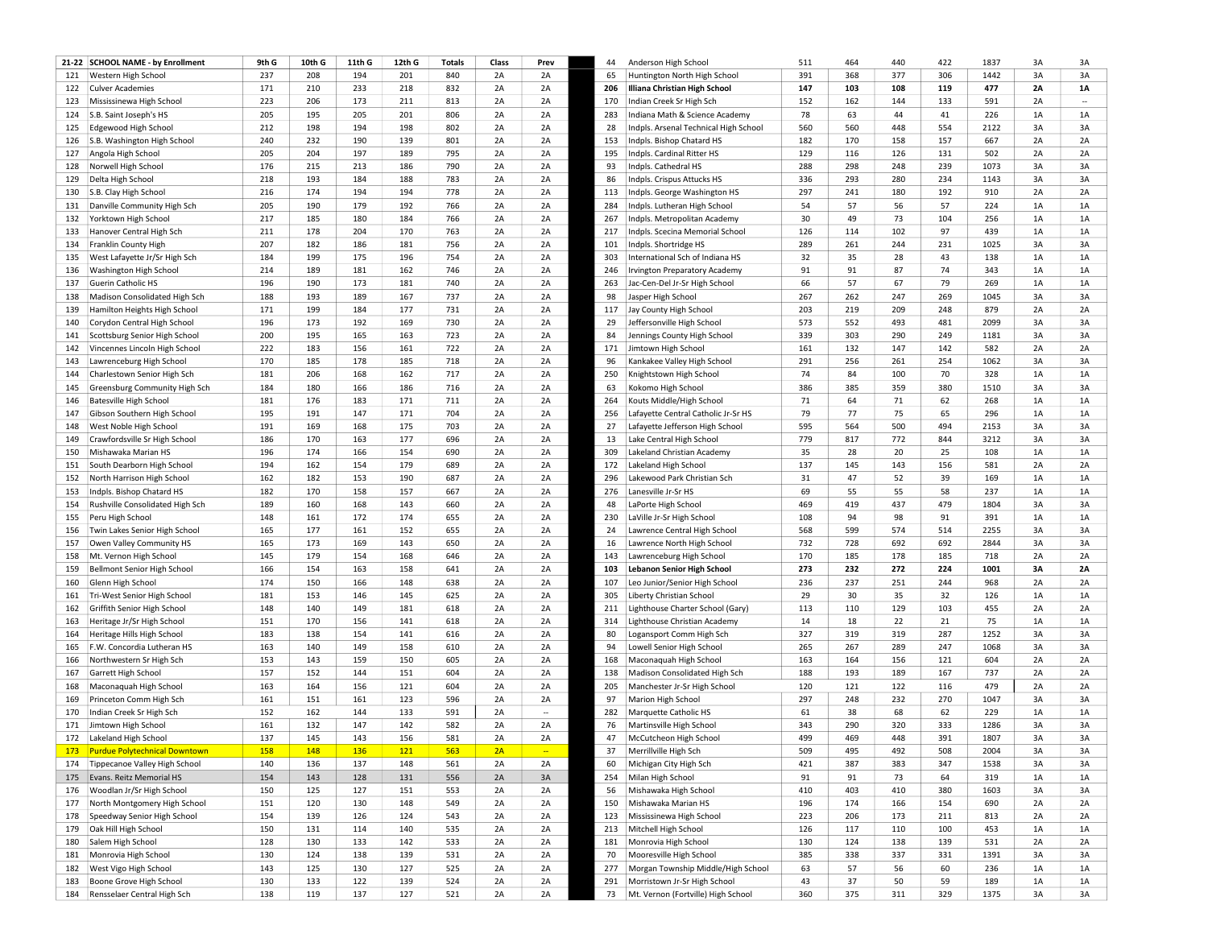| 391<br>Western High School<br>237<br>208<br>194<br>201<br>840<br>2A<br>2A<br>65<br>Huntington North High School<br>368<br>377<br>306<br>1442<br>3A<br>121<br>147<br>171<br>210<br>233<br>832<br>2A<br>206<br>Illiana Christian High School<br>103<br>108<br>119<br>477<br><b>2A</b><br>122 Culver Academies<br>218<br>2A<br>223<br>206<br>173<br>211<br>813<br>2A<br>Indian Creek Sr High Sch<br>152<br>162<br>144<br>133<br>591<br>2A<br>123 Mississinewa High School<br>2A<br>170<br>$\ddot{\phantom{a}}$<br>78<br>205<br>195<br>205<br>201<br>806<br>2A<br>2A<br>283<br>63<br>44<br>41<br>226<br>1A<br>1A<br>124<br>S.B. Saint Joseph's HS<br>Indiana Math & Science Academy<br>212<br>554<br>198<br>194<br>198<br>802<br>2A<br>28<br>560<br>560<br>448<br>2122<br>3A<br>3A<br>125<br>Edgewood High School<br>2A<br>Indpls. Arsenal Technical High School<br>240<br>2A<br>232<br>190<br>139<br>801<br>2A<br>2A<br>153<br>182<br>158<br>157<br>667<br>2A<br>126 S.B. Washington High School<br>Indpls. Bishop Chatard HS<br>170<br>129<br>Angola High School<br>205<br>204<br>197<br>189<br>795<br>2A<br>195<br>Indpls. Cardinal Ritter HS<br>116<br>126<br>131<br>502<br>2A<br>2A<br>127<br>2A<br>Norwell High School<br>176<br>215<br>186<br>790<br>2A<br>93<br>Indpls. Cathedral HS<br>288<br>298<br>248<br>239<br>1073<br>3A<br>213<br>2A<br>128<br>218<br>193<br>184<br>188<br>783<br>2A<br>2A<br>86<br>336<br>293<br>280<br>234<br>1143<br>3A<br>129<br>Delta High School<br>Indpls. Crispus Attucks HS<br>216<br>297<br>S.B. Clay High School<br>174<br>194<br>194<br>778<br>2A<br>2A<br>Indpls. George Washington HS<br>241<br>180<br>192<br>910<br>2A<br>130<br>113<br>205<br>54<br>57<br>Danville Community High Sch<br>190<br>179<br>192<br>766<br>2A<br>2A<br>284<br>Indpls. Lutheran High School<br>56<br>57<br>224<br>1A<br>131<br>217<br>184<br>766<br>30<br>73<br>256<br>Yorktown High School<br>185<br>180<br>2A<br>2A<br>267<br>49<br>104<br>1A<br>1A<br>132<br>Indpls. Metropolitan Academy<br>211<br>178<br>204<br>170<br>763<br>2A<br>2A<br>217<br>Indpls. Scecina Memorial School<br>126<br>114<br>102<br>97<br>439<br>1A<br>133<br>Hanover Central High Sch<br>1A<br>289<br>Franklin County High<br>207<br>182<br>186<br>181<br>756<br>2A<br>261<br>244<br>231<br>1025<br>3A<br>3A<br>134<br>2A<br>101<br>Indpls. Shortridge HS<br>184<br>32<br>35<br>199<br>175<br>196<br>754<br>2A<br>2A<br>303<br>28<br>43<br>138<br>1A<br>1A<br>135<br>West Lafayette Jr/Sr High Sch<br>International Sch of Indiana HS<br>Washington High School<br>214<br>189<br>181<br>162<br>746<br>2A<br>2A<br>246<br>91<br>91<br>87<br>74<br>343<br>1A<br>1A<br>136<br><b>Irvington Preparatory Academy</b><br>196<br>66<br>190<br>173<br>181<br>740<br>2A<br>2A<br>57<br>67<br>79<br>269<br>1A<br><b>Guerin Catholic HS</b><br>263<br>Jac-Cen-Del Jr-Sr High School<br>137<br>188<br>98<br>267<br>193<br>189<br>167<br>737<br>2A<br>2A<br>262<br>247<br>269<br>1045<br>3A<br>138<br>Madison Consolidated High Sch<br>Jasper High School<br>171<br>203<br>Hamilton Heights High School<br>199<br>184<br>177<br>731<br>2A<br>117<br>Jay County High School<br>219<br>209<br>248<br>879<br>2A<br>139<br>2A<br>196<br>173<br>169<br>730<br>Jeffersonville High School<br>573<br>493<br>481<br>2099<br>140<br>Corydon Central High School<br>192<br>2A<br>2A<br>29<br>552<br>3A<br>339<br>200<br>195<br>165<br>163<br>723<br>2A<br>2A<br>84<br>303<br>290<br>249<br>1181<br>3A<br>3A<br>141<br>Scottsburg Senior High School<br>Jennings County High School<br>222<br>183<br>156<br>161<br>722<br>2A<br>2A<br>161<br>132<br>147<br>142<br>582<br>2A<br>2A<br>Vincennes Lincoln High School<br>171<br>Jimtown High School<br>142<br>291<br>170<br>185<br>178<br>185<br>718<br>2A<br>2A<br>96<br>Kankakee Valley High School<br>256<br>261<br>254<br>1062<br>3A<br>3A<br>143<br>Lawrenceburg High School<br>181<br>162<br>717<br>74<br>84<br>206<br>168<br>2A<br>2A<br>250<br>Knightstown High School<br>100<br>70<br>328<br>1A<br>1A<br>Charlestown Senior High Sch<br>144<br>184<br>180<br>166<br>186<br>716<br>2A<br>63<br>386<br>385<br>359<br>380<br>1510<br>3A<br>3A<br>Greensburg Community High Sch<br>2A<br>Kokomo High School<br>145<br>181<br>176<br>183<br>171<br>711<br>2A<br>Kouts Middle/High School<br>71<br>64<br>71<br>62<br>268<br>1A<br>146<br><b>Batesville High School</b><br>2A<br>264<br>77<br>75<br>195<br>147<br>171<br>704<br>79<br>65<br>296<br>Gibson Southern High School<br>191<br>2A<br>2A<br>256<br>Lafayette Central Catholic Jr-Sr HS<br>1A<br>147<br>595<br>500<br>191<br>169<br>168<br>175<br>703<br>2A<br>2A<br>27<br>564<br>494<br>2153<br>3A<br>West Noble High School<br>Lafayette Jefferson High School<br>148<br>186<br>177<br>779<br>Crawfordsville Sr High School<br>170<br>163<br>696<br>2A<br>2A<br>Lake Central High School<br>817<br>772<br>844<br>3212<br>3A<br>3A<br>13<br>149<br>35<br>196<br>174<br>166<br>154<br>690<br>2A<br>2A<br>309<br>28<br>20<br>25<br>108<br>1A<br>1A<br>150<br>Mishawaka Marian HS<br>Lakeland Christian Academy<br>194<br>137<br>162<br>154<br>179<br>689<br>2A<br>172<br>Lakeland High School<br>145<br>143<br>156<br>581<br>2A<br>2A<br>South Dearborn High School<br>2A<br>151<br>162<br>182<br>153<br>190<br>687<br>2A<br>296<br>Lakewood Park Christian Sch<br>31<br>47<br>52<br>39<br>169<br>1A<br>152<br>North Harrison High School<br>2A<br>1A<br>Indpls. Bishop Chatard HS<br>182<br>170<br>158<br>157<br>667<br>2A<br>276<br>Lanesville Jr-Sr HS<br>69<br>55<br>55<br>58<br>237<br>1A<br>1A<br>153<br>2A<br>189<br>160<br>168<br>143<br>660<br>2A<br>469<br>419<br>437<br>479<br>1804<br>3A<br>3A<br>154<br>Rushville Consolidated High Sch<br>2A<br>48<br>LaPorte High School<br>Peru High School<br>148<br>161<br>172<br>174<br>655<br>2A<br>2A<br>230<br>108<br>94<br>98<br>91<br>391<br>1A<br>155<br>LaVille Jr-Sr High School<br>165<br>152<br>568<br>Twin Lakes Senior High School<br>177<br>161<br>655<br>2A<br>2A<br>24<br>Lawrence Central High School<br>599<br>574<br>514<br>2255<br>3A<br>156<br>165<br>173<br>650<br>732<br>692<br>2844<br>Owen Valley Community HS<br>169<br>143<br>2A<br>2A<br>16<br>Lawrence North High School<br>728<br>692<br>3A<br>157<br>170<br>145<br>179<br>154<br>168<br>646<br>2A<br>Lawrenceburg High School<br>185<br>178<br>185<br>718<br>2A<br>Mt. Vernon High School<br>2A<br>143<br>158<br>Bellmont Senior High School<br>166<br>154<br>163<br>158<br>641<br>2A<br><b>Lebanon Senior High School</b><br>273<br>232<br>272<br>224<br>1001<br>3A<br><b>2A</b><br>159<br>2A<br>103<br>236<br>2A<br>2A<br>174<br>150<br>166<br>148<br>638<br>2A<br>2A<br>107<br>Leo Junior/Senior High School<br>237<br>251<br>244<br>968<br>160<br>Glenn High School<br>181<br>153<br>146<br>145<br>625<br>2A<br>2A<br>305<br>Liberty Christian School<br>29<br>30<br>35<br>32<br>126<br>1A<br>1A<br>Tri-West Senior High School<br>161<br>Griffith Senior High School<br>148<br>140<br>149<br>181<br>618<br>2A<br>2A<br>211<br>Lighthouse Charter School (Gary)<br>113<br>110<br>129<br>103<br>455<br>2A<br>2A<br>162<br>151<br>14<br>18<br>22<br>21<br>75<br>1A<br>170<br>156<br>141<br>618<br>2A<br>2A<br>314<br>Lighthouse Christian Academy<br>1A<br>163<br>Heritage Jr/Sr High School<br>183<br>327<br>1252<br>138<br>154<br>141<br>616<br>2A<br>2A<br>80<br>Logansport Comm High Sch<br>319<br>319<br>287<br>3A<br>Heritage Hills High School<br>164<br>163<br>140<br>149<br>158<br>610<br>2A<br>94<br>265<br>267<br>289<br>247<br>1068<br>3A<br>F.W. Concordia Lutheran HS<br>2A<br>Lowell Senior High School<br>165<br>153<br>143<br>159<br>150<br>605<br>2A<br>2A<br>163<br>164<br>156<br>121<br>604<br>2A<br>Northwestern Sr High Sch<br>168<br>Maconaquah High School<br>166<br>157<br>152<br>144<br>151<br>604<br>2A<br>2A<br>188<br>193<br>189<br>167<br>737<br>2A<br><b>Garrett High School</b><br>138<br>Madison Consolidated High Sch<br>167<br>163<br>120<br>164<br>156<br>121<br>604<br>2A<br>2A<br>205<br>Manchester Jr-Sr High School<br>121<br>122<br>116<br>479<br>2A<br>168<br>Maconaquah High School<br>161<br>297<br>232<br>270<br>3A<br>151<br>161<br>123<br>596<br>2A<br>2A<br>97<br>Marion High School<br>248<br>1047<br>3A<br>169<br>Princeton Comm High Sch<br>152<br>61<br>Indian Creek Sr High Sch<br>162<br>144<br>133<br>591<br>2A<br>Marquette Catholic HS<br>38<br>68<br>62<br>229<br>1A<br>1A<br>170<br>282<br>ä.<br>343<br>171 Jimtown High School<br>161<br>132<br>147<br>142<br>582<br>2A<br>2A<br>Martinsville High School<br>290<br>320<br>333<br>1286<br>3A<br>3A<br>76<br>137<br>143<br>156<br>581<br>2A<br>499<br>448<br>391<br>1807<br>3A<br>172<br>Lakeland High School<br>145<br>2A<br>47<br>McCutcheon High School<br>469<br>3A<br><b>158</b><br>121<br>563<br><b>Purdue Polytechnical Downtown</b><br>148<br>136<br>2A<br>37<br>Merrillville High Sch<br>509<br>495<br>492<br>508<br>2004<br>3A<br>173<br>$\overline{\phantom{a}}$<br>387<br>383<br>174 Tippecanoe Valley High School<br>140<br>136<br>137<br>148<br>561<br>2A<br>2A<br>60<br>Michigan City High Sch<br>421<br>347<br>1538<br>3A<br>91<br>73<br>175 Evans. Reitz Memorial HS<br>154<br>143<br>128<br>131<br>556<br>2A<br>3A<br>254<br>Milan High School<br>91<br>64<br>319<br>1A<br>150<br>125<br>127<br>151<br>553<br>2A<br>2A<br>56<br>Mishawaka High School<br>410<br>403<br>410<br>380<br>1603<br>3A<br>Woodlan Jr/Sr High School<br>176<br>Mishawaka Marian HS<br>196<br>North Montgomery High School<br>151<br>120<br>130<br>148<br>549<br>2A<br>2A<br>150<br>174<br>166<br>154<br>690<br>2A<br>2A<br>177<br>Speedway Senior High School<br>154<br>139<br>126<br>124<br>543<br>2A<br>2A<br>123<br>Mississinewa High School<br>223<br>206<br>173<br>211<br>813<br>2A<br>2A<br>178<br>Oak Hill High School<br>150<br>114<br>140<br>2A<br>2A<br>213<br>Mitchell High School<br>126<br>117<br>110<br>100<br>453<br>1A<br>1A<br>179<br>131<br>535<br>128<br>Salem High School<br>130<br>133<br>142<br>533<br>2A<br>2A<br>181<br>Monrovia High School<br>130<br>124<br>138<br>139<br>531<br>2A<br>180<br>385<br>Monrovia High School<br>130<br>124<br>138<br>139<br>531<br>2A<br>2A<br>70<br>Mooresville High School<br>338<br>337<br>331<br>1391<br>3A<br>181<br>143<br>130<br>127<br>2A<br>63<br>57<br>56<br>60<br>West Vigo High School<br>125<br>525<br>2A<br>Morgan Township Middle/High School<br>236<br>1A<br>182<br>277<br>Boone Grove High School<br>130<br>133<br>122<br>139<br>524<br>2A<br>2A<br>Morristown Jr-Sr High School<br>43<br>37<br>50<br>59<br>189<br>1A<br>183<br>291<br>137<br>360<br>3A<br>184 Rensselaer Central High Sch<br>138<br>119<br>127<br>2A<br>73<br>311<br>329<br>1375 | 21-22 SCHOOL NAME - by Enrollment | 9th G | 10th G | 11th G | 12th G | <b>Totals</b> | Class | Prev | 44 | Anderson High School               | 511 | 464 | 440 | 422 | 1837 | 3A | 3A        |
|------------------------------------------------------------------------------------------------------------------------------------------------------------------------------------------------------------------------------------------------------------------------------------------------------------------------------------------------------------------------------------------------------------------------------------------------------------------------------------------------------------------------------------------------------------------------------------------------------------------------------------------------------------------------------------------------------------------------------------------------------------------------------------------------------------------------------------------------------------------------------------------------------------------------------------------------------------------------------------------------------------------------------------------------------------------------------------------------------------------------------------------------------------------------------------------------------------------------------------------------------------------------------------------------------------------------------------------------------------------------------------------------------------------------------------------------------------------------------------------------------------------------------------------------------------------------------------------------------------------------------------------------------------------------------------------------------------------------------------------------------------------------------------------------------------------------------------------------------------------------------------------------------------------------------------------------------------------------------------------------------------------------------------------------------------------------------------------------------------------------------------------------------------------------------------------------------------------------------------------------------------------------------------------------------------------------------------------------------------------------------------------------------------------------------------------------------------------------------------------------------------------------------------------------------------------------------------------------------------------------------------------------------------------------------------------------------------------------------------------------------------------------------------------------------------------------------------------------------------------------------------------------------------------------------------------------------------------------------------------------------------------------------------------------------------------------------------------------------------------------------------------------------------------------------------------------------------------------------------------------------------------------------------------------------------------------------------------------------------------------------------------------------------------------------------------------------------------------------------------------------------------------------------------------------------------------------------------------------------------------------------------------------------------------------------------------------------------------------------------------------------------------------------------------------------------------------------------------------------------------------------------------------------------------------------------------------------------------------------------------------------------------------------------------------------------------------------------------------------------------------------------------------------------------------------------------------------------------------------------------------------------------------------------------------------------------------------------------------------------------------------------------------------------------------------------------------------------------------------------------------------------------------------------------------------------------------------------------------------------------------------------------------------------------------------------------------------------------------------------------------------------------------------------------------------------------------------------------------------------------------------------------------------------------------------------------------------------------------------------------------------------------------------------------------------------------------------------------------------------------------------------------------------------------------------------------------------------------------------------------------------------------------------------------------------------------------------------------------------------------------------------------------------------------------------------------------------------------------------------------------------------------------------------------------------------------------------------------------------------------------------------------------------------------------------------------------------------------------------------------------------------------------------------------------------------------------------------------------------------------------------------------------------------------------------------------------------------------------------------------------------------------------------------------------------------------------------------------------------------------------------------------------------------------------------------------------------------------------------------------------------------------------------------------------------------------------------------------------------------------------------------------------------------------------------------------------------------------------------------------------------------------------------------------------------------------------------------------------------------------------------------------------------------------------------------------------------------------------------------------------------------------------------------------------------------------------------------------------------------------------------------------------------------------------------------------------------------------------------------------------------------------------------------------------------------------------------------------------------------------------------------------------------------------------------------------------------------------------------------------------------------------------------------------------------------------------------------------------------------------------------------------------------------------------------------------------------------------------------------------------------------------------------------------------------------------------------------------------------------------------------------------------------------------------------------------------------------------------------------------------------------------------------------------------------------------------------------------------------------------------------------------------------------------------------------------------------------------------------------------------------------------------------------------------------------------------------------------------------------------------------------------------------------------------------------------------------------------------------------------------------------------------------------------------------------------------------------------------------------------------------------------------------------------------------------------------------------------------------------------------------------------------------------------------------------------------------------------------------------------------------------------------------------------------------------------------------------------------------------------------------------------------------------------------------------------------------------------------------------------------------------------------------------------------------------------------------------------------------------------------------------------------------------------------------------------------------------------------------------------------------------------------------------------------------------------------------------------------------------------------------------------------------------------------------------------------------------------------------------------------------------------------------------------------------------------------------------------------------------------------------------------------------------------------------------------------------------------------------------------------------------------------------------------------------------------------------------------------------------------------------------------------------------------------------------------------------------------------------------------------------------------------------------------------------------------------------------------------------------------------------------------------------------------------------------------------------------------------------------------------------------------------------------------------------------------------------------------------------------------------------------------------------------------------------------------------------------------------------------------------------------------------------------------------------------------------------------------------------------------------------------------------------------------------------------------------------------------------------------------------------------------------------------------------------------------------------------------------------------------|-----------------------------------|-------|--------|--------|--------|---------------|-------|------|----|------------------------------------|-----|-----|-----|-----|------|----|-----------|
|                                                                                                                                                                                                                                                                                                                                                                                                                                                                                                                                                                                                                                                                                                                                                                                                                                                                                                                                                                                                                                                                                                                                                                                                                                                                                                                                                                                                                                                                                                                                                                                                                                                                                                                                                                                                                                                                                                                                                                                                                                                                                                                                                                                                                                                                                                                                                                                                                                                                                                                                                                                                                                                                                                                                                                                                                                                                                                                                                                                                                                                                                                                                                                                                                                                                                                                                                                                                                                                                                                                                                                                                                                                                                                                                                                                                                                                                                                                                                                                                                                                                                                                                                                                                                                                                                                                                                                                                                                                                                                                                                                                                                                                                                                                                                                                                                                                                                                                                                                                                                                                                                                                                                                                                                                                                                                                                                                                                                                                                                                                                                                                                                                                                                                                                                                                                                                                                                                                                                                                                                                                                                                                                                                                                                                                                                                                                                                                                                                                                                                                                                                                                                                                                                                                                                                                                                                                                                                                                                                                                                                                                                                                                                                                                                                                                                                                                                                                                                                                                                                                                                                                                                                                                                                                                                                                                                                                                                                                                                                                                                                                                                                                                                                                                                                                                                                                                                                                                                                                                                                                                                                                                                                                                                                                                                                                                                                                                                                                                                                                                                                                                                                                                                                                                                                                                                                                                                                                                                                                                                                                                                                                                                                                                                                                                                                                                                                                                                                                                                                                                                                                                                                                                                                                                                                                                                                                                                                                                                                                                                                                                                                                                                                                                                                                                                |                                   |       |        |        |        |               |       |      |    |                                    |     |     |     |     |      |    | 3A        |
|                                                                                                                                                                                                                                                                                                                                                                                                                                                                                                                                                                                                                                                                                                                                                                                                                                                                                                                                                                                                                                                                                                                                                                                                                                                                                                                                                                                                                                                                                                                                                                                                                                                                                                                                                                                                                                                                                                                                                                                                                                                                                                                                                                                                                                                                                                                                                                                                                                                                                                                                                                                                                                                                                                                                                                                                                                                                                                                                                                                                                                                                                                                                                                                                                                                                                                                                                                                                                                                                                                                                                                                                                                                                                                                                                                                                                                                                                                                                                                                                                                                                                                                                                                                                                                                                                                                                                                                                                                                                                                                                                                                                                                                                                                                                                                                                                                                                                                                                                                                                                                                                                                                                                                                                                                                                                                                                                                                                                                                                                                                                                                                                                                                                                                                                                                                                                                                                                                                                                                                                                                                                                                                                                                                                                                                                                                                                                                                                                                                                                                                                                                                                                                                                                                                                                                                                                                                                                                                                                                                                                                                                                                                                                                                                                                                                                                                                                                                                                                                                                                                                                                                                                                                                                                                                                                                                                                                                                                                                                                                                                                                                                                                                                                                                                                                                                                                                                                                                                                                                                                                                                                                                                                                                                                                                                                                                                                                                                                                                                                                                                                                                                                                                                                                                                                                                                                                                                                                                                                                                                                                                                                                                                                                                                                                                                                                                                                                                                                                                                                                                                                                                                                                                                                                                                                                                                                                                                                                                                                                                                                                                                                                                                                                                                                                                                |                                   |       |        |        |        |               |       |      |    |                                    |     |     |     |     |      |    | <b>1A</b> |
|                                                                                                                                                                                                                                                                                                                                                                                                                                                                                                                                                                                                                                                                                                                                                                                                                                                                                                                                                                                                                                                                                                                                                                                                                                                                                                                                                                                                                                                                                                                                                                                                                                                                                                                                                                                                                                                                                                                                                                                                                                                                                                                                                                                                                                                                                                                                                                                                                                                                                                                                                                                                                                                                                                                                                                                                                                                                                                                                                                                                                                                                                                                                                                                                                                                                                                                                                                                                                                                                                                                                                                                                                                                                                                                                                                                                                                                                                                                                                                                                                                                                                                                                                                                                                                                                                                                                                                                                                                                                                                                                                                                                                                                                                                                                                                                                                                                                                                                                                                                                                                                                                                                                                                                                                                                                                                                                                                                                                                                                                                                                                                                                                                                                                                                                                                                                                                                                                                                                                                                                                                                                                                                                                                                                                                                                                                                                                                                                                                                                                                                                                                                                                                                                                                                                                                                                                                                                                                                                                                                                                                                                                                                                                                                                                                                                                                                                                                                                                                                                                                                                                                                                                                                                                                                                                                                                                                                                                                                                                                                                                                                                                                                                                                                                                                                                                                                                                                                                                                                                                                                                                                                                                                                                                                                                                                                                                                                                                                                                                                                                                                                                                                                                                                                                                                                                                                                                                                                                                                                                                                                                                                                                                                                                                                                                                                                                                                                                                                                                                                                                                                                                                                                                                                                                                                                                                                                                                                                                                                                                                                                                                                                                                                                                                                                                                |                                   |       |        |        |        |               |       |      |    |                                    |     |     |     |     |      |    |           |
|                                                                                                                                                                                                                                                                                                                                                                                                                                                                                                                                                                                                                                                                                                                                                                                                                                                                                                                                                                                                                                                                                                                                                                                                                                                                                                                                                                                                                                                                                                                                                                                                                                                                                                                                                                                                                                                                                                                                                                                                                                                                                                                                                                                                                                                                                                                                                                                                                                                                                                                                                                                                                                                                                                                                                                                                                                                                                                                                                                                                                                                                                                                                                                                                                                                                                                                                                                                                                                                                                                                                                                                                                                                                                                                                                                                                                                                                                                                                                                                                                                                                                                                                                                                                                                                                                                                                                                                                                                                                                                                                                                                                                                                                                                                                                                                                                                                                                                                                                                                                                                                                                                                                                                                                                                                                                                                                                                                                                                                                                                                                                                                                                                                                                                                                                                                                                                                                                                                                                                                                                                                                                                                                                                                                                                                                                                                                                                                                                                                                                                                                                                                                                                                                                                                                                                                                                                                                                                                                                                                                                                                                                                                                                                                                                                                                                                                                                                                                                                                                                                                                                                                                                                                                                                                                                                                                                                                                                                                                                                                                                                                                                                                                                                                                                                                                                                                                                                                                                                                                                                                                                                                                                                                                                                                                                                                                                                                                                                                                                                                                                                                                                                                                                                                                                                                                                                                                                                                                                                                                                                                                                                                                                                                                                                                                                                                                                                                                                                                                                                                                                                                                                                                                                                                                                                                                                                                                                                                                                                                                                                                                                                                                                                                                                                                                                |                                   |       |        |        |        |               |       |      |    |                                    |     |     |     |     |      |    |           |
|                                                                                                                                                                                                                                                                                                                                                                                                                                                                                                                                                                                                                                                                                                                                                                                                                                                                                                                                                                                                                                                                                                                                                                                                                                                                                                                                                                                                                                                                                                                                                                                                                                                                                                                                                                                                                                                                                                                                                                                                                                                                                                                                                                                                                                                                                                                                                                                                                                                                                                                                                                                                                                                                                                                                                                                                                                                                                                                                                                                                                                                                                                                                                                                                                                                                                                                                                                                                                                                                                                                                                                                                                                                                                                                                                                                                                                                                                                                                                                                                                                                                                                                                                                                                                                                                                                                                                                                                                                                                                                                                                                                                                                                                                                                                                                                                                                                                                                                                                                                                                                                                                                                                                                                                                                                                                                                                                                                                                                                                                                                                                                                                                                                                                                                                                                                                                                                                                                                                                                                                                                                                                                                                                                                                                                                                                                                                                                                                                                                                                                                                                                                                                                                                                                                                                                                                                                                                                                                                                                                                                                                                                                                                                                                                                                                                                                                                                                                                                                                                                                                                                                                                                                                                                                                                                                                                                                                                                                                                                                                                                                                                                                                                                                                                                                                                                                                                                                                                                                                                                                                                                                                                                                                                                                                                                                                                                                                                                                                                                                                                                                                                                                                                                                                                                                                                                                                                                                                                                                                                                                                                                                                                                                                                                                                                                                                                                                                                                                                                                                                                                                                                                                                                                                                                                                                                                                                                                                                                                                                                                                                                                                                                                                                                                                                                                |                                   |       |        |        |        |               |       |      |    |                                    |     |     |     |     |      |    |           |
|                                                                                                                                                                                                                                                                                                                                                                                                                                                                                                                                                                                                                                                                                                                                                                                                                                                                                                                                                                                                                                                                                                                                                                                                                                                                                                                                                                                                                                                                                                                                                                                                                                                                                                                                                                                                                                                                                                                                                                                                                                                                                                                                                                                                                                                                                                                                                                                                                                                                                                                                                                                                                                                                                                                                                                                                                                                                                                                                                                                                                                                                                                                                                                                                                                                                                                                                                                                                                                                                                                                                                                                                                                                                                                                                                                                                                                                                                                                                                                                                                                                                                                                                                                                                                                                                                                                                                                                                                                                                                                                                                                                                                                                                                                                                                                                                                                                                                                                                                                                                                                                                                                                                                                                                                                                                                                                                                                                                                                                                                                                                                                                                                                                                                                                                                                                                                                                                                                                                                                                                                                                                                                                                                                                                                                                                                                                                                                                                                                                                                                                                                                                                                                                                                                                                                                                                                                                                                                                                                                                                                                                                                                                                                                                                                                                                                                                                                                                                                                                                                                                                                                                                                                                                                                                                                                                                                                                                                                                                                                                                                                                                                                                                                                                                                                                                                                                                                                                                                                                                                                                                                                                                                                                                                                                                                                                                                                                                                                                                                                                                                                                                                                                                                                                                                                                                                                                                                                                                                                                                                                                                                                                                                                                                                                                                                                                                                                                                                                                                                                                                                                                                                                                                                                                                                                                                                                                                                                                                                                                                                                                                                                                                                                                                                                                                                |                                   |       |        |        |        |               |       |      |    |                                    |     |     |     |     |      |    |           |
|                                                                                                                                                                                                                                                                                                                                                                                                                                                                                                                                                                                                                                                                                                                                                                                                                                                                                                                                                                                                                                                                                                                                                                                                                                                                                                                                                                                                                                                                                                                                                                                                                                                                                                                                                                                                                                                                                                                                                                                                                                                                                                                                                                                                                                                                                                                                                                                                                                                                                                                                                                                                                                                                                                                                                                                                                                                                                                                                                                                                                                                                                                                                                                                                                                                                                                                                                                                                                                                                                                                                                                                                                                                                                                                                                                                                                                                                                                                                                                                                                                                                                                                                                                                                                                                                                                                                                                                                                                                                                                                                                                                                                                                                                                                                                                                                                                                                                                                                                                                                                                                                                                                                                                                                                                                                                                                                                                                                                                                                                                                                                                                                                                                                                                                                                                                                                                                                                                                                                                                                                                                                                                                                                                                                                                                                                                                                                                                                                                                                                                                                                                                                                                                                                                                                                                                                                                                                                                                                                                                                                                                                                                                                                                                                                                                                                                                                                                                                                                                                                                                                                                                                                                                                                                                                                                                                                                                                                                                                                                                                                                                                                                                                                                                                                                                                                                                                                                                                                                                                                                                                                                                                                                                                                                                                                                                                                                                                                                                                                                                                                                                                                                                                                                                                                                                                                                                                                                                                                                                                                                                                                                                                                                                                                                                                                                                                                                                                                                                                                                                                                                                                                                                                                                                                                                                                                                                                                                                                                                                                                                                                                                                                                                                                                                                                                |                                   |       |        |        |        |               |       |      |    |                                    |     |     |     |     |      |    |           |
|                                                                                                                                                                                                                                                                                                                                                                                                                                                                                                                                                                                                                                                                                                                                                                                                                                                                                                                                                                                                                                                                                                                                                                                                                                                                                                                                                                                                                                                                                                                                                                                                                                                                                                                                                                                                                                                                                                                                                                                                                                                                                                                                                                                                                                                                                                                                                                                                                                                                                                                                                                                                                                                                                                                                                                                                                                                                                                                                                                                                                                                                                                                                                                                                                                                                                                                                                                                                                                                                                                                                                                                                                                                                                                                                                                                                                                                                                                                                                                                                                                                                                                                                                                                                                                                                                                                                                                                                                                                                                                                                                                                                                                                                                                                                                                                                                                                                                                                                                                                                                                                                                                                                                                                                                                                                                                                                                                                                                                                                                                                                                                                                                                                                                                                                                                                                                                                                                                                                                                                                                                                                                                                                                                                                                                                                                                                                                                                                                                                                                                                                                                                                                                                                                                                                                                                                                                                                                                                                                                                                                                                                                                                                                                                                                                                                                                                                                                                                                                                                                                                                                                                                                                                                                                                                                                                                                                                                                                                                                                                                                                                                                                                                                                                                                                                                                                                                                                                                                                                                                                                                                                                                                                                                                                                                                                                                                                                                                                                                                                                                                                                                                                                                                                                                                                                                                                                                                                                                                                                                                                                                                                                                                                                                                                                                                                                                                                                                                                                                                                                                                                                                                                                                                                                                                                                                                                                                                                                                                                                                                                                                                                                                                                                                                                                                                |                                   |       |        |        |        |               |       |      |    |                                    |     |     |     |     |      |    |           |
|                                                                                                                                                                                                                                                                                                                                                                                                                                                                                                                                                                                                                                                                                                                                                                                                                                                                                                                                                                                                                                                                                                                                                                                                                                                                                                                                                                                                                                                                                                                                                                                                                                                                                                                                                                                                                                                                                                                                                                                                                                                                                                                                                                                                                                                                                                                                                                                                                                                                                                                                                                                                                                                                                                                                                                                                                                                                                                                                                                                                                                                                                                                                                                                                                                                                                                                                                                                                                                                                                                                                                                                                                                                                                                                                                                                                                                                                                                                                                                                                                                                                                                                                                                                                                                                                                                                                                                                                                                                                                                                                                                                                                                                                                                                                                                                                                                                                                                                                                                                                                                                                                                                                                                                                                                                                                                                                                                                                                                                                                                                                                                                                                                                                                                                                                                                                                                                                                                                                                                                                                                                                                                                                                                                                                                                                                                                                                                                                                                                                                                                                                                                                                                                                                                                                                                                                                                                                                                                                                                                                                                                                                                                                                                                                                                                                                                                                                                                                                                                                                                                                                                                                                                                                                                                                                                                                                                                                                                                                                                                                                                                                                                                                                                                                                                                                                                                                                                                                                                                                                                                                                                                                                                                                                                                                                                                                                                                                                                                                                                                                                                                                                                                                                                                                                                                                                                                                                                                                                                                                                                                                                                                                                                                                                                                                                                                                                                                                                                                                                                                                                                                                                                                                                                                                                                                                                                                                                                                                                                                                                                                                                                                                                                                                                                                                                |                                   |       |        |        |        |               |       |      |    |                                    |     |     |     |     |      |    | 3A        |
|                                                                                                                                                                                                                                                                                                                                                                                                                                                                                                                                                                                                                                                                                                                                                                                                                                                                                                                                                                                                                                                                                                                                                                                                                                                                                                                                                                                                                                                                                                                                                                                                                                                                                                                                                                                                                                                                                                                                                                                                                                                                                                                                                                                                                                                                                                                                                                                                                                                                                                                                                                                                                                                                                                                                                                                                                                                                                                                                                                                                                                                                                                                                                                                                                                                                                                                                                                                                                                                                                                                                                                                                                                                                                                                                                                                                                                                                                                                                                                                                                                                                                                                                                                                                                                                                                                                                                                                                                                                                                                                                                                                                                                                                                                                                                                                                                                                                                                                                                                                                                                                                                                                                                                                                                                                                                                                                                                                                                                                                                                                                                                                                                                                                                                                                                                                                                                                                                                                                                                                                                                                                                                                                                                                                                                                                                                                                                                                                                                                                                                                                                                                                                                                                                                                                                                                                                                                                                                                                                                                                                                                                                                                                                                                                                                                                                                                                                                                                                                                                                                                                                                                                                                                                                                                                                                                                                                                                                                                                                                                                                                                                                                                                                                                                                                                                                                                                                                                                                                                                                                                                                                                                                                                                                                                                                                                                                                                                                                                                                                                                                                                                                                                                                                                                                                                                                                                                                                                                                                                                                                                                                                                                                                                                                                                                                                                                                                                                                                                                                                                                                                                                                                                                                                                                                                                                                                                                                                                                                                                                                                                                                                                                                                                                                                                                                |                                   |       |        |        |        |               |       |      |    |                                    |     |     |     |     |      |    | 3A        |
|                                                                                                                                                                                                                                                                                                                                                                                                                                                                                                                                                                                                                                                                                                                                                                                                                                                                                                                                                                                                                                                                                                                                                                                                                                                                                                                                                                                                                                                                                                                                                                                                                                                                                                                                                                                                                                                                                                                                                                                                                                                                                                                                                                                                                                                                                                                                                                                                                                                                                                                                                                                                                                                                                                                                                                                                                                                                                                                                                                                                                                                                                                                                                                                                                                                                                                                                                                                                                                                                                                                                                                                                                                                                                                                                                                                                                                                                                                                                                                                                                                                                                                                                                                                                                                                                                                                                                                                                                                                                                                                                                                                                                                                                                                                                                                                                                                                                                                                                                                                                                                                                                                                                                                                                                                                                                                                                                                                                                                                                                                                                                                                                                                                                                                                                                                                                                                                                                                                                                                                                                                                                                                                                                                                                                                                                                                                                                                                                                                                                                                                                                                                                                                                                                                                                                                                                                                                                                                                                                                                                                                                                                                                                                                                                                                                                                                                                                                                                                                                                                                                                                                                                                                                                                                                                                                                                                                                                                                                                                                                                                                                                                                                                                                                                                                                                                                                                                                                                                                                                                                                                                                                                                                                                                                                                                                                                                                                                                                                                                                                                                                                                                                                                                                                                                                                                                                                                                                                                                                                                                                                                                                                                                                                                                                                                                                                                                                                                                                                                                                                                                                                                                                                                                                                                                                                                                                                                                                                                                                                                                                                                                                                                                                                                                                                                                |                                   |       |        |        |        |               |       |      |    |                                    |     |     |     |     |      |    | 2A        |
|                                                                                                                                                                                                                                                                                                                                                                                                                                                                                                                                                                                                                                                                                                                                                                                                                                                                                                                                                                                                                                                                                                                                                                                                                                                                                                                                                                                                                                                                                                                                                                                                                                                                                                                                                                                                                                                                                                                                                                                                                                                                                                                                                                                                                                                                                                                                                                                                                                                                                                                                                                                                                                                                                                                                                                                                                                                                                                                                                                                                                                                                                                                                                                                                                                                                                                                                                                                                                                                                                                                                                                                                                                                                                                                                                                                                                                                                                                                                                                                                                                                                                                                                                                                                                                                                                                                                                                                                                                                                                                                                                                                                                                                                                                                                                                                                                                                                                                                                                                                                                                                                                                                                                                                                                                                                                                                                                                                                                                                                                                                                                                                                                                                                                                                                                                                                                                                                                                                                                                                                                                                                                                                                                                                                                                                                                                                                                                                                                                                                                                                                                                                                                                                                                                                                                                                                                                                                                                                                                                                                                                                                                                                                                                                                                                                                                                                                                                                                                                                                                                                                                                                                                                                                                                                                                                                                                                                                                                                                                                                                                                                                                                                                                                                                                                                                                                                                                                                                                                                                                                                                                                                                                                                                                                                                                                                                                                                                                                                                                                                                                                                                                                                                                                                                                                                                                                                                                                                                                                                                                                                                                                                                                                                                                                                                                                                                                                                                                                                                                                                                                                                                                                                                                                                                                                                                                                                                                                                                                                                                                                                                                                                                                                                                                                                                                |                                   |       |        |        |        |               |       |      |    |                                    |     |     |     |     |      |    | 1A        |
|                                                                                                                                                                                                                                                                                                                                                                                                                                                                                                                                                                                                                                                                                                                                                                                                                                                                                                                                                                                                                                                                                                                                                                                                                                                                                                                                                                                                                                                                                                                                                                                                                                                                                                                                                                                                                                                                                                                                                                                                                                                                                                                                                                                                                                                                                                                                                                                                                                                                                                                                                                                                                                                                                                                                                                                                                                                                                                                                                                                                                                                                                                                                                                                                                                                                                                                                                                                                                                                                                                                                                                                                                                                                                                                                                                                                                                                                                                                                                                                                                                                                                                                                                                                                                                                                                                                                                                                                                                                                                                                                                                                                                                                                                                                                                                                                                                                                                                                                                                                                                                                                                                                                                                                                                                                                                                                                                                                                                                                                                                                                                                                                                                                                                                                                                                                                                                                                                                                                                                                                                                                                                                                                                                                                                                                                                                                                                                                                                                                                                                                                                                                                                                                                                                                                                                                                                                                                                                                                                                                                                                                                                                                                                                                                                                                                                                                                                                                                                                                                                                                                                                                                                                                                                                                                                                                                                                                                                                                                                                                                                                                                                                                                                                                                                                                                                                                                                                                                                                                                                                                                                                                                                                                                                                                                                                                                                                                                                                                                                                                                                                                                                                                                                                                                                                                                                                                                                                                                                                                                                                                                                                                                                                                                                                                                                                                                                                                                                                                                                                                                                                                                                                                                                                                                                                                                                                                                                                                                                                                                                                                                                                                                                                                                                                                                                |                                   |       |        |        |        |               |       |      |    |                                    |     |     |     |     |      |    |           |
|                                                                                                                                                                                                                                                                                                                                                                                                                                                                                                                                                                                                                                                                                                                                                                                                                                                                                                                                                                                                                                                                                                                                                                                                                                                                                                                                                                                                                                                                                                                                                                                                                                                                                                                                                                                                                                                                                                                                                                                                                                                                                                                                                                                                                                                                                                                                                                                                                                                                                                                                                                                                                                                                                                                                                                                                                                                                                                                                                                                                                                                                                                                                                                                                                                                                                                                                                                                                                                                                                                                                                                                                                                                                                                                                                                                                                                                                                                                                                                                                                                                                                                                                                                                                                                                                                                                                                                                                                                                                                                                                                                                                                                                                                                                                                                                                                                                                                                                                                                                                                                                                                                                                                                                                                                                                                                                                                                                                                                                                                                                                                                                                                                                                                                                                                                                                                                                                                                                                                                                                                                                                                                                                                                                                                                                                                                                                                                                                                                                                                                                                                                                                                                                                                                                                                                                                                                                                                                                                                                                                                                                                                                                                                                                                                                                                                                                                                                                                                                                                                                                                                                                                                                                                                                                                                                                                                                                                                                                                                                                                                                                                                                                                                                                                                                                                                                                                                                                                                                                                                                                                                                                                                                                                                                                                                                                                                                                                                                                                                                                                                                                                                                                                                                                                                                                                                                                                                                                                                                                                                                                                                                                                                                                                                                                                                                                                                                                                                                                                                                                                                                                                                                                                                                                                                                                                                                                                                                                                                                                                                                                                                                                                                                                                                                                                                |                                   |       |        |        |        |               |       |      |    |                                    |     |     |     |     |      |    |           |
|                                                                                                                                                                                                                                                                                                                                                                                                                                                                                                                                                                                                                                                                                                                                                                                                                                                                                                                                                                                                                                                                                                                                                                                                                                                                                                                                                                                                                                                                                                                                                                                                                                                                                                                                                                                                                                                                                                                                                                                                                                                                                                                                                                                                                                                                                                                                                                                                                                                                                                                                                                                                                                                                                                                                                                                                                                                                                                                                                                                                                                                                                                                                                                                                                                                                                                                                                                                                                                                                                                                                                                                                                                                                                                                                                                                                                                                                                                                                                                                                                                                                                                                                                                                                                                                                                                                                                                                                                                                                                                                                                                                                                                                                                                                                                                                                                                                                                                                                                                                                                                                                                                                                                                                                                                                                                                                                                                                                                                                                                                                                                                                                                                                                                                                                                                                                                                                                                                                                                                                                                                                                                                                                                                                                                                                                                                                                                                                                                                                                                                                                                                                                                                                                                                                                                                                                                                                                                                                                                                                                                                                                                                                                                                                                                                                                                                                                                                                                                                                                                                                                                                                                                                                                                                                                                                                                                                                                                                                                                                                                                                                                                                                                                                                                                                                                                                                                                                                                                                                                                                                                                                                                                                                                                                                                                                                                                                                                                                                                                                                                                                                                                                                                                                                                                                                                                                                                                                                                                                                                                                                                                                                                                                                                                                                                                                                                                                                                                                                                                                                                                                                                                                                                                                                                                                                                                                                                                                                                                                                                                                                                                                                                                                                                                                                                                |                                   |       |        |        |        |               |       |      |    |                                    |     |     |     |     |      |    |           |
|                                                                                                                                                                                                                                                                                                                                                                                                                                                                                                                                                                                                                                                                                                                                                                                                                                                                                                                                                                                                                                                                                                                                                                                                                                                                                                                                                                                                                                                                                                                                                                                                                                                                                                                                                                                                                                                                                                                                                                                                                                                                                                                                                                                                                                                                                                                                                                                                                                                                                                                                                                                                                                                                                                                                                                                                                                                                                                                                                                                                                                                                                                                                                                                                                                                                                                                                                                                                                                                                                                                                                                                                                                                                                                                                                                                                                                                                                                                                                                                                                                                                                                                                                                                                                                                                                                                                                                                                                                                                                                                                                                                                                                                                                                                                                                                                                                                                                                                                                                                                                                                                                                                                                                                                                                                                                                                                                                                                                                                                                                                                                                                                                                                                                                                                                                                                                                                                                                                                                                                                                                                                                                                                                                                                                                                                                                                                                                                                                                                                                                                                                                                                                                                                                                                                                                                                                                                                                                                                                                                                                                                                                                                                                                                                                                                                                                                                                                                                                                                                                                                                                                                                                                                                                                                                                                                                                                                                                                                                                                                                                                                                                                                                                                                                                                                                                                                                                                                                                                                                                                                                                                                                                                                                                                                                                                                                                                                                                                                                                                                                                                                                                                                                                                                                                                                                                                                                                                                                                                                                                                                                                                                                                                                                                                                                                                                                                                                                                                                                                                                                                                                                                                                                                                                                                                                                                                                                                                                                                                                                                                                                                                                                                                                                                                                                                |                                   |       |        |        |        |               |       |      |    |                                    |     |     |     |     |      |    |           |
|                                                                                                                                                                                                                                                                                                                                                                                                                                                                                                                                                                                                                                                                                                                                                                                                                                                                                                                                                                                                                                                                                                                                                                                                                                                                                                                                                                                                                                                                                                                                                                                                                                                                                                                                                                                                                                                                                                                                                                                                                                                                                                                                                                                                                                                                                                                                                                                                                                                                                                                                                                                                                                                                                                                                                                                                                                                                                                                                                                                                                                                                                                                                                                                                                                                                                                                                                                                                                                                                                                                                                                                                                                                                                                                                                                                                                                                                                                                                                                                                                                                                                                                                                                                                                                                                                                                                                                                                                                                                                                                                                                                                                                                                                                                                                                                                                                                                                                                                                                                                                                                                                                                                                                                                                                                                                                                                                                                                                                                                                                                                                                                                                                                                                                                                                                                                                                                                                                                                                                                                                                                                                                                                                                                                                                                                                                                                                                                                                                                                                                                                                                                                                                                                                                                                                                                                                                                                                                                                                                                                                                                                                                                                                                                                                                                                                                                                                                                                                                                                                                                                                                                                                                                                                                                                                                                                                                                                                                                                                                                                                                                                                                                                                                                                                                                                                                                                                                                                                                                                                                                                                                                                                                                                                                                                                                                                                                                                                                                                                                                                                                                                                                                                                                                                                                                                                                                                                                                                                                                                                                                                                                                                                                                                                                                                                                                                                                                                                                                                                                                                                                                                                                                                                                                                                                                                                                                                                                                                                                                                                                                                                                                                                                                                                                                                                |                                   |       |        |        |        |               |       |      |    |                                    |     |     |     |     |      |    |           |
|                                                                                                                                                                                                                                                                                                                                                                                                                                                                                                                                                                                                                                                                                                                                                                                                                                                                                                                                                                                                                                                                                                                                                                                                                                                                                                                                                                                                                                                                                                                                                                                                                                                                                                                                                                                                                                                                                                                                                                                                                                                                                                                                                                                                                                                                                                                                                                                                                                                                                                                                                                                                                                                                                                                                                                                                                                                                                                                                                                                                                                                                                                                                                                                                                                                                                                                                                                                                                                                                                                                                                                                                                                                                                                                                                                                                                                                                                                                                                                                                                                                                                                                                                                                                                                                                                                                                                                                                                                                                                                                                                                                                                                                                                                                                                                                                                                                                                                                                                                                                                                                                                                                                                                                                                                                                                                                                                                                                                                                                                                                                                                                                                                                                                                                                                                                                                                                                                                                                                                                                                                                                                                                                                                                                                                                                                                                                                                                                                                                                                                                                                                                                                                                                                                                                                                                                                                                                                                                                                                                                                                                                                                                                                                                                                                                                                                                                                                                                                                                                                                                                                                                                                                                                                                                                                                                                                                                                                                                                                                                                                                                                                                                                                                                                                                                                                                                                                                                                                                                                                                                                                                                                                                                                                                                                                                                                                                                                                                                                                                                                                                                                                                                                                                                                                                                                                                                                                                                                                                                                                                                                                                                                                                                                                                                                                                                                                                                                                                                                                                                                                                                                                                                                                                                                                                                                                                                                                                                                                                                                                                                                                                                                                                                                                                                                                |                                   |       |        |        |        |               |       |      |    |                                    |     |     |     |     |      |    |           |
|                                                                                                                                                                                                                                                                                                                                                                                                                                                                                                                                                                                                                                                                                                                                                                                                                                                                                                                                                                                                                                                                                                                                                                                                                                                                                                                                                                                                                                                                                                                                                                                                                                                                                                                                                                                                                                                                                                                                                                                                                                                                                                                                                                                                                                                                                                                                                                                                                                                                                                                                                                                                                                                                                                                                                                                                                                                                                                                                                                                                                                                                                                                                                                                                                                                                                                                                                                                                                                                                                                                                                                                                                                                                                                                                                                                                                                                                                                                                                                                                                                                                                                                                                                                                                                                                                                                                                                                                                                                                                                                                                                                                                                                                                                                                                                                                                                                                                                                                                                                                                                                                                                                                                                                                                                                                                                                                                                                                                                                                                                                                                                                                                                                                                                                                                                                                                                                                                                                                                                                                                                                                                                                                                                                                                                                                                                                                                                                                                                                                                                                                                                                                                                                                                                                                                                                                                                                                                                                                                                                                                                                                                                                                                                                                                                                                                                                                                                                                                                                                                                                                                                                                                                                                                                                                                                                                                                                                                                                                                                                                                                                                                                                                                                                                                                                                                                                                                                                                                                                                                                                                                                                                                                                                                                                                                                                                                                                                                                                                                                                                                                                                                                                                                                                                                                                                                                                                                                                                                                                                                                                                                                                                                                                                                                                                                                                                                                                                                                                                                                                                                                                                                                                                                                                                                                                                                                                                                                                                                                                                                                                                                                                                                                                                                                                                                |                                   |       |        |        |        |               |       |      |    |                                    |     |     |     |     |      |    | 1A        |
|                                                                                                                                                                                                                                                                                                                                                                                                                                                                                                                                                                                                                                                                                                                                                                                                                                                                                                                                                                                                                                                                                                                                                                                                                                                                                                                                                                                                                                                                                                                                                                                                                                                                                                                                                                                                                                                                                                                                                                                                                                                                                                                                                                                                                                                                                                                                                                                                                                                                                                                                                                                                                                                                                                                                                                                                                                                                                                                                                                                                                                                                                                                                                                                                                                                                                                                                                                                                                                                                                                                                                                                                                                                                                                                                                                                                                                                                                                                                                                                                                                                                                                                                                                                                                                                                                                                                                                                                                                                                                                                                                                                                                                                                                                                                                                                                                                                                                                                                                                                                                                                                                                                                                                                                                                                                                                                                                                                                                                                                                                                                                                                                                                                                                                                                                                                                                                                                                                                                                                                                                                                                                                                                                                                                                                                                                                                                                                                                                                                                                                                                                                                                                                                                                                                                                                                                                                                                                                                                                                                                                                                                                                                                                                                                                                                                                                                                                                                                                                                                                                                                                                                                                                                                                                                                                                                                                                                                                                                                                                                                                                                                                                                                                                                                                                                                                                                                                                                                                                                                                                                                                                                                                                                                                                                                                                                                                                                                                                                                                                                                                                                                                                                                                                                                                                                                                                                                                                                                                                                                                                                                                                                                                                                                                                                                                                                                                                                                                                                                                                                                                                                                                                                                                                                                                                                                                                                                                                                                                                                                                                                                                                                                                                                                                                                                                |                                   |       |        |        |        |               |       |      |    |                                    |     |     |     |     |      |    | 3A        |
|                                                                                                                                                                                                                                                                                                                                                                                                                                                                                                                                                                                                                                                                                                                                                                                                                                                                                                                                                                                                                                                                                                                                                                                                                                                                                                                                                                                                                                                                                                                                                                                                                                                                                                                                                                                                                                                                                                                                                                                                                                                                                                                                                                                                                                                                                                                                                                                                                                                                                                                                                                                                                                                                                                                                                                                                                                                                                                                                                                                                                                                                                                                                                                                                                                                                                                                                                                                                                                                                                                                                                                                                                                                                                                                                                                                                                                                                                                                                                                                                                                                                                                                                                                                                                                                                                                                                                                                                                                                                                                                                                                                                                                                                                                                                                                                                                                                                                                                                                                                                                                                                                                                                                                                                                                                                                                                                                                                                                                                                                                                                                                                                                                                                                                                                                                                                                                                                                                                                                                                                                                                                                                                                                                                                                                                                                                                                                                                                                                                                                                                                                                                                                                                                                                                                                                                                                                                                                                                                                                                                                                                                                                                                                                                                                                                                                                                                                                                                                                                                                                                                                                                                                                                                                                                                                                                                                                                                                                                                                                                                                                                                                                                                                                                                                                                                                                                                                                                                                                                                                                                                                                                                                                                                                                                                                                                                                                                                                                                                                                                                                                                                                                                                                                                                                                                                                                                                                                                                                                                                                                                                                                                                                                                                                                                                                                                                                                                                                                                                                                                                                                                                                                                                                                                                                                                                                                                                                                                                                                                                                                                                                                                                                                                                                                                                                |                                   |       |        |        |        |               |       |      |    |                                    |     |     |     |     |      |    | 2A        |
|                                                                                                                                                                                                                                                                                                                                                                                                                                                                                                                                                                                                                                                                                                                                                                                                                                                                                                                                                                                                                                                                                                                                                                                                                                                                                                                                                                                                                                                                                                                                                                                                                                                                                                                                                                                                                                                                                                                                                                                                                                                                                                                                                                                                                                                                                                                                                                                                                                                                                                                                                                                                                                                                                                                                                                                                                                                                                                                                                                                                                                                                                                                                                                                                                                                                                                                                                                                                                                                                                                                                                                                                                                                                                                                                                                                                                                                                                                                                                                                                                                                                                                                                                                                                                                                                                                                                                                                                                                                                                                                                                                                                                                                                                                                                                                                                                                                                                                                                                                                                                                                                                                                                                                                                                                                                                                                                                                                                                                                                                                                                                                                                                                                                                                                                                                                                                                                                                                                                                                                                                                                                                                                                                                                                                                                                                                                                                                                                                                                                                                                                                                                                                                                                                                                                                                                                                                                                                                                                                                                                                                                                                                                                                                                                                                                                                                                                                                                                                                                                                                                                                                                                                                                                                                                                                                                                                                                                                                                                                                                                                                                                                                                                                                                                                                                                                                                                                                                                                                                                                                                                                                                                                                                                                                                                                                                                                                                                                                                                                                                                                                                                                                                                                                                                                                                                                                                                                                                                                                                                                                                                                                                                                                                                                                                                                                                                                                                                                                                                                                                                                                                                                                                                                                                                                                                                                                                                                                                                                                                                                                                                                                                                                                                                                                                                                |                                   |       |        |        |        |               |       |      |    |                                    |     |     |     |     |      |    | 3A        |
|                                                                                                                                                                                                                                                                                                                                                                                                                                                                                                                                                                                                                                                                                                                                                                                                                                                                                                                                                                                                                                                                                                                                                                                                                                                                                                                                                                                                                                                                                                                                                                                                                                                                                                                                                                                                                                                                                                                                                                                                                                                                                                                                                                                                                                                                                                                                                                                                                                                                                                                                                                                                                                                                                                                                                                                                                                                                                                                                                                                                                                                                                                                                                                                                                                                                                                                                                                                                                                                                                                                                                                                                                                                                                                                                                                                                                                                                                                                                                                                                                                                                                                                                                                                                                                                                                                                                                                                                                                                                                                                                                                                                                                                                                                                                                                                                                                                                                                                                                                                                                                                                                                                                                                                                                                                                                                                                                                                                                                                                                                                                                                                                                                                                                                                                                                                                                                                                                                                                                                                                                                                                                                                                                                                                                                                                                                                                                                                                                                                                                                                                                                                                                                                                                                                                                                                                                                                                                                                                                                                                                                                                                                                                                                                                                                                                                                                                                                                                                                                                                                                                                                                                                                                                                                                                                                                                                                                                                                                                                                                                                                                                                                                                                                                                                                                                                                                                                                                                                                                                                                                                                                                                                                                                                                                                                                                                                                                                                                                                                                                                                                                                                                                                                                                                                                                                                                                                                                                                                                                                                                                                                                                                                                                                                                                                                                                                                                                                                                                                                                                                                                                                                                                                                                                                                                                                                                                                                                                                                                                                                                                                                                                                                                                                                                                                                |                                   |       |        |        |        |               |       |      |    |                                    |     |     |     |     |      |    |           |
|                                                                                                                                                                                                                                                                                                                                                                                                                                                                                                                                                                                                                                                                                                                                                                                                                                                                                                                                                                                                                                                                                                                                                                                                                                                                                                                                                                                                                                                                                                                                                                                                                                                                                                                                                                                                                                                                                                                                                                                                                                                                                                                                                                                                                                                                                                                                                                                                                                                                                                                                                                                                                                                                                                                                                                                                                                                                                                                                                                                                                                                                                                                                                                                                                                                                                                                                                                                                                                                                                                                                                                                                                                                                                                                                                                                                                                                                                                                                                                                                                                                                                                                                                                                                                                                                                                                                                                                                                                                                                                                                                                                                                                                                                                                                                                                                                                                                                                                                                                                                                                                                                                                                                                                                                                                                                                                                                                                                                                                                                                                                                                                                                                                                                                                                                                                                                                                                                                                                                                                                                                                                                                                                                                                                                                                                                                                                                                                                                                                                                                                                                                                                                                                                                                                                                                                                                                                                                                                                                                                                                                                                                                                                                                                                                                                                                                                                                                                                                                                                                                                                                                                                                                                                                                                                                                                                                                                                                                                                                                                                                                                                                                                                                                                                                                                                                                                                                                                                                                                                                                                                                                                                                                                                                                                                                                                                                                                                                                                                                                                                                                                                                                                                                                                                                                                                                                                                                                                                                                                                                                                                                                                                                                                                                                                                                                                                                                                                                                                                                                                                                                                                                                                                                                                                                                                                                                                                                                                                                                                                                                                                                                                                                                                                                                                                                |                                   |       |        |        |        |               |       |      |    |                                    |     |     |     |     |      |    |           |
|                                                                                                                                                                                                                                                                                                                                                                                                                                                                                                                                                                                                                                                                                                                                                                                                                                                                                                                                                                                                                                                                                                                                                                                                                                                                                                                                                                                                                                                                                                                                                                                                                                                                                                                                                                                                                                                                                                                                                                                                                                                                                                                                                                                                                                                                                                                                                                                                                                                                                                                                                                                                                                                                                                                                                                                                                                                                                                                                                                                                                                                                                                                                                                                                                                                                                                                                                                                                                                                                                                                                                                                                                                                                                                                                                                                                                                                                                                                                                                                                                                                                                                                                                                                                                                                                                                                                                                                                                                                                                                                                                                                                                                                                                                                                                                                                                                                                                                                                                                                                                                                                                                                                                                                                                                                                                                                                                                                                                                                                                                                                                                                                                                                                                                                                                                                                                                                                                                                                                                                                                                                                                                                                                                                                                                                                                                                                                                                                                                                                                                                                                                                                                                                                                                                                                                                                                                                                                                                                                                                                                                                                                                                                                                                                                                                                                                                                                                                                                                                                                                                                                                                                                                                                                                                                                                                                                                                                                                                                                                                                                                                                                                                                                                                                                                                                                                                                                                                                                                                                                                                                                                                                                                                                                                                                                                                                                                                                                                                                                                                                                                                                                                                                                                                                                                                                                                                                                                                                                                                                                                                                                                                                                                                                                                                                                                                                                                                                                                                                                                                                                                                                                                                                                                                                                                                                                                                                                                                                                                                                                                                                                                                                                                                                                                                                                |                                   |       |        |        |        |               |       |      |    |                                    |     |     |     |     |      |    |           |
|                                                                                                                                                                                                                                                                                                                                                                                                                                                                                                                                                                                                                                                                                                                                                                                                                                                                                                                                                                                                                                                                                                                                                                                                                                                                                                                                                                                                                                                                                                                                                                                                                                                                                                                                                                                                                                                                                                                                                                                                                                                                                                                                                                                                                                                                                                                                                                                                                                                                                                                                                                                                                                                                                                                                                                                                                                                                                                                                                                                                                                                                                                                                                                                                                                                                                                                                                                                                                                                                                                                                                                                                                                                                                                                                                                                                                                                                                                                                                                                                                                                                                                                                                                                                                                                                                                                                                                                                                                                                                                                                                                                                                                                                                                                                                                                                                                                                                                                                                                                                                                                                                                                                                                                                                                                                                                                                                                                                                                                                                                                                                                                                                                                                                                                                                                                                                                                                                                                                                                                                                                                                                                                                                                                                                                                                                                                                                                                                                                                                                                                                                                                                                                                                                                                                                                                                                                                                                                                                                                                                                                                                                                                                                                                                                                                                                                                                                                                                                                                                                                                                                                                                                                                                                                                                                                                                                                                                                                                                                                                                                                                                                                                                                                                                                                                                                                                                                                                                                                                                                                                                                                                                                                                                                                                                                                                                                                                                                                                                                                                                                                                                                                                                                                                                                                                                                                                                                                                                                                                                                                                                                                                                                                                                                                                                                                                                                                                                                                                                                                                                                                                                                                                                                                                                                                                                                                                                                                                                                                                                                                                                                                                                                                                                                                                                                |                                   |       |        |        |        |               |       |      |    |                                    |     |     |     |     |      |    |           |
|                                                                                                                                                                                                                                                                                                                                                                                                                                                                                                                                                                                                                                                                                                                                                                                                                                                                                                                                                                                                                                                                                                                                                                                                                                                                                                                                                                                                                                                                                                                                                                                                                                                                                                                                                                                                                                                                                                                                                                                                                                                                                                                                                                                                                                                                                                                                                                                                                                                                                                                                                                                                                                                                                                                                                                                                                                                                                                                                                                                                                                                                                                                                                                                                                                                                                                                                                                                                                                                                                                                                                                                                                                                                                                                                                                                                                                                                                                                                                                                                                                                                                                                                                                                                                                                                                                                                                                                                                                                                                                                                                                                                                                                                                                                                                                                                                                                                                                                                                                                                                                                                                                                                                                                                                                                                                                                                                                                                                                                                                                                                                                                                                                                                                                                                                                                                                                                                                                                                                                                                                                                                                                                                                                                                                                                                                                                                                                                                                                                                                                                                                                                                                                                                                                                                                                                                                                                                                                                                                                                                                                                                                                                                                                                                                                                                                                                                                                                                                                                                                                                                                                                                                                                                                                                                                                                                                                                                                                                                                                                                                                                                                                                                                                                                                                                                                                                                                                                                                                                                                                                                                                                                                                                                                                                                                                                                                                                                                                                                                                                                                                                                                                                                                                                                                                                                                                                                                                                                                                                                                                                                                                                                                                                                                                                                                                                                                                                                                                                                                                                                                                                                                                                                                                                                                                                                                                                                                                                                                                                                                                                                                                                                                                                                                                                                                |                                   |       |        |        |        |               |       |      |    |                                    |     |     |     |     |      |    |           |
|                                                                                                                                                                                                                                                                                                                                                                                                                                                                                                                                                                                                                                                                                                                                                                                                                                                                                                                                                                                                                                                                                                                                                                                                                                                                                                                                                                                                                                                                                                                                                                                                                                                                                                                                                                                                                                                                                                                                                                                                                                                                                                                                                                                                                                                                                                                                                                                                                                                                                                                                                                                                                                                                                                                                                                                                                                                                                                                                                                                                                                                                                                                                                                                                                                                                                                                                                                                                                                                                                                                                                                                                                                                                                                                                                                                                                                                                                                                                                                                                                                                                                                                                                                                                                                                                                                                                                                                                                                                                                                                                                                                                                                                                                                                                                                                                                                                                                                                                                                                                                                                                                                                                                                                                                                                                                                                                                                                                                                                                                                                                                                                                                                                                                                                                                                                                                                                                                                                                                                                                                                                                                                                                                                                                                                                                                                                                                                                                                                                                                                                                                                                                                                                                                                                                                                                                                                                                                                                                                                                                                                                                                                                                                                                                                                                                                                                                                                                                                                                                                                                                                                                                                                                                                                                                                                                                                                                                                                                                                                                                                                                                                                                                                                                                                                                                                                                                                                                                                                                                                                                                                                                                                                                                                                                                                                                                                                                                                                                                                                                                                                                                                                                                                                                                                                                                                                                                                                                                                                                                                                                                                                                                                                                                                                                                                                                                                                                                                                                                                                                                                                                                                                                                                                                                                                                                                                                                                                                                                                                                                                                                                                                                                                                                                                                                                |                                   |       |        |        |        |               |       |      |    |                                    |     |     |     |     |      |    |           |
|                                                                                                                                                                                                                                                                                                                                                                                                                                                                                                                                                                                                                                                                                                                                                                                                                                                                                                                                                                                                                                                                                                                                                                                                                                                                                                                                                                                                                                                                                                                                                                                                                                                                                                                                                                                                                                                                                                                                                                                                                                                                                                                                                                                                                                                                                                                                                                                                                                                                                                                                                                                                                                                                                                                                                                                                                                                                                                                                                                                                                                                                                                                                                                                                                                                                                                                                                                                                                                                                                                                                                                                                                                                                                                                                                                                                                                                                                                                                                                                                                                                                                                                                                                                                                                                                                                                                                                                                                                                                                                                                                                                                                                                                                                                                                                                                                                                                                                                                                                                                                                                                                                                                                                                                                                                                                                                                                                                                                                                                                                                                                                                                                                                                                                                                                                                                                                                                                                                                                                                                                                                                                                                                                                                                                                                                                                                                                                                                                                                                                                                                                                                                                                                                                                                                                                                                                                                                                                                                                                                                                                                                                                                                                                                                                                                                                                                                                                                                                                                                                                                                                                                                                                                                                                                                                                                                                                                                                                                                                                                                                                                                                                                                                                                                                                                                                                                                                                                                                                                                                                                                                                                                                                                                                                                                                                                                                                                                                                                                                                                                                                                                                                                                                                                                                                                                                                                                                                                                                                                                                                                                                                                                                                                                                                                                                                                                                                                                                                                                                                                                                                                                                                                                                                                                                                                                                                                                                                                                                                                                                                                                                                                                                                                                                                                                                |                                   |       |        |        |        |               |       |      |    |                                    |     |     |     |     |      |    | 1A        |
|                                                                                                                                                                                                                                                                                                                                                                                                                                                                                                                                                                                                                                                                                                                                                                                                                                                                                                                                                                                                                                                                                                                                                                                                                                                                                                                                                                                                                                                                                                                                                                                                                                                                                                                                                                                                                                                                                                                                                                                                                                                                                                                                                                                                                                                                                                                                                                                                                                                                                                                                                                                                                                                                                                                                                                                                                                                                                                                                                                                                                                                                                                                                                                                                                                                                                                                                                                                                                                                                                                                                                                                                                                                                                                                                                                                                                                                                                                                                                                                                                                                                                                                                                                                                                                                                                                                                                                                                                                                                                                                                                                                                                                                                                                                                                                                                                                                                                                                                                                                                                                                                                                                                                                                                                                                                                                                                                                                                                                                                                                                                                                                                                                                                                                                                                                                                                                                                                                                                                                                                                                                                                                                                                                                                                                                                                                                                                                                                                                                                                                                                                                                                                                                                                                                                                                                                                                                                                                                                                                                                                                                                                                                                                                                                                                                                                                                                                                                                                                                                                                                                                                                                                                                                                                                                                                                                                                                                                                                                                                                                                                                                                                                                                                                                                                                                                                                                                                                                                                                                                                                                                                                                                                                                                                                                                                                                                                                                                                                                                                                                                                                                                                                                                                                                                                                                                                                                                                                                                                                                                                                                                                                                                                                                                                                                                                                                                                                                                                                                                                                                                                                                                                                                                                                                                                                                                                                                                                                                                                                                                                                                                                                                                                                                                                                                                |                                   |       |        |        |        |               |       |      |    |                                    |     |     |     |     |      |    | 1A        |
|                                                                                                                                                                                                                                                                                                                                                                                                                                                                                                                                                                                                                                                                                                                                                                                                                                                                                                                                                                                                                                                                                                                                                                                                                                                                                                                                                                                                                                                                                                                                                                                                                                                                                                                                                                                                                                                                                                                                                                                                                                                                                                                                                                                                                                                                                                                                                                                                                                                                                                                                                                                                                                                                                                                                                                                                                                                                                                                                                                                                                                                                                                                                                                                                                                                                                                                                                                                                                                                                                                                                                                                                                                                                                                                                                                                                                                                                                                                                                                                                                                                                                                                                                                                                                                                                                                                                                                                                                                                                                                                                                                                                                                                                                                                                                                                                                                                                                                                                                                                                                                                                                                                                                                                                                                                                                                                                                                                                                                                                                                                                                                                                                                                                                                                                                                                                                                                                                                                                                                                                                                                                                                                                                                                                                                                                                                                                                                                                                                                                                                                                                                                                                                                                                                                                                                                                                                                                                                                                                                                                                                                                                                                                                                                                                                                                                                                                                                                                                                                                                                                                                                                                                                                                                                                                                                                                                                                                                                                                                                                                                                                                                                                                                                                                                                                                                                                                                                                                                                                                                                                                                                                                                                                                                                                                                                                                                                                                                                                                                                                                                                                                                                                                                                                                                                                                                                                                                                                                                                                                                                                                                                                                                                                                                                                                                                                                                                                                                                                                                                                                                                                                                                                                                                                                                                                                                                                                                                                                                                                                                                                                                                                                                                                                                                                                                |                                   |       |        |        |        |               |       |      |    |                                    |     |     |     |     |      |    | 3A        |
|                                                                                                                                                                                                                                                                                                                                                                                                                                                                                                                                                                                                                                                                                                                                                                                                                                                                                                                                                                                                                                                                                                                                                                                                                                                                                                                                                                                                                                                                                                                                                                                                                                                                                                                                                                                                                                                                                                                                                                                                                                                                                                                                                                                                                                                                                                                                                                                                                                                                                                                                                                                                                                                                                                                                                                                                                                                                                                                                                                                                                                                                                                                                                                                                                                                                                                                                                                                                                                                                                                                                                                                                                                                                                                                                                                                                                                                                                                                                                                                                                                                                                                                                                                                                                                                                                                                                                                                                                                                                                                                                                                                                                                                                                                                                                                                                                                                                                                                                                                                                                                                                                                                                                                                                                                                                                                                                                                                                                                                                                                                                                                                                                                                                                                                                                                                                                                                                                                                                                                                                                                                                                                                                                                                                                                                                                                                                                                                                                                                                                                                                                                                                                                                                                                                                                                                                                                                                                                                                                                                                                                                                                                                                                                                                                                                                                                                                                                                                                                                                                                                                                                                                                                                                                                                                                                                                                                                                                                                                                                                                                                                                                                                                                                                                                                                                                                                                                                                                                                                                                                                                                                                                                                                                                                                                                                                                                                                                                                                                                                                                                                                                                                                                                                                                                                                                                                                                                                                                                                                                                                                                                                                                                                                                                                                                                                                                                                                                                                                                                                                                                                                                                                                                                                                                                                                                                                                                                                                                                                                                                                                                                                                                                                                                                                                                                |                                   |       |        |        |        |               |       |      |    |                                    |     |     |     |     |      |    |           |
|                                                                                                                                                                                                                                                                                                                                                                                                                                                                                                                                                                                                                                                                                                                                                                                                                                                                                                                                                                                                                                                                                                                                                                                                                                                                                                                                                                                                                                                                                                                                                                                                                                                                                                                                                                                                                                                                                                                                                                                                                                                                                                                                                                                                                                                                                                                                                                                                                                                                                                                                                                                                                                                                                                                                                                                                                                                                                                                                                                                                                                                                                                                                                                                                                                                                                                                                                                                                                                                                                                                                                                                                                                                                                                                                                                                                                                                                                                                                                                                                                                                                                                                                                                                                                                                                                                                                                                                                                                                                                                                                                                                                                                                                                                                                                                                                                                                                                                                                                                                                                                                                                                                                                                                                                                                                                                                                                                                                                                                                                                                                                                                                                                                                                                                                                                                                                                                                                                                                                                                                                                                                                                                                                                                                                                                                                                                                                                                                                                                                                                                                                                                                                                                                                                                                                                                                                                                                                                                                                                                                                                                                                                                                                                                                                                                                                                                                                                                                                                                                                                                                                                                                                                                                                                                                                                                                                                                                                                                                                                                                                                                                                                                                                                                                                                                                                                                                                                                                                                                                                                                                                                                                                                                                                                                                                                                                                                                                                                                                                                                                                                                                                                                                                                                                                                                                                                                                                                                                                                                                                                                                                                                                                                                                                                                                                                                                                                                                                                                                                                                                                                                                                                                                                                                                                                                                                                                                                                                                                                                                                                                                                                                                                                                                                                                                                |                                   |       |        |        |        |               |       |      |    |                                    |     |     |     |     |      |    |           |
|                                                                                                                                                                                                                                                                                                                                                                                                                                                                                                                                                                                                                                                                                                                                                                                                                                                                                                                                                                                                                                                                                                                                                                                                                                                                                                                                                                                                                                                                                                                                                                                                                                                                                                                                                                                                                                                                                                                                                                                                                                                                                                                                                                                                                                                                                                                                                                                                                                                                                                                                                                                                                                                                                                                                                                                                                                                                                                                                                                                                                                                                                                                                                                                                                                                                                                                                                                                                                                                                                                                                                                                                                                                                                                                                                                                                                                                                                                                                                                                                                                                                                                                                                                                                                                                                                                                                                                                                                                                                                                                                                                                                                                                                                                                                                                                                                                                                                                                                                                                                                                                                                                                                                                                                                                                                                                                                                                                                                                                                                                                                                                                                                                                                                                                                                                                                                                                                                                                                                                                                                                                                                                                                                                                                                                                                                                                                                                                                                                                                                                                                                                                                                                                                                                                                                                                                                                                                                                                                                                                                                                                                                                                                                                                                                                                                                                                                                                                                                                                                                                                                                                                                                                                                                                                                                                                                                                                                                                                                                                                                                                                                                                                                                                                                                                                                                                                                                                                                                                                                                                                                                                                                                                                                                                                                                                                                                                                                                                                                                                                                                                                                                                                                                                                                                                                                                                                                                                                                                                                                                                                                                                                                                                                                                                                                                                                                                                                                                                                                                                                                                                                                                                                                                                                                                                                                                                                                                                                                                                                                                                                                                                                                                                                                                                                                                |                                   |       |        |        |        |               |       |      |    |                                    |     |     |     |     |      |    |           |
|                                                                                                                                                                                                                                                                                                                                                                                                                                                                                                                                                                                                                                                                                                                                                                                                                                                                                                                                                                                                                                                                                                                                                                                                                                                                                                                                                                                                                                                                                                                                                                                                                                                                                                                                                                                                                                                                                                                                                                                                                                                                                                                                                                                                                                                                                                                                                                                                                                                                                                                                                                                                                                                                                                                                                                                                                                                                                                                                                                                                                                                                                                                                                                                                                                                                                                                                                                                                                                                                                                                                                                                                                                                                                                                                                                                                                                                                                                                                                                                                                                                                                                                                                                                                                                                                                                                                                                                                                                                                                                                                                                                                                                                                                                                                                                                                                                                                                                                                                                                                                                                                                                                                                                                                                                                                                                                                                                                                                                                                                                                                                                                                                                                                                                                                                                                                                                                                                                                                                                                                                                                                                                                                                                                                                                                                                                                                                                                                                                                                                                                                                                                                                                                                                                                                                                                                                                                                                                                                                                                                                                                                                                                                                                                                                                                                                                                                                                                                                                                                                                                                                                                                                                                                                                                                                                                                                                                                                                                                                                                                                                                                                                                                                                                                                                                                                                                                                                                                                                                                                                                                                                                                                                                                                                                                                                                                                                                                                                                                                                                                                                                                                                                                                                                                                                                                                                                                                                                                                                                                                                                                                                                                                                                                                                                                                                                                                                                                                                                                                                                                                                                                                                                                                                                                                                                                                                                                                                                                                                                                                                                                                                                                                                                                                                                                                |                                   |       |        |        |        |               |       |      |    |                                    |     |     |     |     |      |    |           |
|                                                                                                                                                                                                                                                                                                                                                                                                                                                                                                                                                                                                                                                                                                                                                                                                                                                                                                                                                                                                                                                                                                                                                                                                                                                                                                                                                                                                                                                                                                                                                                                                                                                                                                                                                                                                                                                                                                                                                                                                                                                                                                                                                                                                                                                                                                                                                                                                                                                                                                                                                                                                                                                                                                                                                                                                                                                                                                                                                                                                                                                                                                                                                                                                                                                                                                                                                                                                                                                                                                                                                                                                                                                                                                                                                                                                                                                                                                                                                                                                                                                                                                                                                                                                                                                                                                                                                                                                                                                                                                                                                                                                                                                                                                                                                                                                                                                                                                                                                                                                                                                                                                                                                                                                                                                                                                                                                                                                                                                                                                                                                                                                                                                                                                                                                                                                                                                                                                                                                                                                                                                                                                                                                                                                                                                                                                                                                                                                                                                                                                                                                                                                                                                                                                                                                                                                                                                                                                                                                                                                                                                                                                                                                                                                                                                                                                                                                                                                                                                                                                                                                                                                                                                                                                                                                                                                                                                                                                                                                                                                                                                                                                                                                                                                                                                                                                                                                                                                                                                                                                                                                                                                                                                                                                                                                                                                                                                                                                                                                                                                                                                                                                                                                                                                                                                                                                                                                                                                                                                                                                                                                                                                                                                                                                                                                                                                                                                                                                                                                                                                                                                                                                                                                                                                                                                                                                                                                                                                                                                                                                                                                                                                                                                                                                                                                |                                   |       |        |        |        |               |       |      |    |                                    |     |     |     |     |      |    |           |
|                                                                                                                                                                                                                                                                                                                                                                                                                                                                                                                                                                                                                                                                                                                                                                                                                                                                                                                                                                                                                                                                                                                                                                                                                                                                                                                                                                                                                                                                                                                                                                                                                                                                                                                                                                                                                                                                                                                                                                                                                                                                                                                                                                                                                                                                                                                                                                                                                                                                                                                                                                                                                                                                                                                                                                                                                                                                                                                                                                                                                                                                                                                                                                                                                                                                                                                                                                                                                                                                                                                                                                                                                                                                                                                                                                                                                                                                                                                                                                                                                                                                                                                                                                                                                                                                                                                                                                                                                                                                                                                                                                                                                                                                                                                                                                                                                                                                                                                                                                                                                                                                                                                                                                                                                                                                                                                                                                                                                                                                                                                                                                                                                                                                                                                                                                                                                                                                                                                                                                                                                                                                                                                                                                                                                                                                                                                                                                                                                                                                                                                                                                                                                                                                                                                                                                                                                                                                                                                                                                                                                                                                                                                                                                                                                                                                                                                                                                                                                                                                                                                                                                                                                                                                                                                                                                                                                                                                                                                                                                                                                                                                                                                                                                                                                                                                                                                                                                                                                                                                                                                                                                                                                                                                                                                                                                                                                                                                                                                                                                                                                                                                                                                                                                                                                                                                                                                                                                                                                                                                                                                                                                                                                                                                                                                                                                                                                                                                                                                                                                                                                                                                                                                                                                                                                                                                                                                                                                                                                                                                                                                                                                                                                                                                                                                                                |                                   |       |        |        |        |               |       |      |    |                                    |     |     |     |     |      |    |           |
|                                                                                                                                                                                                                                                                                                                                                                                                                                                                                                                                                                                                                                                                                                                                                                                                                                                                                                                                                                                                                                                                                                                                                                                                                                                                                                                                                                                                                                                                                                                                                                                                                                                                                                                                                                                                                                                                                                                                                                                                                                                                                                                                                                                                                                                                                                                                                                                                                                                                                                                                                                                                                                                                                                                                                                                                                                                                                                                                                                                                                                                                                                                                                                                                                                                                                                                                                                                                                                                                                                                                                                                                                                                                                                                                                                                                                                                                                                                                                                                                                                                                                                                                                                                                                                                                                                                                                                                                                                                                                                                                                                                                                                                                                                                                                                                                                                                                                                                                                                                                                                                                                                                                                                                                                                                                                                                                                                                                                                                                                                                                                                                                                                                                                                                                                                                                                                                                                                                                                                                                                                                                                                                                                                                                                                                                                                                                                                                                                                                                                                                                                                                                                                                                                                                                                                                                                                                                                                                                                                                                                                                                                                                                                                                                                                                                                                                                                                                                                                                                                                                                                                                                                                                                                                                                                                                                                                                                                                                                                                                                                                                                                                                                                                                                                                                                                                                                                                                                                                                                                                                                                                                                                                                                                                                                                                                                                                                                                                                                                                                                                                                                                                                                                                                                                                                                                                                                                                                                                                                                                                                                                                                                                                                                                                                                                                                                                                                                                                                                                                                                                                                                                                                                                                                                                                                                                                                                                                                                                                                                                                                                                                                                                                                                                                                                                |                                   |       |        |        |        |               |       |      |    |                                    |     |     |     |     |      |    |           |
|                                                                                                                                                                                                                                                                                                                                                                                                                                                                                                                                                                                                                                                                                                                                                                                                                                                                                                                                                                                                                                                                                                                                                                                                                                                                                                                                                                                                                                                                                                                                                                                                                                                                                                                                                                                                                                                                                                                                                                                                                                                                                                                                                                                                                                                                                                                                                                                                                                                                                                                                                                                                                                                                                                                                                                                                                                                                                                                                                                                                                                                                                                                                                                                                                                                                                                                                                                                                                                                                                                                                                                                                                                                                                                                                                                                                                                                                                                                                                                                                                                                                                                                                                                                                                                                                                                                                                                                                                                                                                                                                                                                                                                                                                                                                                                                                                                                                                                                                                                                                                                                                                                                                                                                                                                                                                                                                                                                                                                                                                                                                                                                                                                                                                                                                                                                                                                                                                                                                                                                                                                                                                                                                                                                                                                                                                                                                                                                                                                                                                                                                                                                                                                                                                                                                                                                                                                                                                                                                                                                                                                                                                                                                                                                                                                                                                                                                                                                                                                                                                                                                                                                                                                                                                                                                                                                                                                                                                                                                                                                                                                                                                                                                                                                                                                                                                                                                                                                                                                                                                                                                                                                                                                                                                                                                                                                                                                                                                                                                                                                                                                                                                                                                                                                                                                                                                                                                                                                                                                                                                                                                                                                                                                                                                                                                                                                                                                                                                                                                                                                                                                                                                                                                                                                                                                                                                                                                                                                                                                                                                                                                                                                                                                                                                                                                                |                                   |       |        |        |        |               |       |      |    |                                    |     |     |     |     |      |    | 1A        |
|                                                                                                                                                                                                                                                                                                                                                                                                                                                                                                                                                                                                                                                                                                                                                                                                                                                                                                                                                                                                                                                                                                                                                                                                                                                                                                                                                                                                                                                                                                                                                                                                                                                                                                                                                                                                                                                                                                                                                                                                                                                                                                                                                                                                                                                                                                                                                                                                                                                                                                                                                                                                                                                                                                                                                                                                                                                                                                                                                                                                                                                                                                                                                                                                                                                                                                                                                                                                                                                                                                                                                                                                                                                                                                                                                                                                                                                                                                                                                                                                                                                                                                                                                                                                                                                                                                                                                                                                                                                                                                                                                                                                                                                                                                                                                                                                                                                                                                                                                                                                                                                                                                                                                                                                                                                                                                                                                                                                                                                                                                                                                                                                                                                                                                                                                                                                                                                                                                                                                                                                                                                                                                                                                                                                                                                                                                                                                                                                                                                                                                                                                                                                                                                                                                                                                                                                                                                                                                                                                                                                                                                                                                                                                                                                                                                                                                                                                                                                                                                                                                                                                                                                                                                                                                                                                                                                                                                                                                                                                                                                                                                                                                                                                                                                                                                                                                                                                                                                                                                                                                                                                                                                                                                                                                                                                                                                                                                                                                                                                                                                                                                                                                                                                                                                                                                                                                                                                                                                                                                                                                                                                                                                                                                                                                                                                                                                                                                                                                                                                                                                                                                                                                                                                                                                                                                                                                                                                                                                                                                                                                                                                                                                                                                                                                                                                |                                   |       |        |        |        |               |       |      |    |                                    |     |     |     |     |      |    | 3A        |
|                                                                                                                                                                                                                                                                                                                                                                                                                                                                                                                                                                                                                                                                                                                                                                                                                                                                                                                                                                                                                                                                                                                                                                                                                                                                                                                                                                                                                                                                                                                                                                                                                                                                                                                                                                                                                                                                                                                                                                                                                                                                                                                                                                                                                                                                                                                                                                                                                                                                                                                                                                                                                                                                                                                                                                                                                                                                                                                                                                                                                                                                                                                                                                                                                                                                                                                                                                                                                                                                                                                                                                                                                                                                                                                                                                                                                                                                                                                                                                                                                                                                                                                                                                                                                                                                                                                                                                                                                                                                                                                                                                                                                                                                                                                                                                                                                                                                                                                                                                                                                                                                                                                                                                                                                                                                                                                                                                                                                                                                                                                                                                                                                                                                                                                                                                                                                                                                                                                                                                                                                                                                                                                                                                                                                                                                                                                                                                                                                                                                                                                                                                                                                                                                                                                                                                                                                                                                                                                                                                                                                                                                                                                                                                                                                                                                                                                                                                                                                                                                                                                                                                                                                                                                                                                                                                                                                                                                                                                                                                                                                                                                                                                                                                                                                                                                                                                                                                                                                                                                                                                                                                                                                                                                                                                                                                                                                                                                                                                                                                                                                                                                                                                                                                                                                                                                                                                                                                                                                                                                                                                                                                                                                                                                                                                                                                                                                                                                                                                                                                                                                                                                                                                                                                                                                                                                                                                                                                                                                                                                                                                                                                                                                                                                                                                                                |                                   |       |        |        |        |               |       |      |    |                                    |     |     |     |     |      |    | 3A        |
|                                                                                                                                                                                                                                                                                                                                                                                                                                                                                                                                                                                                                                                                                                                                                                                                                                                                                                                                                                                                                                                                                                                                                                                                                                                                                                                                                                                                                                                                                                                                                                                                                                                                                                                                                                                                                                                                                                                                                                                                                                                                                                                                                                                                                                                                                                                                                                                                                                                                                                                                                                                                                                                                                                                                                                                                                                                                                                                                                                                                                                                                                                                                                                                                                                                                                                                                                                                                                                                                                                                                                                                                                                                                                                                                                                                                                                                                                                                                                                                                                                                                                                                                                                                                                                                                                                                                                                                                                                                                                                                                                                                                                                                                                                                                                                                                                                                                                                                                                                                                                                                                                                                                                                                                                                                                                                                                                                                                                                                                                                                                                                                                                                                                                                                                                                                                                                                                                                                                                                                                                                                                                                                                                                                                                                                                                                                                                                                                                                                                                                                                                                                                                                                                                                                                                                                                                                                                                                                                                                                                                                                                                                                                                                                                                                                                                                                                                                                                                                                                                                                                                                                                                                                                                                                                                                                                                                                                                                                                                                                                                                                                                                                                                                                                                                                                                                                                                                                                                                                                                                                                                                                                                                                                                                                                                                                                                                                                                                                                                                                                                                                                                                                                                                                                                                                                                                                                                                                                                                                                                                                                                                                                                                                                                                                                                                                                                                                                                                                                                                                                                                                                                                                                                                                                                                                                                                                                                                                                                                                                                                                                                                                                                                                                                                                                                |                                   |       |        |        |        |               |       |      |    |                                    |     |     |     |     |      |    | 2A        |
|                                                                                                                                                                                                                                                                                                                                                                                                                                                                                                                                                                                                                                                                                                                                                                                                                                                                                                                                                                                                                                                                                                                                                                                                                                                                                                                                                                                                                                                                                                                                                                                                                                                                                                                                                                                                                                                                                                                                                                                                                                                                                                                                                                                                                                                                                                                                                                                                                                                                                                                                                                                                                                                                                                                                                                                                                                                                                                                                                                                                                                                                                                                                                                                                                                                                                                                                                                                                                                                                                                                                                                                                                                                                                                                                                                                                                                                                                                                                                                                                                                                                                                                                                                                                                                                                                                                                                                                                                                                                                                                                                                                                                                                                                                                                                                                                                                                                                                                                                                                                                                                                                                                                                                                                                                                                                                                                                                                                                                                                                                                                                                                                                                                                                                                                                                                                                                                                                                                                                                                                                                                                                                                                                                                                                                                                                                                                                                                                                                                                                                                                                                                                                                                                                                                                                                                                                                                                                                                                                                                                                                                                                                                                                                                                                                                                                                                                                                                                                                                                                                                                                                                                                                                                                                                                                                                                                                                                                                                                                                                                                                                                                                                                                                                                                                                                                                                                                                                                                                                                                                                                                                                                                                                                                                                                                                                                                                                                                                                                                                                                                                                                                                                                                                                                                                                                                                                                                                                                                                                                                                                                                                                                                                                                                                                                                                                                                                                                                                                                                                                                                                                                                                                                                                                                                                                                                                                                                                                                                                                                                                                                                                                                                                                                                                                                                |                                   |       |        |        |        |               |       |      |    |                                    |     |     |     |     |      |    |           |
|                                                                                                                                                                                                                                                                                                                                                                                                                                                                                                                                                                                                                                                                                                                                                                                                                                                                                                                                                                                                                                                                                                                                                                                                                                                                                                                                                                                                                                                                                                                                                                                                                                                                                                                                                                                                                                                                                                                                                                                                                                                                                                                                                                                                                                                                                                                                                                                                                                                                                                                                                                                                                                                                                                                                                                                                                                                                                                                                                                                                                                                                                                                                                                                                                                                                                                                                                                                                                                                                                                                                                                                                                                                                                                                                                                                                                                                                                                                                                                                                                                                                                                                                                                                                                                                                                                                                                                                                                                                                                                                                                                                                                                                                                                                                                                                                                                                                                                                                                                                                                                                                                                                                                                                                                                                                                                                                                                                                                                                                                                                                                                                                                                                                                                                                                                                                                                                                                                                                                                                                                                                                                                                                                                                                                                                                                                                                                                                                                                                                                                                                                                                                                                                                                                                                                                                                                                                                                                                                                                                                                                                                                                                                                                                                                                                                                                                                                                                                                                                                                                                                                                                                                                                                                                                                                                                                                                                                                                                                                                                                                                                                                                                                                                                                                                                                                                                                                                                                                                                                                                                                                                                                                                                                                                                                                                                                                                                                                                                                                                                                                                                                                                                                                                                                                                                                                                                                                                                                                                                                                                                                                                                                                                                                                                                                                                                                                                                                                                                                                                                                                                                                                                                                                                                                                                                                                                                                                                                                                                                                                                                                                                                                                                                                                                                                                |                                   |       |        |        |        |               |       |      |    |                                    |     |     |     |     |      |    |           |
|                                                                                                                                                                                                                                                                                                                                                                                                                                                                                                                                                                                                                                                                                                                                                                                                                                                                                                                                                                                                                                                                                                                                                                                                                                                                                                                                                                                                                                                                                                                                                                                                                                                                                                                                                                                                                                                                                                                                                                                                                                                                                                                                                                                                                                                                                                                                                                                                                                                                                                                                                                                                                                                                                                                                                                                                                                                                                                                                                                                                                                                                                                                                                                                                                                                                                                                                                                                                                                                                                                                                                                                                                                                                                                                                                                                                                                                                                                                                                                                                                                                                                                                                                                                                                                                                                                                                                                                                                                                                                                                                                                                                                                                                                                                                                                                                                                                                                                                                                                                                                                                                                                                                                                                                                                                                                                                                                                                                                                                                                                                                                                                                                                                                                                                                                                                                                                                                                                                                                                                                                                                                                                                                                                                                                                                                                                                                                                                                                                                                                                                                                                                                                                                                                                                                                                                                                                                                                                                                                                                                                                                                                                                                                                                                                                                                                                                                                                                                                                                                                                                                                                                                                                                                                                                                                                                                                                                                                                                                                                                                                                                                                                                                                                                                                                                                                                                                                                                                                                                                                                                                                                                                                                                                                                                                                                                                                                                                                                                                                                                                                                                                                                                                                                                                                                                                                                                                                                                                                                                                                                                                                                                                                                                                                                                                                                                                                                                                                                                                                                                                                                                                                                                                                                                                                                                                                                                                                                                                                                                                                                                                                                                                                                                                                                                                                |                                   |       |        |        |        |               |       |      |    |                                    |     |     |     |     |      |    |           |
|                                                                                                                                                                                                                                                                                                                                                                                                                                                                                                                                                                                                                                                                                                                                                                                                                                                                                                                                                                                                                                                                                                                                                                                                                                                                                                                                                                                                                                                                                                                                                                                                                                                                                                                                                                                                                                                                                                                                                                                                                                                                                                                                                                                                                                                                                                                                                                                                                                                                                                                                                                                                                                                                                                                                                                                                                                                                                                                                                                                                                                                                                                                                                                                                                                                                                                                                                                                                                                                                                                                                                                                                                                                                                                                                                                                                                                                                                                                                                                                                                                                                                                                                                                                                                                                                                                                                                                                                                                                                                                                                                                                                                                                                                                                                                                                                                                                                                                                                                                                                                                                                                                                                                                                                                                                                                                                                                                                                                                                                                                                                                                                                                                                                                                                                                                                                                                                                                                                                                                                                                                                                                                                                                                                                                                                                                                                                                                                                                                                                                                                                                                                                                                                                                                                                                                                                                                                                                                                                                                                                                                                                                                                                                                                                                                                                                                                                                                                                                                                                                                                                                                                                                                                                                                                                                                                                                                                                                                                                                                                                                                                                                                                                                                                                                                                                                                                                                                                                                                                                                                                                                                                                                                                                                                                                                                                                                                                                                                                                                                                                                                                                                                                                                                                                                                                                                                                                                                                                                                                                                                                                                                                                                                                                                                                                                                                                                                                                                                                                                                                                                                                                                                                                                                                                                                                                                                                                                                                                                                                                                                                                                                                                                                                                                                                                                |                                   |       |        |        |        |               |       |      |    |                                    |     |     |     |     |      |    |           |
|                                                                                                                                                                                                                                                                                                                                                                                                                                                                                                                                                                                                                                                                                                                                                                                                                                                                                                                                                                                                                                                                                                                                                                                                                                                                                                                                                                                                                                                                                                                                                                                                                                                                                                                                                                                                                                                                                                                                                                                                                                                                                                                                                                                                                                                                                                                                                                                                                                                                                                                                                                                                                                                                                                                                                                                                                                                                                                                                                                                                                                                                                                                                                                                                                                                                                                                                                                                                                                                                                                                                                                                                                                                                                                                                                                                                                                                                                                                                                                                                                                                                                                                                                                                                                                                                                                                                                                                                                                                                                                                                                                                                                                                                                                                                                                                                                                                                                                                                                                                                                                                                                                                                                                                                                                                                                                                                                                                                                                                                                                                                                                                                                                                                                                                                                                                                                                                                                                                                                                                                                                                                                                                                                                                                                                                                                                                                                                                                                                                                                                                                                                                                                                                                                                                                                                                                                                                                                                                                                                                                                                                                                                                                                                                                                                                                                                                                                                                                                                                                                                                                                                                                                                                                                                                                                                                                                                                                                                                                                                                                                                                                                                                                                                                                                                                                                                                                                                                                                                                                                                                                                                                                                                                                                                                                                                                                                                                                                                                                                                                                                                                                                                                                                                                                                                                                                                                                                                                                                                                                                                                                                                                                                                                                                                                                                                                                                                                                                                                                                                                                                                                                                                                                                                                                                                                                                                                                                                                                                                                                                                                                                                                                                                                                                                                                                |                                   |       |        |        |        |               |       |      |    |                                    |     |     |     |     |      |    |           |
|                                                                                                                                                                                                                                                                                                                                                                                                                                                                                                                                                                                                                                                                                                                                                                                                                                                                                                                                                                                                                                                                                                                                                                                                                                                                                                                                                                                                                                                                                                                                                                                                                                                                                                                                                                                                                                                                                                                                                                                                                                                                                                                                                                                                                                                                                                                                                                                                                                                                                                                                                                                                                                                                                                                                                                                                                                                                                                                                                                                                                                                                                                                                                                                                                                                                                                                                                                                                                                                                                                                                                                                                                                                                                                                                                                                                                                                                                                                                                                                                                                                                                                                                                                                                                                                                                                                                                                                                                                                                                                                                                                                                                                                                                                                                                                                                                                                                                                                                                                                                                                                                                                                                                                                                                                                                                                                                                                                                                                                                                                                                                                                                                                                                                                                                                                                                                                                                                                                                                                                                                                                                                                                                                                                                                                                                                                                                                                                                                                                                                                                                                                                                                                                                                                                                                                                                                                                                                                                                                                                                                                                                                                                                                                                                                                                                                                                                                                                                                                                                                                                                                                                                                                                                                                                                                                                                                                                                                                                                                                                                                                                                                                                                                                                                                                                                                                                                                                                                                                                                                                                                                                                                                                                                                                                                                                                                                                                                                                                                                                                                                                                                                                                                                                                                                                                                                                                                                                                                                                                                                                                                                                                                                                                                                                                                                                                                                                                                                                                                                                                                                                                                                                                                                                                                                                                                                                                                                                                                                                                                                                                                                                                                                                                                                                                                                |                                   |       |        |        |        |               |       |      |    |                                    |     |     |     |     |      |    |           |
|                                                                                                                                                                                                                                                                                                                                                                                                                                                                                                                                                                                                                                                                                                                                                                                                                                                                                                                                                                                                                                                                                                                                                                                                                                                                                                                                                                                                                                                                                                                                                                                                                                                                                                                                                                                                                                                                                                                                                                                                                                                                                                                                                                                                                                                                                                                                                                                                                                                                                                                                                                                                                                                                                                                                                                                                                                                                                                                                                                                                                                                                                                                                                                                                                                                                                                                                                                                                                                                                                                                                                                                                                                                                                                                                                                                                                                                                                                                                                                                                                                                                                                                                                                                                                                                                                                                                                                                                                                                                                                                                                                                                                                                                                                                                                                                                                                                                                                                                                                                                                                                                                                                                                                                                                                                                                                                                                                                                                                                                                                                                                                                                                                                                                                                                                                                                                                                                                                                                                                                                                                                                                                                                                                                                                                                                                                                                                                                                                                                                                                                                                                                                                                                                                                                                                                                                                                                                                                                                                                                                                                                                                                                                                                                                                                                                                                                                                                                                                                                                                                                                                                                                                                                                                                                                                                                                                                                                                                                                                                                                                                                                                                                                                                                                                                                                                                                                                                                                                                                                                                                                                                                                                                                                                                                                                                                                                                                                                                                                                                                                                                                                                                                                                                                                                                                                                                                                                                                                                                                                                                                                                                                                                                                                                                                                                                                                                                                                                                                                                                                                                                                                                                                                                                                                                                                                                                                                                                                                                                                                                                                                                                                                                                                                                                                                                |                                   |       |        |        |        |               |       |      |    |                                    |     |     |     |     |      |    | 3A        |
|                                                                                                                                                                                                                                                                                                                                                                                                                                                                                                                                                                                                                                                                                                                                                                                                                                                                                                                                                                                                                                                                                                                                                                                                                                                                                                                                                                                                                                                                                                                                                                                                                                                                                                                                                                                                                                                                                                                                                                                                                                                                                                                                                                                                                                                                                                                                                                                                                                                                                                                                                                                                                                                                                                                                                                                                                                                                                                                                                                                                                                                                                                                                                                                                                                                                                                                                                                                                                                                                                                                                                                                                                                                                                                                                                                                                                                                                                                                                                                                                                                                                                                                                                                                                                                                                                                                                                                                                                                                                                                                                                                                                                                                                                                                                                                                                                                                                                                                                                                                                                                                                                                                                                                                                                                                                                                                                                                                                                                                                                                                                                                                                                                                                                                                                                                                                                                                                                                                                                                                                                                                                                                                                                                                                                                                                                                                                                                                                                                                                                                                                                                                                                                                                                                                                                                                                                                                                                                                                                                                                                                                                                                                                                                                                                                                                                                                                                                                                                                                                                                                                                                                                                                                                                                                                                                                                                                                                                                                                                                                                                                                                                                                                                                                                                                                                                                                                                                                                                                                                                                                                                                                                                                                                                                                                                                                                                                                                                                                                                                                                                                                                                                                                                                                                                                                                                                                                                                                                                                                                                                                                                                                                                                                                                                                                                                                                                                                                                                                                                                                                                                                                                                                                                                                                                                                                                                                                                                                                                                                                                                                                                                                                                                                                                                                                                |                                   |       |        |        |        |               |       |      |    |                                    |     |     |     |     |      |    | 3A        |
|                                                                                                                                                                                                                                                                                                                                                                                                                                                                                                                                                                                                                                                                                                                                                                                                                                                                                                                                                                                                                                                                                                                                                                                                                                                                                                                                                                                                                                                                                                                                                                                                                                                                                                                                                                                                                                                                                                                                                                                                                                                                                                                                                                                                                                                                                                                                                                                                                                                                                                                                                                                                                                                                                                                                                                                                                                                                                                                                                                                                                                                                                                                                                                                                                                                                                                                                                                                                                                                                                                                                                                                                                                                                                                                                                                                                                                                                                                                                                                                                                                                                                                                                                                                                                                                                                                                                                                                                                                                                                                                                                                                                                                                                                                                                                                                                                                                                                                                                                                                                                                                                                                                                                                                                                                                                                                                                                                                                                                                                                                                                                                                                                                                                                                                                                                                                                                                                                                                                                                                                                                                                                                                                                                                                                                                                                                                                                                                                                                                                                                                                                                                                                                                                                                                                                                                                                                                                                                                                                                                                                                                                                                                                                                                                                                                                                                                                                                                                                                                                                                                                                                                                                                                                                                                                                                                                                                                                                                                                                                                                                                                                                                                                                                                                                                                                                                                                                                                                                                                                                                                                                                                                                                                                                                                                                                                                                                                                                                                                                                                                                                                                                                                                                                                                                                                                                                                                                                                                                                                                                                                                                                                                                                                                                                                                                                                                                                                                                                                                                                                                                                                                                                                                                                                                                                                                                                                                                                                                                                                                                                                                                                                                                                                                                                                                                |                                   |       |        |        |        |               |       |      |    |                                    |     |     |     |     |      |    | 2A        |
|                                                                                                                                                                                                                                                                                                                                                                                                                                                                                                                                                                                                                                                                                                                                                                                                                                                                                                                                                                                                                                                                                                                                                                                                                                                                                                                                                                                                                                                                                                                                                                                                                                                                                                                                                                                                                                                                                                                                                                                                                                                                                                                                                                                                                                                                                                                                                                                                                                                                                                                                                                                                                                                                                                                                                                                                                                                                                                                                                                                                                                                                                                                                                                                                                                                                                                                                                                                                                                                                                                                                                                                                                                                                                                                                                                                                                                                                                                                                                                                                                                                                                                                                                                                                                                                                                                                                                                                                                                                                                                                                                                                                                                                                                                                                                                                                                                                                                                                                                                                                                                                                                                                                                                                                                                                                                                                                                                                                                                                                                                                                                                                                                                                                                                                                                                                                                                                                                                                                                                                                                                                                                                                                                                                                                                                                                                                                                                                                                                                                                                                                                                                                                                                                                                                                                                                                                                                                                                                                                                                                                                                                                                                                                                                                                                                                                                                                                                                                                                                                                                                                                                                                                                                                                                                                                                                                                                                                                                                                                                                                                                                                                                                                                                                                                                                                                                                                                                                                                                                                                                                                                                                                                                                                                                                                                                                                                                                                                                                                                                                                                                                                                                                                                                                                                                                                                                                                                                                                                                                                                                                                                                                                                                                                                                                                                                                                                                                                                                                                                                                                                                                                                                                                                                                                                                                                                                                                                                                                                                                                                                                                                                                                                                                                                                                                                |                                   |       |        |        |        |               |       |      |    |                                    |     |     |     |     |      |    | 2A        |
|                                                                                                                                                                                                                                                                                                                                                                                                                                                                                                                                                                                                                                                                                                                                                                                                                                                                                                                                                                                                                                                                                                                                                                                                                                                                                                                                                                                                                                                                                                                                                                                                                                                                                                                                                                                                                                                                                                                                                                                                                                                                                                                                                                                                                                                                                                                                                                                                                                                                                                                                                                                                                                                                                                                                                                                                                                                                                                                                                                                                                                                                                                                                                                                                                                                                                                                                                                                                                                                                                                                                                                                                                                                                                                                                                                                                                                                                                                                                                                                                                                                                                                                                                                                                                                                                                                                                                                                                                                                                                                                                                                                                                                                                                                                                                                                                                                                                                                                                                                                                                                                                                                                                                                                                                                                                                                                                                                                                                                                                                                                                                                                                                                                                                                                                                                                                                                                                                                                                                                                                                                                                                                                                                                                                                                                                                                                                                                                                                                                                                                                                                                                                                                                                                                                                                                                                                                                                                                                                                                                                                                                                                                                                                                                                                                                                                                                                                                                                                                                                                                                                                                                                                                                                                                                                                                                                                                                                                                                                                                                                                                                                                                                                                                                                                                                                                                                                                                                                                                                                                                                                                                                                                                                                                                                                                                                                                                                                                                                                                                                                                                                                                                                                                                                                                                                                                                                                                                                                                                                                                                                                                                                                                                                                                                                                                                                                                                                                                                                                                                                                                                                                                                                                                                                                                                                                                                                                                                                                                                                                                                                                                                                                                                                                                                                                                |                                   |       |        |        |        |               |       |      |    |                                    |     |     |     |     |      |    | 2A        |
|                                                                                                                                                                                                                                                                                                                                                                                                                                                                                                                                                                                                                                                                                                                                                                                                                                                                                                                                                                                                                                                                                                                                                                                                                                                                                                                                                                                                                                                                                                                                                                                                                                                                                                                                                                                                                                                                                                                                                                                                                                                                                                                                                                                                                                                                                                                                                                                                                                                                                                                                                                                                                                                                                                                                                                                                                                                                                                                                                                                                                                                                                                                                                                                                                                                                                                                                                                                                                                                                                                                                                                                                                                                                                                                                                                                                                                                                                                                                                                                                                                                                                                                                                                                                                                                                                                                                                                                                                                                                                                                                                                                                                                                                                                                                                                                                                                                                                                                                                                                                                                                                                                                                                                                                                                                                                                                                                                                                                                                                                                                                                                                                                                                                                                                                                                                                                                                                                                                                                                                                                                                                                                                                                                                                                                                                                                                                                                                                                                                                                                                                                                                                                                                                                                                                                                                                                                                                                                                                                                                                                                                                                                                                                                                                                                                                                                                                                                                                                                                                                                                                                                                                                                                                                                                                                                                                                                                                                                                                                                                                                                                                                                                                                                                                                                                                                                                                                                                                                                                                                                                                                                                                                                                                                                                                                                                                                                                                                                                                                                                                                                                                                                                                                                                                                                                                                                                                                                                                                                                                                                                                                                                                                                                                                                                                                                                                                                                                                                                                                                                                                                                                                                                                                                                                                                                                                                                                                                                                                                                                                                                                                                                                                                                                                                                                                |                                   |       |        |        |        |               |       |      |    |                                    |     |     |     |     |      |    |           |
|                                                                                                                                                                                                                                                                                                                                                                                                                                                                                                                                                                                                                                                                                                                                                                                                                                                                                                                                                                                                                                                                                                                                                                                                                                                                                                                                                                                                                                                                                                                                                                                                                                                                                                                                                                                                                                                                                                                                                                                                                                                                                                                                                                                                                                                                                                                                                                                                                                                                                                                                                                                                                                                                                                                                                                                                                                                                                                                                                                                                                                                                                                                                                                                                                                                                                                                                                                                                                                                                                                                                                                                                                                                                                                                                                                                                                                                                                                                                                                                                                                                                                                                                                                                                                                                                                                                                                                                                                                                                                                                                                                                                                                                                                                                                                                                                                                                                                                                                                                                                                                                                                                                                                                                                                                                                                                                                                                                                                                                                                                                                                                                                                                                                                                                                                                                                                                                                                                                                                                                                                                                                                                                                                                                                                                                                                                                                                                                                                                                                                                                                                                                                                                                                                                                                                                                                                                                                                                                                                                                                                                                                                                                                                                                                                                                                                                                                                                                                                                                                                                                                                                                                                                                                                                                                                                                                                                                                                                                                                                                                                                                                                                                                                                                                                                                                                                                                                                                                                                                                                                                                                                                                                                                                                                                                                                                                                                                                                                                                                                                                                                                                                                                                                                                                                                                                                                                                                                                                                                                                                                                                                                                                                                                                                                                                                                                                                                                                                                                                                                                                                                                                                                                                                                                                                                                                                                                                                                                                                                                                                                                                                                                                                                                                                                                                                |                                   |       |        |        |        |               |       |      |    |                                    |     |     |     |     |      |    |           |
|                                                                                                                                                                                                                                                                                                                                                                                                                                                                                                                                                                                                                                                                                                                                                                                                                                                                                                                                                                                                                                                                                                                                                                                                                                                                                                                                                                                                                                                                                                                                                                                                                                                                                                                                                                                                                                                                                                                                                                                                                                                                                                                                                                                                                                                                                                                                                                                                                                                                                                                                                                                                                                                                                                                                                                                                                                                                                                                                                                                                                                                                                                                                                                                                                                                                                                                                                                                                                                                                                                                                                                                                                                                                                                                                                                                                                                                                                                                                                                                                                                                                                                                                                                                                                                                                                                                                                                                                                                                                                                                                                                                                                                                                                                                                                                                                                                                                                                                                                                                                                                                                                                                                                                                                                                                                                                                                                                                                                                                                                                                                                                                                                                                                                                                                                                                                                                                                                                                                                                                                                                                                                                                                                                                                                                                                                                                                                                                                                                                                                                                                                                                                                                                                                                                                                                                                                                                                                                                                                                                                                                                                                                                                                                                                                                                                                                                                                                                                                                                                                                                                                                                                                                                                                                                                                                                                                                                                                                                                                                                                                                                                                                                                                                                                                                                                                                                                                                                                                                                                                                                                                                                                                                                                                                                                                                                                                                                                                                                                                                                                                                                                                                                                                                                                                                                                                                                                                                                                                                                                                                                                                                                                                                                                                                                                                                                                                                                                                                                                                                                                                                                                                                                                                                                                                                                                                                                                                                                                                                                                                                                                                                                                                                                                                                                                                |                                   |       |        |        |        |               |       |      |    |                                    |     |     |     |     |      |    |           |
|                                                                                                                                                                                                                                                                                                                                                                                                                                                                                                                                                                                                                                                                                                                                                                                                                                                                                                                                                                                                                                                                                                                                                                                                                                                                                                                                                                                                                                                                                                                                                                                                                                                                                                                                                                                                                                                                                                                                                                                                                                                                                                                                                                                                                                                                                                                                                                                                                                                                                                                                                                                                                                                                                                                                                                                                                                                                                                                                                                                                                                                                                                                                                                                                                                                                                                                                                                                                                                                                                                                                                                                                                                                                                                                                                                                                                                                                                                                                                                                                                                                                                                                                                                                                                                                                                                                                                                                                                                                                                                                                                                                                                                                                                                                                                                                                                                                                                                                                                                                                                                                                                                                                                                                                                                                                                                                                                                                                                                                                                                                                                                                                                                                                                                                                                                                                                                                                                                                                                                                                                                                                                                                                                                                                                                                                                                                                                                                                                                                                                                                                                                                                                                                                                                                                                                                                                                                                                                                                                                                                                                                                                                                                                                                                                                                                                                                                                                                                                                                                                                                                                                                                                                                                                                                                                                                                                                                                                                                                                                                                                                                                                                                                                                                                                                                                                                                                                                                                                                                                                                                                                                                                                                                                                                                                                                                                                                                                                                                                                                                                                                                                                                                                                                                                                                                                                                                                                                                                                                                                                                                                                                                                                                                                                                                                                                                                                                                                                                                                                                                                                                                                                                                                                                                                                                                                                                                                                                                                                                                                                                                                                                                                                                                                                                                                                |                                   |       |        |        |        |               |       |      |    |                                    |     |     |     |     |      |    |           |
|                                                                                                                                                                                                                                                                                                                                                                                                                                                                                                                                                                                                                                                                                                                                                                                                                                                                                                                                                                                                                                                                                                                                                                                                                                                                                                                                                                                                                                                                                                                                                                                                                                                                                                                                                                                                                                                                                                                                                                                                                                                                                                                                                                                                                                                                                                                                                                                                                                                                                                                                                                                                                                                                                                                                                                                                                                                                                                                                                                                                                                                                                                                                                                                                                                                                                                                                                                                                                                                                                                                                                                                                                                                                                                                                                                                                                                                                                                                                                                                                                                                                                                                                                                                                                                                                                                                                                                                                                                                                                                                                                                                                                                                                                                                                                                                                                                                                                                                                                                                                                                                                                                                                                                                                                                                                                                                                                                                                                                                                                                                                                                                                                                                                                                                                                                                                                                                                                                                                                                                                                                                                                                                                                                                                                                                                                                                                                                                                                                                                                                                                                                                                                                                                                                                                                                                                                                                                                                                                                                                                                                                                                                                                                                                                                                                                                                                                                                                                                                                                                                                                                                                                                                                                                                                                                                                                                                                                                                                                                                                                                                                                                                                                                                                                                                                                                                                                                                                                                                                                                                                                                                                                                                                                                                                                                                                                                                                                                                                                                                                                                                                                                                                                                                                                                                                                                                                                                                                                                                                                                                                                                                                                                                                                                                                                                                                                                                                                                                                                                                                                                                                                                                                                                                                                                                                                                                                                                                                                                                                                                                                                                                                                                                                                                                                                                |                                   |       |        |        |        |               |       |      |    |                                    |     |     |     |     |      |    |           |
|                                                                                                                                                                                                                                                                                                                                                                                                                                                                                                                                                                                                                                                                                                                                                                                                                                                                                                                                                                                                                                                                                                                                                                                                                                                                                                                                                                                                                                                                                                                                                                                                                                                                                                                                                                                                                                                                                                                                                                                                                                                                                                                                                                                                                                                                                                                                                                                                                                                                                                                                                                                                                                                                                                                                                                                                                                                                                                                                                                                                                                                                                                                                                                                                                                                                                                                                                                                                                                                                                                                                                                                                                                                                                                                                                                                                                                                                                                                                                                                                                                                                                                                                                                                                                                                                                                                                                                                                                                                                                                                                                                                                                                                                                                                                                                                                                                                                                                                                                                                                                                                                                                                                                                                                                                                                                                                                                                                                                                                                                                                                                                                                                                                                                                                                                                                                                                                                                                                                                                                                                                                                                                                                                                                                                                                                                                                                                                                                                                                                                                                                                                                                                                                                                                                                                                                                                                                                                                                                                                                                                                                                                                                                                                                                                                                                                                                                                                                                                                                                                                                                                                                                                                                                                                                                                                                                                                                                                                                                                                                                                                                                                                                                                                                                                                                                                                                                                                                                                                                                                                                                                                                                                                                                                                                                                                                                                                                                                                                                                                                                                                                                                                                                                                                                                                                                                                                                                                                                                                                                                                                                                                                                                                                                                                                                                                                                                                                                                                                                                                                                                                                                                                                                                                                                                                                                                                                                                                                                                                                                                                                                                                                                                                                                                                                                                |                                   |       |        |        |        |               |       |      |    |                                    |     |     |     |     |      |    | 3A        |
|                                                                                                                                                                                                                                                                                                                                                                                                                                                                                                                                                                                                                                                                                                                                                                                                                                                                                                                                                                                                                                                                                                                                                                                                                                                                                                                                                                                                                                                                                                                                                                                                                                                                                                                                                                                                                                                                                                                                                                                                                                                                                                                                                                                                                                                                                                                                                                                                                                                                                                                                                                                                                                                                                                                                                                                                                                                                                                                                                                                                                                                                                                                                                                                                                                                                                                                                                                                                                                                                                                                                                                                                                                                                                                                                                                                                                                                                                                                                                                                                                                                                                                                                                                                                                                                                                                                                                                                                                                                                                                                                                                                                                                                                                                                                                                                                                                                                                                                                                                                                                                                                                                                                                                                                                                                                                                                                                                                                                                                                                                                                                                                                                                                                                                                                                                                                                                                                                                                                                                                                                                                                                                                                                                                                                                                                                                                                                                                                                                                                                                                                                                                                                                                                                                                                                                                                                                                                                                                                                                                                                                                                                                                                                                                                                                                                                                                                                                                                                                                                                                                                                                                                                                                                                                                                                                                                                                                                                                                                                                                                                                                                                                                                                                                                                                                                                                                                                                                                                                                                                                                                                                                                                                                                                                                                                                                                                                                                                                                                                                                                                                                                                                                                                                                                                                                                                                                                                                                                                                                                                                                                                                                                                                                                                                                                                                                                                                                                                                                                                                                                                                                                                                                                                                                                                                                                                                                                                                                                                                                                                                                                                                                                                                                                                                                                                |                                   |       |        |        |        |               |       |      |    |                                    |     |     |     |     |      |    | 3A        |
|                                                                                                                                                                                                                                                                                                                                                                                                                                                                                                                                                                                                                                                                                                                                                                                                                                                                                                                                                                                                                                                                                                                                                                                                                                                                                                                                                                                                                                                                                                                                                                                                                                                                                                                                                                                                                                                                                                                                                                                                                                                                                                                                                                                                                                                                                                                                                                                                                                                                                                                                                                                                                                                                                                                                                                                                                                                                                                                                                                                                                                                                                                                                                                                                                                                                                                                                                                                                                                                                                                                                                                                                                                                                                                                                                                                                                                                                                                                                                                                                                                                                                                                                                                                                                                                                                                                                                                                                                                                                                                                                                                                                                                                                                                                                                                                                                                                                                                                                                                                                                                                                                                                                                                                                                                                                                                                                                                                                                                                                                                                                                                                                                                                                                                                                                                                                                                                                                                                                                                                                                                                                                                                                                                                                                                                                                                                                                                                                                                                                                                                                                                                                                                                                                                                                                                                                                                                                                                                                                                                                                                                                                                                                                                                                                                                                                                                                                                                                                                                                                                                                                                                                                                                                                                                                                                                                                                                                                                                                                                                                                                                                                                                                                                                                                                                                                                                                                                                                                                                                                                                                                                                                                                                                                                                                                                                                                                                                                                                                                                                                                                                                                                                                                                                                                                                                                                                                                                                                                                                                                                                                                                                                                                                                                                                                                                                                                                                                                                                                                                                                                                                                                                                                                                                                                                                                                                                                                                                                                                                                                                                                                                                                                                                                                                                                                |                                   |       |        |        |        |               |       |      |    |                                    |     |     |     |     |      |    | 1A        |
|                                                                                                                                                                                                                                                                                                                                                                                                                                                                                                                                                                                                                                                                                                                                                                                                                                                                                                                                                                                                                                                                                                                                                                                                                                                                                                                                                                                                                                                                                                                                                                                                                                                                                                                                                                                                                                                                                                                                                                                                                                                                                                                                                                                                                                                                                                                                                                                                                                                                                                                                                                                                                                                                                                                                                                                                                                                                                                                                                                                                                                                                                                                                                                                                                                                                                                                                                                                                                                                                                                                                                                                                                                                                                                                                                                                                                                                                                                                                                                                                                                                                                                                                                                                                                                                                                                                                                                                                                                                                                                                                                                                                                                                                                                                                                                                                                                                                                                                                                                                                                                                                                                                                                                                                                                                                                                                                                                                                                                                                                                                                                                                                                                                                                                                                                                                                                                                                                                                                                                                                                                                                                                                                                                                                                                                                                                                                                                                                                                                                                                                                                                                                                                                                                                                                                                                                                                                                                                                                                                                                                                                                                                                                                                                                                                                                                                                                                                                                                                                                                                                                                                                                                                                                                                                                                                                                                                                                                                                                                                                                                                                                                                                                                                                                                                                                                                                                                                                                                                                                                                                                                                                                                                                                                                                                                                                                                                                                                                                                                                                                                                                                                                                                                                                                                                                                                                                                                                                                                                                                                                                                                                                                                                                                                                                                                                                                                                                                                                                                                                                                                                                                                                                                                                                                                                                                                                                                                                                                                                                                                                                                                                                                                                                                                                                                                |                                   |       |        |        |        |               |       |      |    |                                    |     |     |     |     |      |    | 3A        |
|                                                                                                                                                                                                                                                                                                                                                                                                                                                                                                                                                                                                                                                                                                                                                                                                                                                                                                                                                                                                                                                                                                                                                                                                                                                                                                                                                                                                                                                                                                                                                                                                                                                                                                                                                                                                                                                                                                                                                                                                                                                                                                                                                                                                                                                                                                                                                                                                                                                                                                                                                                                                                                                                                                                                                                                                                                                                                                                                                                                                                                                                                                                                                                                                                                                                                                                                                                                                                                                                                                                                                                                                                                                                                                                                                                                                                                                                                                                                                                                                                                                                                                                                                                                                                                                                                                                                                                                                                                                                                                                                                                                                                                                                                                                                                                                                                                                                                                                                                                                                                                                                                                                                                                                                                                                                                                                                                                                                                                                                                                                                                                                                                                                                                                                                                                                                                                                                                                                                                                                                                                                                                                                                                                                                                                                                                                                                                                                                                                                                                                                                                                                                                                                                                                                                                                                                                                                                                                                                                                                                                                                                                                                                                                                                                                                                                                                                                                                                                                                                                                                                                                                                                                                                                                                                                                                                                                                                                                                                                                                                                                                                                                                                                                                                                                                                                                                                                                                                                                                                                                                                                                                                                                                                                                                                                                                                                                                                                                                                                                                                                                                                                                                                                                                                                                                                                                                                                                                                                                                                                                                                                                                                                                                                                                                                                                                                                                                                                                                                                                                                                                                                                                                                                                                                                                                                                                                                                                                                                                                                                                                                                                                                                                                                                                                                                |                                   |       |        |        |        |               |       |      |    |                                    |     |     |     |     |      |    |           |
|                                                                                                                                                                                                                                                                                                                                                                                                                                                                                                                                                                                                                                                                                                                                                                                                                                                                                                                                                                                                                                                                                                                                                                                                                                                                                                                                                                                                                                                                                                                                                                                                                                                                                                                                                                                                                                                                                                                                                                                                                                                                                                                                                                                                                                                                                                                                                                                                                                                                                                                                                                                                                                                                                                                                                                                                                                                                                                                                                                                                                                                                                                                                                                                                                                                                                                                                                                                                                                                                                                                                                                                                                                                                                                                                                                                                                                                                                                                                                                                                                                                                                                                                                                                                                                                                                                                                                                                                                                                                                                                                                                                                                                                                                                                                                                                                                                                                                                                                                                                                                                                                                                                                                                                                                                                                                                                                                                                                                                                                                                                                                                                                                                                                                                                                                                                                                                                                                                                                                                                                                                                                                                                                                                                                                                                                                                                                                                                                                                                                                                                                                                                                                                                                                                                                                                                                                                                                                                                                                                                                                                                                                                                                                                                                                                                                                                                                                                                                                                                                                                                                                                                                                                                                                                                                                                                                                                                                                                                                                                                                                                                                                                                                                                                                                                                                                                                                                                                                                                                                                                                                                                                                                                                                                                                                                                                                                                                                                                                                                                                                                                                                                                                                                                                                                                                                                                                                                                                                                                                                                                                                                                                                                                                                                                                                                                                                                                                                                                                                                                                                                                                                                                                                                                                                                                                                                                                                                                                                                                                                                                                                                                                                                                                                                                                                                |                                   |       |        |        |        |               |       |      |    |                                    |     |     |     |     |      |    |           |
|                                                                                                                                                                                                                                                                                                                                                                                                                                                                                                                                                                                                                                                                                                                                                                                                                                                                                                                                                                                                                                                                                                                                                                                                                                                                                                                                                                                                                                                                                                                                                                                                                                                                                                                                                                                                                                                                                                                                                                                                                                                                                                                                                                                                                                                                                                                                                                                                                                                                                                                                                                                                                                                                                                                                                                                                                                                                                                                                                                                                                                                                                                                                                                                                                                                                                                                                                                                                                                                                                                                                                                                                                                                                                                                                                                                                                                                                                                                                                                                                                                                                                                                                                                                                                                                                                                                                                                                                                                                                                                                                                                                                                                                                                                                                                                                                                                                                                                                                                                                                                                                                                                                                                                                                                                                                                                                                                                                                                                                                                                                                                                                                                                                                                                                                                                                                                                                                                                                                                                                                                                                                                                                                                                                                                                                                                                                                                                                                                                                                                                                                                                                                                                                                                                                                                                                                                                                                                                                                                                                                                                                                                                                                                                                                                                                                                                                                                                                                                                                                                                                                                                                                                                                                                                                                                                                                                                                                                                                                                                                                                                                                                                                                                                                                                                                                                                                                                                                                                                                                                                                                                                                                                                                                                                                                                                                                                                                                                                                                                                                                                                                                                                                                                                                                                                                                                                                                                                                                                                                                                                                                                                                                                                                                                                                                                                                                                                                                                                                                                                                                                                                                                                                                                                                                                                                                                                                                                                                                                                                                                                                                                                                                                                                                                                                                                |                                   |       |        |        |        |               |       |      |    |                                    |     |     |     |     |      |    |           |
|                                                                                                                                                                                                                                                                                                                                                                                                                                                                                                                                                                                                                                                                                                                                                                                                                                                                                                                                                                                                                                                                                                                                                                                                                                                                                                                                                                                                                                                                                                                                                                                                                                                                                                                                                                                                                                                                                                                                                                                                                                                                                                                                                                                                                                                                                                                                                                                                                                                                                                                                                                                                                                                                                                                                                                                                                                                                                                                                                                                                                                                                                                                                                                                                                                                                                                                                                                                                                                                                                                                                                                                                                                                                                                                                                                                                                                                                                                                                                                                                                                                                                                                                                                                                                                                                                                                                                                                                                                                                                                                                                                                                                                                                                                                                                                                                                                                                                                                                                                                                                                                                                                                                                                                                                                                                                                                                                                                                                                                                                                                                                                                                                                                                                                                                                                                                                                                                                                                                                                                                                                                                                                                                                                                                                                                                                                                                                                                                                                                                                                                                                                                                                                                                                                                                                                                                                                                                                                                                                                                                                                                                                                                                                                                                                                                                                                                                                                                                                                                                                                                                                                                                                                                                                                                                                                                                                                                                                                                                                                                                                                                                                                                                                                                                                                                                                                                                                                                                                                                                                                                                                                                                                                                                                                                                                                                                                                                                                                                                                                                                                                                                                                                                                                                                                                                                                                                                                                                                                                                                                                                                                                                                                                                                                                                                                                                                                                                                                                                                                                                                                                                                                                                                                                                                                                                                                                                                                                                                                                                                                                                                                                                                                                                                                                                                                |                                   |       |        |        |        |               |       |      |    |                                    |     |     |     |     |      |    |           |
|                                                                                                                                                                                                                                                                                                                                                                                                                                                                                                                                                                                                                                                                                                                                                                                                                                                                                                                                                                                                                                                                                                                                                                                                                                                                                                                                                                                                                                                                                                                                                                                                                                                                                                                                                                                                                                                                                                                                                                                                                                                                                                                                                                                                                                                                                                                                                                                                                                                                                                                                                                                                                                                                                                                                                                                                                                                                                                                                                                                                                                                                                                                                                                                                                                                                                                                                                                                                                                                                                                                                                                                                                                                                                                                                                                                                                                                                                                                                                                                                                                                                                                                                                                                                                                                                                                                                                                                                                                                                                                                                                                                                                                                                                                                                                                                                                                                                                                                                                                                                                                                                                                                                                                                                                                                                                                                                                                                                                                                                                                                                                                                                                                                                                                                                                                                                                                                                                                                                                                                                                                                                                                                                                                                                                                                                                                                                                                                                                                                                                                                                                                                                                                                                                                                                                                                                                                                                                                                                                                                                                                                                                                                                                                                                                                                                                                                                                                                                                                                                                                                                                                                                                                                                                                                                                                                                                                                                                                                                                                                                                                                                                                                                                                                                                                                                                                                                                                                                                                                                                                                                                                                                                                                                                                                                                                                                                                                                                                                                                                                                                                                                                                                                                                                                                                                                                                                                                                                                                                                                                                                                                                                                                                                                                                                                                                                                                                                                                                                                                                                                                                                                                                                                                                                                                                                                                                                                                                                                                                                                                                                                                                                                                                                                                                                                                |                                   |       |        |        |        |               |       |      |    |                                    |     |     |     |     |      |    | 2A        |
|                                                                                                                                                                                                                                                                                                                                                                                                                                                                                                                                                                                                                                                                                                                                                                                                                                                                                                                                                                                                                                                                                                                                                                                                                                                                                                                                                                                                                                                                                                                                                                                                                                                                                                                                                                                                                                                                                                                                                                                                                                                                                                                                                                                                                                                                                                                                                                                                                                                                                                                                                                                                                                                                                                                                                                                                                                                                                                                                                                                                                                                                                                                                                                                                                                                                                                                                                                                                                                                                                                                                                                                                                                                                                                                                                                                                                                                                                                                                                                                                                                                                                                                                                                                                                                                                                                                                                                                                                                                                                                                                                                                                                                                                                                                                                                                                                                                                                                                                                                                                                                                                                                                                                                                                                                                                                                                                                                                                                                                                                                                                                                                                                                                                                                                                                                                                                                                                                                                                                                                                                                                                                                                                                                                                                                                                                                                                                                                                                                                                                                                                                                                                                                                                                                                                                                                                                                                                                                                                                                                                                                                                                                                                                                                                                                                                                                                                                                                                                                                                                                                                                                                                                                                                                                                                                                                                                                                                                                                                                                                                                                                                                                                                                                                                                                                                                                                                                                                                                                                                                                                                                                                                                                                                                                                                                                                                                                                                                                                                                                                                                                                                                                                                                                                                                                                                                                                                                                                                                                                                                                                                                                                                                                                                                                                                                                                                                                                                                                                                                                                                                                                                                                                                                                                                                                                                                                                                                                                                                                                                                                                                                                                                                                                                                                                                                |                                   |       |        |        |        |               |       |      |    |                                    |     |     |     |     |      |    | 3A        |
|                                                                                                                                                                                                                                                                                                                                                                                                                                                                                                                                                                                                                                                                                                                                                                                                                                                                                                                                                                                                                                                                                                                                                                                                                                                                                                                                                                                                                                                                                                                                                                                                                                                                                                                                                                                                                                                                                                                                                                                                                                                                                                                                                                                                                                                                                                                                                                                                                                                                                                                                                                                                                                                                                                                                                                                                                                                                                                                                                                                                                                                                                                                                                                                                                                                                                                                                                                                                                                                                                                                                                                                                                                                                                                                                                                                                                                                                                                                                                                                                                                                                                                                                                                                                                                                                                                                                                                                                                                                                                                                                                                                                                                                                                                                                                                                                                                                                                                                                                                                                                                                                                                                                                                                                                                                                                                                                                                                                                                                                                                                                                                                                                                                                                                                                                                                                                                                                                                                                                                                                                                                                                                                                                                                                                                                                                                                                                                                                                                                                                                                                                                                                                                                                                                                                                                                                                                                                                                                                                                                                                                                                                                                                                                                                                                                                                                                                                                                                                                                                                                                                                                                                                                                                                                                                                                                                                                                                                                                                                                                                                                                                                                                                                                                                                                                                                                                                                                                                                                                                                                                                                                                                                                                                                                                                                                                                                                                                                                                                                                                                                                                                                                                                                                                                                                                                                                                                                                                                                                                                                                                                                                                                                                                                                                                                                                                                                                                                                                                                                                                                                                                                                                                                                                                                                                                                                                                                                                                                                                                                                                                                                                                                                                                                                                                                                |                                   |       |        |        |        |               |       |      |    |                                    |     |     |     |     |      |    | 1A        |
|                                                                                                                                                                                                                                                                                                                                                                                                                                                                                                                                                                                                                                                                                                                                                                                                                                                                                                                                                                                                                                                                                                                                                                                                                                                                                                                                                                                                                                                                                                                                                                                                                                                                                                                                                                                                                                                                                                                                                                                                                                                                                                                                                                                                                                                                                                                                                                                                                                                                                                                                                                                                                                                                                                                                                                                                                                                                                                                                                                                                                                                                                                                                                                                                                                                                                                                                                                                                                                                                                                                                                                                                                                                                                                                                                                                                                                                                                                                                                                                                                                                                                                                                                                                                                                                                                                                                                                                                                                                                                                                                                                                                                                                                                                                                                                                                                                                                                                                                                                                                                                                                                                                                                                                                                                                                                                                                                                                                                                                                                                                                                                                                                                                                                                                                                                                                                                                                                                                                                                                                                                                                                                                                                                                                                                                                                                                                                                                                                                                                                                                                                                                                                                                                                                                                                                                                                                                                                                                                                                                                                                                                                                                                                                                                                                                                                                                                                                                                                                                                                                                                                                                                                                                                                                                                                                                                                                                                                                                                                                                                                                                                                                                                                                                                                                                                                                                                                                                                                                                                                                                                                                                                                                                                                                                                                                                                                                                                                                                                                                                                                                                                                                                                                                                                                                                                                                                                                                                                                                                                                                                                                                                                                                                                                                                                                                                                                                                                                                                                                                                                                                                                                                                                                                                                                                                                                                                                                                                                                                                                                                                                                                                                                                                                                                                                                |                                   |       |        |        |        |               |       |      |    |                                    |     |     |     |     |      |    | 1A        |
|                                                                                                                                                                                                                                                                                                                                                                                                                                                                                                                                                                                                                                                                                                                                                                                                                                                                                                                                                                                                                                                                                                                                                                                                                                                                                                                                                                                                                                                                                                                                                                                                                                                                                                                                                                                                                                                                                                                                                                                                                                                                                                                                                                                                                                                                                                                                                                                                                                                                                                                                                                                                                                                                                                                                                                                                                                                                                                                                                                                                                                                                                                                                                                                                                                                                                                                                                                                                                                                                                                                                                                                                                                                                                                                                                                                                                                                                                                                                                                                                                                                                                                                                                                                                                                                                                                                                                                                                                                                                                                                                                                                                                                                                                                                                                                                                                                                                                                                                                                                                                                                                                                                                                                                                                                                                                                                                                                                                                                                                                                                                                                                                                                                                                                                                                                                                                                                                                                                                                                                                                                                                                                                                                                                                                                                                                                                                                                                                                                                                                                                                                                                                                                                                                                                                                                                                                                                                                                                                                                                                                                                                                                                                                                                                                                                                                                                                                                                                                                                                                                                                                                                                                                                                                                                                                                                                                                                                                                                                                                                                                                                                                                                                                                                                                                                                                                                                                                                                                                                                                                                                                                                                                                                                                                                                                                                                                                                                                                                                                                                                                                                                                                                                                                                                                                                                                                                                                                                                                                                                                                                                                                                                                                                                                                                                                                                                                                                                                                                                                                                                                                                                                                                                                                                                                                                                                                                                                                                                                                                                                                                                                                                                                                                                                                                                                |                                   |       |        |        |        | 521           |       | 2A   |    | Mt. Vernon (Fortville) High School |     | 375 |     |     |      |    | 3A        |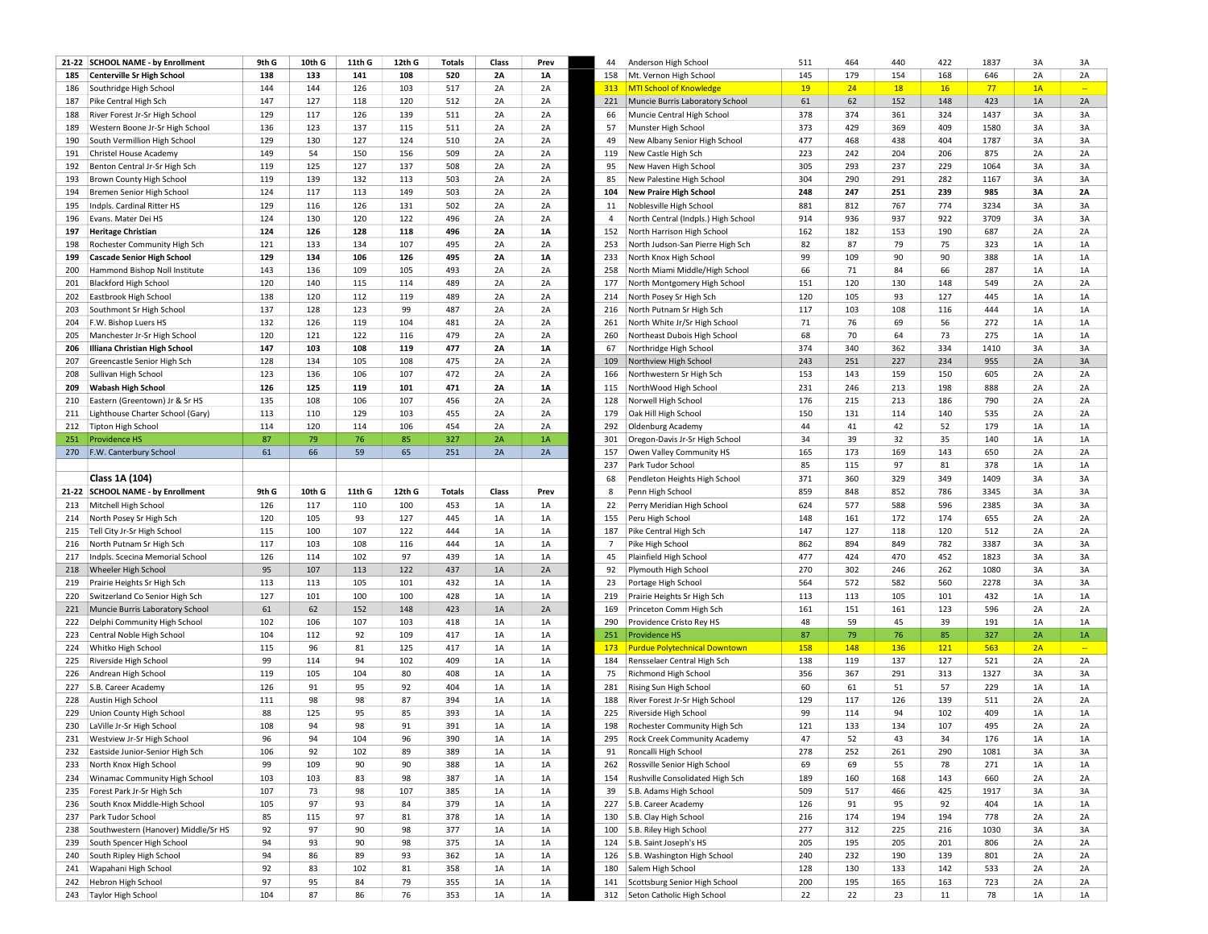|     | 21-22 SCHOOL NAME - by Enrollment   | 9th G | 10th G | 11th G | 12th G | <b>Totals</b> | Class     | Prev      | 44             | Anderson High School                 | 511 | 464 | 440 | 422 | 1837 | 3A | 3A             |
|-----|-------------------------------------|-------|--------|--------|--------|---------------|-----------|-----------|----------------|--------------------------------------|-----|-----|-----|-----|------|----|----------------|
| 185 | <b>Centerville Sr High School</b>   | 138   | 133    | 141    | 108    | 520           | <b>2A</b> | 1A        | 158            | Mt. Vernon High School               | 145 | 179 | 154 | 168 | 646  | 2A | 2A             |
| 186 | Southridge High School              | 144   | 144    | 126    | 103    | 517           | 2A        | 2A        | 313            | <b>MTI School of Knowledge</b>       | 19  | 24  | 18  | 16  | 77   | 1A | $\mathbb{Z}^2$ |
| 187 | Pike Central High Sch               | 147   | 127    | 118    | 120    | 512           | 2A        | 2A        | 221            | Muncie Burris Laboratory School      | 61  | 62  | 152 | 148 | 423  | 1A | 2A             |
| 188 | River Forest Jr-Sr High School      | 129   | 117    | 126    | 139    | 511           | 2A        | 2A        | 66             | Muncie Central High School           | 378 | 374 | 361 | 324 | 1437 | 3A | 3A             |
| 189 | Western Boone Jr-Sr High School     | 136   | 123    | 137    | 115    | 511           | 2A        | 2A        | 57             | Munster High School                  | 373 | 429 | 369 | 409 | 1580 | 3A | 3A             |
| 190 | South Vermillion High School        | 129   | 130    | 127    | 124    | 510           | 2A        | 2A        | 49             | New Albany Senior High School        | 477 | 468 | 438 | 404 | 1787 | 3A | 3A             |
| 191 | <b>Christel House Academy</b>       | 149   | 54     | 150    | 156    | 509           | 2A        | 2A        | 119            | New Castle High Sch                  | 223 | 242 | 204 | 206 | 875  | 2A | 2A             |
| 192 | Benton Central Jr-Sr High Sch       | 119   | 125    | 127    | 137    | 508           | 2A        | 2A        | 95             | New Haven High School                | 305 | 293 | 237 | 229 | 1064 | 3A | 3A             |
| 193 | Brown County High School            | 119   | 139    | 132    | 113    | 503           | 2A        | 2A        | 85             | New Palestine High School            | 304 | 290 | 291 | 282 | 1167 | 3A | 3A             |
| 194 | Bremen Senior High School           | 124   | 117    | 113    | 149    | 503           | 2A        | 2A        | 104            | <b>New Praire High School</b>        | 248 | 247 | 251 | 239 | 985  | 3A | <b>2A</b>      |
| 195 | Indpls. Cardinal Ritter HS          | 129   | 116    | 126    | 131    | 502           | 2A        | 2A        | 11             | Noblesville High School              | 881 | 812 | 767 | 774 | 3234 | 3A | 3A             |
|     |                                     | 124   | 130    | 120    | 122    | 496           | 2A        | 2A        | $\overline{4}$ |                                      | 914 | 936 | 937 | 922 | 3709 | 3A |                |
| 196 | Evans. Mater Dei HS                 |       |        |        |        |               |           |           |                | North Central (Indpls.) High School  |     |     |     |     |      |    | 3A             |
| 197 | <b>Heritage Christian</b>           | 124   | 126    | 128    | 118    | 496           | 2A        | 1A        | 152            | North Harrison High School           | 162 | 182 | 153 | 190 | 687  | 2A | 2A             |
| 198 | Rochester Community High Sch        | 121   | 133    | 134    | 107    | 495           | 2A        | 2A        | 253            | North Judson-San Pierre High Sch     | 82  | 87  | 79  | 75  | 323  | 1A | 1A             |
| 199 | <b>Cascade Senior High School</b>   | 129   | 134    | 106    | 126    | 495           | <b>2A</b> | 1A        | 233            | North Knox High School               | 99  | 109 | 90  | 90  | 388  | 1A | 1A             |
| 200 | Hammond Bishop Noll Institute       | 143   | 136    | 109    | 105    | 493           | 2A        | 2A        | 258            | North Miami Middle/High School       | 66  | 71  | 84  | 66  | 287  | 1A | 1A             |
| 201 | <b>Blackford High School</b>        | 120   | 140    | 115    | 114    | 489           | 2A        | 2A        | 177            | North Montgomery High School         | 151 | 120 | 130 | 148 | 549  | 2A | 2A             |
| 202 | Eastbrook High School               | 138   | 120    | 112    | 119    | 489           | 2A        | 2A        | 214            | North Posey Sr High Sch              | 120 | 105 | 93  | 127 | 445  | 1A | $1A$           |
| 203 | Southmont Sr High School            | 137   | 128    | 123    | 99     | 487           | 2A        | 2A        | 216            | North Putnam Sr High Sch             | 117 | 103 | 108 | 116 | 444  | 1A | 1A             |
| 204 | F.W. Bishop Luers HS                | 132   | 126    | 119    | 104    | 481           | 2A        | 2A        | 261            | North White Jr/Sr High School        | 71  | 76  | 69  | 56  | 272  | 1A | 1A             |
| 205 | Manchester Jr-Sr High School        | 120   | 121    | 122    | 116    | 479           | 2A        | 2A        | 260            | Northeast Dubois High School         | 68  | 70  | 64  | 73  | 275  | 1A | 1A             |
| 206 | Illiana Christian High School       | 147   | 103    | 108    | 119    | 477           | <b>2A</b> | <b>1A</b> | 67             | Northridge High School               | 374 | 340 | 362 | 334 | 1410 | 3A | 3A             |
| 207 | Greencastle Senior High Sch         | 128   | 134    | 105    | 108    | 475           | 2A        | 2A        | 109            | Northview High School                | 243 | 251 | 227 | 234 | 955  | 2A | 3A             |
| 208 | Sullivan High School                | 123   | 136    | 106    | 107    | 472           | 2A        | 2A        | 166            | Northwestern Sr High Sch             | 153 | 143 | 159 | 150 | 605  | 2A | 2A             |
| 209 | <b>Wabash High School</b>           | 126   | 125    | 119    | 101    | 471           | <b>2A</b> | <b>1A</b> | 115            | NorthWood High School                | 231 | 246 | 213 | 198 | 888  | 2A | 2A             |
| 210 | Eastern (Greentown) Jr & Sr HS      | 135   | 108    | 106    | 107    | 456           | 2A        | 2A        | 128            | Norwell High School                  | 176 | 215 | 213 | 186 | 790  | 2A | 2A             |
| 211 | Lighthouse Charter School (Gary)    | 113   | 110    | 129    | 103    | 455           | 2A        | 2A        | 179            | Oak Hill High School                 | 150 | 131 | 114 | 140 | 535  | 2A | 2A             |
|     | 212 Tipton High School              | 114   | 120    | 114    | 106    | 454           | 2A        | 2A        | 292            | <b>Oldenburg Academy</b>             | 44  | 41  | 42  | 52  | 179  | 1A | 1A             |
| 251 | <b>Providence HS</b>                | 87    | 79     | 76     | 85     | 327           | 2A        | 1A        | 301            | Oregon-Davis Jr-Sr High School       | 34  | 39  | 32  | 35  | 140  | 1A | 1A             |
|     | 270   F.W. Canterbury School        | 61    | 66     | 59     | 65     | 251           | 2A        | 2A        | 157            | Owen Valley Community HS             | 165 | 173 | 169 | 143 | 650  | 2A | 2A             |
|     |                                     |       |        |        |        |               |           |           | 237            | Park Tudor School                    | 85  | 115 | 97  | 81  | 378  | 1A | 1A             |
|     | Class 1A (104)                      |       |        |        |        |               |           |           | 68             | Pendleton Heights High School        | 371 | 360 | 329 | 349 | 1409 | 3A | 3A             |
|     |                                     |       |        |        |        |               |           |           |                |                                      |     |     |     |     |      |    |                |
|     |                                     |       |        |        |        |               |           |           |                |                                      |     |     |     |     |      |    |                |
|     | 21-22 SCHOOL NAME - by Enrollment   | 9th G | 10th G | 11th G | 12th G | <b>Totals</b> | Class     | Prev      | 8              | Penn High School                     | 859 | 848 | 852 | 786 | 3345 | 3A | 3A             |
| 213 | Mitchell High School                | 126   | 117    | 110    | 100    | 453           | 1A        | 1A        | 22             | Perry Meridian High School           | 624 | 577 | 588 | 596 | 2385 | 3A | 3A             |
|     | 214 North Posey Sr High Sch         | 120   | 105    | 93     | 127    | 445           | 1A        | 1A        | 155            | Peru High School                     | 148 | 161 | 172 | 174 | 655  | 2A | 2A             |
| 215 | Tell City Jr-Sr High School         | 115   | 100    | 107    | 122    | 444           | 1A        | 1A        | 187            | Pike Central High Sch                | 147 | 127 | 118 | 120 | 512  | 2A | 2A             |
| 216 | North Putnam Sr High Sch            | 117   | 103    | 108    | 116    | 444           | 1A        | 1A        | $\overline{7}$ | Pike High School                     | 862 | 894 | 849 | 782 | 3387 | 3A | 3A             |
| 217 | Indpls. Scecina Memorial School     | 126   | 114    | 102    | 97     | 439           | 1A        | 1A        | 45             | Plainfield High School               | 477 | 424 | 470 | 452 | 1823 | 3A | 3A             |
|     | 218 Wheeler High School             | 95    | 107    | 113    | 122    | 437           | 1A        | 2A        | 92             | Plymouth High School                 | 270 | 302 | 246 | 262 | 1080 | 3A | 3A             |
| 219 | Prairie Heights Sr High Sch         | 113   | 113    | 105    | 101    | 432           | 1A        | 1A        | 23             | Portage High School                  | 564 | 572 | 582 | 560 | 2278 | 3A | 3A             |
| 220 | Switzerland Co Senior High Sch      | 127   | 101    | 100    | 100    | 428           | 1A        | 1A        | 219            | Prairie Heights Sr High Sch          | 113 | 113 | 105 | 101 | 432  | 1A | 1A             |
|     | 221 Muncie Burris Laboratory School | 61    | 62     | 152    | 148    | 423           | 1A        | 2A        | 169            | Princeton Comm High Sch              | 161 | 151 | 161 | 123 | 596  | 2A | 2A             |
| 222 | Delphi Community High School        | 102   | 106    | 107    | 103    | 418           | 1A        | 1A        | 290            | Providence Cristo Rey HS             | 48  | 59  | 45  | 39  | 191  | 1A | 1A             |
| 223 | Central Noble High School           | 104   | 112    | 92     | 109    | 417           | 1A        | 1A        | 251            | <b>Providence HS</b>                 | 87  | 79  | 76  | 85  | 327  | 2A | 1A             |
| 224 | Whitko High School                  | 115   | 96     | 81     | 125    | 417           | 1A        | 1A        | 173            | <b>Purdue Polytechnical Downtown</b> | 158 | 148 | 136 | 121 | 563  | 2A | $\sim$         |
| 225 | Riverside High School               | 99    | 114    | 94     | 102    | 409           | 1A        | 1A        | 184            | Rensselaer Central High Sch          | 138 | 119 | 137 | 127 | 521  | 2A | 2A             |
| 226 | Andrean High School                 | 119   | 105    | 104    | 80     | 408           | 1A        | 1A        | 75             | Richmond High School                 | 356 | 367 | 291 | 313 | 1327 | 3A | 3A             |
|     |                                     |       | 91     | 95     | 92     | 404           |           | 1A        |                | Rising Sun High School               | 60  | 61  |     | 57  | 229  | 1A |                |
| 227 | S.B. Career Academy                 | 126   |        |        |        |               | 1A        |           | 281            |                                      |     |     | 51  |     |      |    | 1A             |
| 228 | Austin High School                  | 111   | 98     | 98     | 87     | 394           | 1A        | 1A        | 188            | River Forest Jr-Sr High School       | 129 | 117 | 126 | 139 | 511  | 2A | 2A             |
| 229 | Union County High School            | 88    | 125    | 95     | 85     | 393           | 1A        | 1A        | 225            | Riverside High School                | 99  | 114 | 94  | 102 | 409  | 1A | 1A             |
| 230 | LaVille Jr-Sr High School           | 108   | 94     | 98     | 91     | 391           | 1A        | 1A        | 198            | Rochester Community High Sch         | 121 | 133 | 134 | 107 | 495  | 2A | 2A             |
| 231 | Westview Jr-Sr High School          | 96    | 94     | 104    | 96     | 390           | 1A        | 1A        | 295            | Rock Creek Community Academy         | 47  | 52  | 43  | 34  | 176  | 1A | 1A             |
|     | 232 Eastside Junior-Senior High Sch | 106   | 92     | 102    | 89     | 389           | 1A        | 1A        | 91             | Roncalli High School                 | 278 | 252 | 261 | 290 | 1081 | 3A | 3A             |
| 233 | North Knox High School              | 99    | 109    | 90     | 90     | 388           | 1A        | 1A        | 262            | Rossville Senior High School         | 69  | 69  | 55  | 78  | 271  | 1A | 1A             |
| 234 | Winamac Community High School       | 103   | 103    | 83     | 98     | 387           | 1A        | 1A        | 154            | Rushville Consolidated High Sch      | 189 | 160 | 168 | 143 | 660  | 2A | 2A             |
| 235 | Forest Park Jr-Sr High Sch          | 107   | 73     | 98     | 107    | 385           | 1A        | $1A$      | 39             | S.B. Adams High School               | 509 | 517 | 466 | 425 | 1917 | 3A | 3A             |
| 236 | South Knox Middle-High School       | 105   | 97     | 93     | 84     | 379           | 1A        | 1A        | 227            | S.B. Career Academy                  | 126 | 91  | 95  | 92  | 404  | 1A | 1A             |
| 237 | Park Tudor School                   | 85    | 115    | 97     | 81     | 378           | 1A        | 1A        | 130            | S.B. Clay High School                | 216 | 174 | 194 | 194 | 778  | 2A | 2A             |
| 238 | Southwestern (Hanover) Middle/Sr HS | 92    | 97     | 90     | 98     | 377           | 1A        | 1A        | 100            | S.B. Riley High School               | 277 | 312 | 225 | 216 | 1030 | 3A | 3A             |
| 239 | South Spencer High School           | 94    | 93     | 90     | 98     | 375           | 1A        | 1A        | 124            | S.B. Saint Joseph's HS               | 205 | 195 | 205 | 201 | 806  | 2A | 2A             |
| 240 | South Ripley High School            | 94    | 86     | 89     | 93     | 362           | 1A        | 1A        | 126            | S.B. Washington High School          | 240 | 232 | 190 | 139 | 801  | 2A | 2A             |
| 241 | Wapahani High School                | 92    | 83     | 102    | 81     | 358           | 1A        | 1A        | 180            | Salem High School                    | 128 | 130 | 133 | 142 | 533  | 2A | 2A             |
| 242 | <b>Hebron High School</b>           | 97    | 95     | 84     | 79     | 355           | $1A$      | $1A$      | 141            | Scottsburg Senior High School        | 200 | 195 | 165 | 163 | 723  | 2A | 2A             |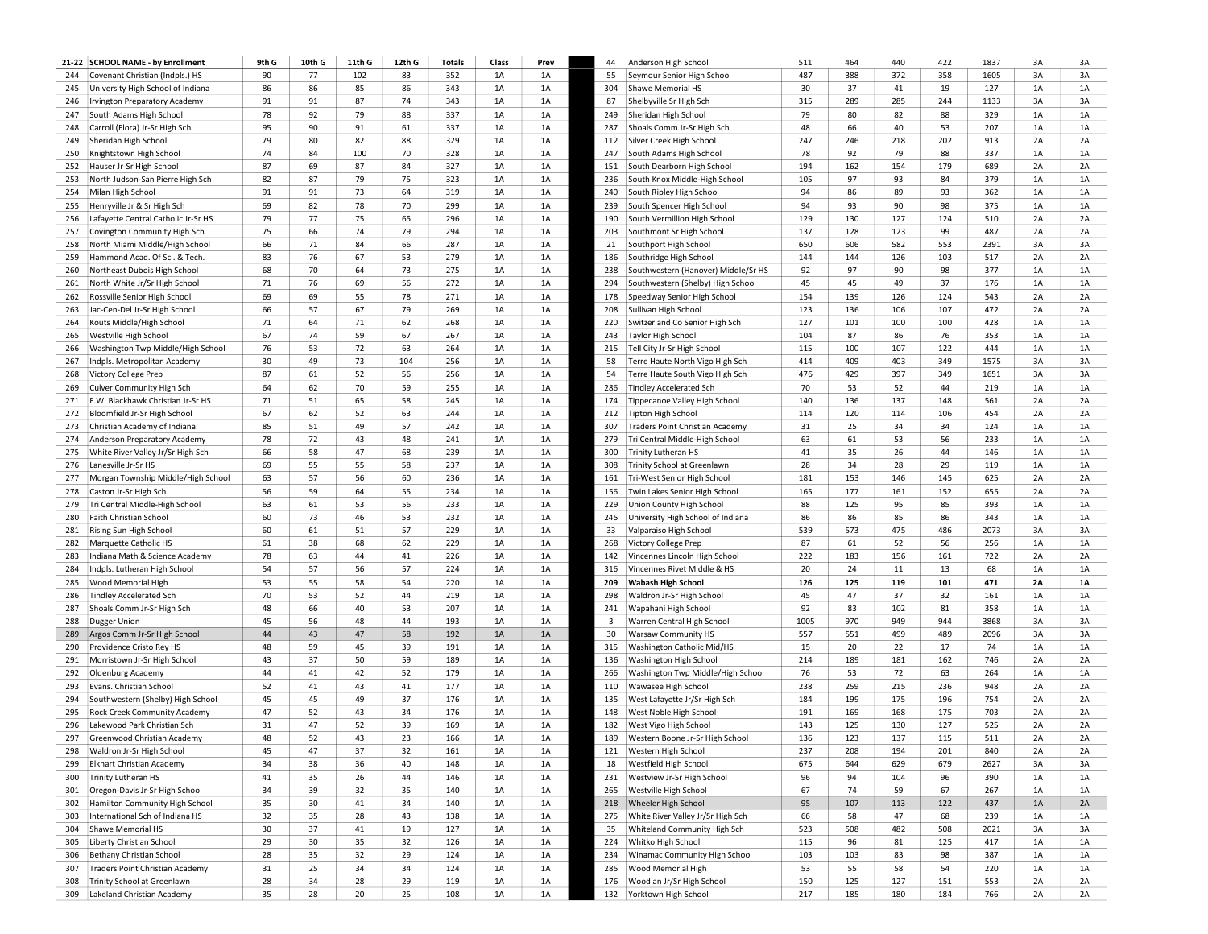|     | 21-22 SCHOOL NAME - by Enrollment      | 9th G | 10th G | 11th G | 12th G | <b>Totals</b> | Class | Prev | 44  | Anderson High School                | 511  | 464 | 440 | 422 | 1837 | 3A | 3A |
|-----|----------------------------------------|-------|--------|--------|--------|---------------|-------|------|-----|-------------------------------------|------|-----|-----|-----|------|----|----|
| 244 | Covenant Christian (Indpls.) HS        | 90    | 77     | 102    | 83     | 352           | 1A    | 1A   | 55  | Seymour Senior High School          | 487  | 388 | 372 | 358 | 1605 | 3A | 3A |
| 245 | University High School of Indiana      | 86    | 86     | 85     | 86     | 343           | 1A    | 1A   | 304 | Shawe Memorial HS                   | 30   | 37  | 41  | 19  | 127  | 1A | 1A |
| 246 | Irvington Preparatory Academy          | 91    | 91     | 87     | 74     | 343           | 1A    | 1A   | 87  | Shelbyville Sr High Sch             | 315  | 289 | 285 | 244 | 1133 | 3A | 3A |
| 247 | South Adams High School                | 78    | 92     | 79     | 88     | 337           | 1A    | 1A   | 249 | Sheridan High School                | 79   | 80  | 82  | 88  | 329  | 1A | 1A |
| 248 | Carroll (Flora) Jr-Sr High Sch         | 95    | 90     | 91     | 61     | 337           | 1A    | 1A   | 287 | Shoals Comm Jr-Sr High Sch          | 48   | 66  | 40  | 53  | 207  | 1A | 1A |
| 249 | Sheridan High School                   | 79    | 80     | 82     | 88     | 329           | 1A    | 1A   | 112 | Silver Creek High School            | 247  | 246 | 218 | 202 | 913  | 2A | 2A |
| 250 | Knightstown High School                | 74    | 84     | 100    | 70     | 328           | 1A    | 1A   | 247 | South Adams High School             | 78   | 92  | 79  | 88  | 337  | 1A | 1A |
| 252 | Hauser Jr-Sr High School               | 87    | 69     | 87     | 84     | 327           | 1A    | 1A   | 151 | South Dearborn High School          | 194  | 162 | 154 | 179 | 689  | 2A | 2A |
| 253 | North Judson-San Pierre High Sch       | 82    | 87     | 79     | 75     | 323           | 1A    | 1A   | 236 | South Knox Middle-High School       | 105  | 97  | 93  | 84  | 379  | 1A | 1A |
| 254 | Milan High School                      | 91    | 91     | 73     | 64     | 319           | 1A    | 1A   | 240 | South Ripley High School            | 94   | 86  | 89  | 93  | 362  | 1A | 1A |
| 255 | Henryville Jr & Sr High Sch            | 69    | 82     | 78     | 70     | 299           | 1A    | 1A   | 239 | South Spencer High School           | 94   | 93  | 90  | 98  | 375  | 1A | 1A |
| 256 | Lafayette Central Catholic Jr-Sr HS    | 79    | 77     | 75     | 65     | 296           | 1A    | 1A   | 190 | South Vermillion High School        | 129  | 130 | 127 | 124 | 510  | 2A | 2A |
| 257 | Covington Community High Sch           | 75    | 66     | 74     | 79     | 294           | 1A    | 1A   | 203 | Southmont Sr High School            | 137  | 128 | 123 | 99  | 487  | 2A | 2A |
| 258 | North Miami Middle/High School         | 66    | 71     | 84     | 66     | 287           | 1A    | 1A   | 21  | Southport High School               | 650  | 606 | 582 | 553 | 2391 | 3A | 3A |
| 259 | Hammond Acad. Of Sci. & Tech.          | 83    | 76     | 67     | 53     | 279           | 1A    | 1A   | 186 | Southridge High School              | 144  | 144 | 126 | 103 | 517  | 2A | 2A |
| 260 | Northeast Dubois High School           | 68    | 70     | 64     | 73     | 275           | 1A    | 1A   | 238 | Southwestern (Hanover) Middle/Sr HS | 92   | 97  | 90  | 98  | 377  | 1A | 1A |
| 261 | North White Jr/Sr High School          | 71    | 76     | 69     | 56     | 272           | 1A    | 1A   | 294 | Southwestern (Shelby) High School   | 45   | 45  | 49  | 37  | 176  | 1A | 1A |
| 262 | Rossville Senior High School           | 69    | 69     | 55     | 78     | 271           | 1A    | 1A   | 178 | Speedway Senior High School         | 154  | 139 | 126 | 124 | 543  | 2A | 2A |
| 263 | Jac-Cen-Del Jr-Sr High School          | 66    | 57     | 67     | 79     | 269           | 1A    | 1A   | 208 | Sullivan High School                | 123  | 136 | 106 | 107 | 472  | 2A | 2A |
| 264 | Kouts Middle/High School               | 71    | 64     | 71     | 62     | 268           | 1A    | 1A   | 220 | Switzerland Co Senior High Sch      | 127  | 101 | 100 | 100 | 428  | 1A | 1A |
| 265 | Westville High School                  | 67    | 74     | 59     | 67     | 267           | 1A    | 1A   | 243 | Taylor High School                  | 104  | 87  | 86  | 76  | 353  | 1A | 1A |
| 266 | Washington Twp Middle/High School      | 76    | 53     | 72     | 63     | 264           | 1A    | 1A   | 215 | Tell City Jr-Sr High School         | 115  | 100 | 107 | 122 | 444  | 1A | 1A |
| 267 | Indpls. Metropolitan Academy           | 30    | 49     | 73     | 104    | 256           | 1A    | 1A   | 58  | Terre Haute North Vigo High Sch     | 414  | 409 | 403 | 349 | 1575 | 3A | 3A |
|     |                                        | 87    | 61     | 52     | 56     | 256           | 1A    | 1A   | 54  |                                     | 476  | 429 | 397 | 349 | 1651 | 3A | 3A |
| 268 | Victory College Prep                   | 64    | 62     | 70     | 59     | 255           |       |      |     | Terre Haute South Vigo High Sch     | 70   |     | 52  | 44  | 219  | 1A | 1A |
| 269 | Culver Community High Sch              |       |        |        |        |               | 1A    | 1A   | 286 | <b>Tindley Accelerated Sch</b>      |      | 53  |     |     |      |    |    |
| 271 | F.W. Blackhawk Christian Jr-Sr HS      | 71    | 51     | 65     | 58     | 245           | 1A    | 1A   | 174 | Tippecanoe Valley High School       | 140  | 136 | 137 | 148 | 561  | 2A | 2A |
|     | 272 Bloomfield Jr-Sr High School       | 67    | 62     | 52     | 63     | 244           | 1A    | 1A   | 212 | Tipton High School                  | 114  | 120 | 114 | 106 | 454  | 2A | 2A |
| 273 | Christian Academy of Indiana           | 85    | 51     | 49     | 57     | 242           | 1A    | 1A   | 307 | Traders Point Christian Academy     | 31   | 25  | 34  | 34  | 124  | 1A | 1A |
| 274 | Anderson Preparatory Academy           | 78    | 72     | 43     | 48     | 241           | 1A    | 1A   | 279 | Tri Central Middle-High School      | 63   | 61  | 53  | 56  | 233  | 1A | 1A |
| 275 | White River Valley Jr/Sr High Sch      | 66    | 58     | 47     | 68     | 239           | 1A    | 1A   | 300 | <b>Trinity Lutheran HS</b>          | 41   | 35  | 26  | 44  | 146  | 1A | 1A |
| 276 | Lanesville Jr-Sr HS                    | 69    | 55     | 55     | 58     | 237           | 1A    | 1A   | 308 | Trinity School at Greenlawn         | 28   | 34  | 28  | 29  | 119  | 1A | 1A |
| 277 | Morgan Township Middle/High School     | 63    | 57     | 56     | 60     | 236           | 1A    | 1A   | 161 | Tri-West Senior High School         | 181  | 153 | 146 | 145 | 625  | 2A | 2A |
| 278 | Caston Jr-Sr High Sch                  | 56    | 59     | 64     | 55     | 234           | 1A    | 1A   | 156 | Twin Lakes Senior High School       | 165  | 177 | 161 | 152 | 655  | 2A | 2A |
| 279 | Tri Central Middle-High School         | 63    | 61     | 53     | 56     | 233           | 1A    | 1A   | 229 | Union County High School            | 88   | 125 | 95  | 85  | 393  | 1A | 1A |
| 280 | Faith Christian School                 | 60    | 73     | 46     | 53     | 232           | 1A    | 1A   | 245 | University High School of Indiana   | 86   | 86  | 85  | 86  | 343  | 1A | 1A |
| 281 | Rising Sun High School                 | 60    | 61     | 51     | 57     | 229           | 1A    | 1A   | 33  | Valparaiso High School              | 539  | 573 | 475 | 486 | 2073 | 3A | 3A |
| 282 | Marquette Catholic HS                  | 61    | 38     | 68     | 62     | 229           | 1A    | 1A   | 268 | Victory College Prep                | 87   | 61  | 52  | 56  | 256  | 1A | 1A |
| 283 | Indiana Math & Science Academy         | 78    | 63     | 44     | 41     | 226           | 1A    | 1A   | 142 | Vincennes Lincoln High School       | 222  | 183 | 156 | 161 | 722  | 2A | 2A |
| 284 | Indpls. Lutheran High School           | 54    | 57     | 56     | 57     | 224           | 1A    | 1A   | 316 | Vincennes Rivet Middle & HS         | 20   | 24  | 11  | 13  | 68   | 1A | 1A |
| 285 | Wood Memorial High                     | 53    | 55     | 58     | 54     | 220           | 1A    | 1A   | 209 | <b>Wabash High School</b>           | 126  | 125 | 119 | 101 | 471  | 2A | 1A |
| 286 | <b>Tindley Accelerated Sch</b>         | 70    | 53     | 52     | 44     | 219           | 1A    | 1A   | 298 | Waldron Jr-Sr High School           | 45   | 47  | 37  | 32  | 161  | 1A | 1A |
| 287 | Shoals Comm Jr-Sr High Sch             | 48    | 66     | 40     | 53     | 207           | 1A    | 1A   | 241 | Wapahani High School                | 92   | 83  | 102 | 81  | 358  | 1A | 1A |
| 288 | Dugger Union                           | 45    | 56     | 48     | 44     | 193           | 1A    | 1A   | 3   | Warren Central High School          | 1005 | 970 | 949 | 944 | 3868 | 3A | 3A |
| 289 | Argos Comm Jr-Sr High School           | 44    | 43     | 47     | 58     | 192           | 1A    | 1A   | 30  | <b>Warsaw Community HS</b>          | 557  | 551 | 499 | 489 | 2096 | 3A | 3A |
| 290 | Providence Cristo Rey HS               | 48    | 59     | 45     | 39     | 191           | 1A    | 1A   | 315 | Washington Catholic Mid/HS          | 15   | 20  | 22  | 17  | 74   | 1A | 1A |
| 291 | Morristown Jr-Sr High School           | 43    | 37     | 50     | 59     | 189           | 1A    | 1A   | 136 | Washington High School              | 214  | 189 | 181 | 162 | 746  | 2A | 2A |
|     | 292 Oldenburg Academy                  | 44    | 41     | 42     | 52     | 179           | 1A    | 1A   | 266 | Washington Twp Middle/High School   | 76   | 53  | 72  | 63  | 264  | 1A | 1A |
| 293 | Evans. Christian School                | 52    | 41     | 43     | 41     | 177           | 1A    | 1A   | 110 | Wawasee High School                 | 238  | 259 | 215 | 236 | 948  | 2A | 2A |
| 294 | Southwestern (Shelby) High School      | 45    | 45     | 49     | 37     | 176           | 1A    | 1A   | 135 | West Lafayette Jr/Sr High Sch       | 184  | 199 | 175 | 196 | 754  | 2A | 2A |
| 295 | Rock Creek Community Academy           | 47    | 52     | 43     | 34     | 176           | 1A    | 1A   | 148 | West Noble High School              | 191  | 169 | 168 | 175 | 703  | 2A | 2A |
| 296 | Lakewood Park Christian Sch            | 31    | 47     | 52     | 39     | 169           | 1A    | 1A   | 182 | West Vigo High School               | 143  | 125 | 130 | 127 | 525  | 2A | 2A |
| 297 | Greenwood Christian Academy            | 48    | 52     | 43     | 23     | 166           | 1A    | 1A   | 189 | Western Boone Jr-Sr High School     | 136  | 123 | 137 | 115 | 511  | 2A | 2A |
| 298 | Waldron Jr-Sr High School              | 45    | 47     | 37     | 32     | 161           | 1A    | 1A   | 121 | Western High School                 | 237  | 208 | 194 | 201 | 840  | 2A | 2A |
| 299 | Elkhart Christian Academy              | 34    | 38     | 36     | 40     | 148           | 1A    | 1A   | 18  | Westfield High School               | 675  | 644 | 629 | 679 | 2627 | 3A | 3A |
| 300 | <b>Trinity Lutheran HS</b>             | 41    | 35     | 26     | 44     | 146           | 1A    | 1A   | 231 | Westview Jr-Sr High School          | 96   | 94  | 104 | 96  | 390  | 1A | 1A |
| 301 | Oregon-Davis Jr-Sr High School         | 34    | 39     | 32     | 35     | 140           | 1A    | 1A   | 265 | Westville High School               | 67   | 74  | 59  | 67  | 267  | 1A | 1A |
| 302 | Hamilton Community High School         | 35    | 30     | 41     | 34     | 140           | 1A    | 1A   | 218 | Wheeler High School                 | 95   | 107 | 113 | 122 | 437  | 1A | 2A |
| 303 | International Sch of Indiana HS        | 32    | 35     | 28     | 43     | 138           | 1A    | 1A   | 275 | White River Valley Jr/Sr High Sch   | 66   | 58  | 47  | 68  | 239  | 1A | 1A |
| 304 | Shawe Memorial HS                      | 30    | 37     | 41     | 19     | 127           | 1A    | 1A   | 35  | Whiteland Community High Sch        | 523  | 508 | 482 | 508 | 2021 | 3A | 3A |
| 305 | Liberty Christian School               | 29    | 30     | 35     | 32     | 126           | 1A    | 1A   | 224 | Whitko High School                  | 115  | 96  | 81  | 125 | 417  | 1A | 1A |
| 306 | Bethany Christian School               | 28    | 35     | 32     | 29     | 124           | 1A    | 1A   | 234 | Winamac Community High School       | 103  | 103 | 83  | 98  | 387  | 1A | 1A |
| 307 | <b>Traders Point Christian Academy</b> | 31    | 25     | 34     | 34     | 124           | 1A    | 1A   | 285 | Wood Memorial High                  | 53   | 55  | 58  | 54  | 220  | 1A | 1A |
| 308 | Trinity School at Greenlawn            | 28    | 34     | 28     | 29     | 119           | 1A    | 1A   | 176 | Woodlan Jr/Sr High School           | 150  | 125 | 127 | 151 | 553  | 2A | 2A |
|     | 309 Lakeland Christian Academy         | 35    | 28     | 20     | 25     | 108           | 1A    | 1A   | 132 | Yorktown High School                | 217  | 185 | 180 | 184 | 766  | 2A | 2A |
|     |                                        |       |        |        |        |               |       |      |     |                                     |      |     |     |     |      |    |    |